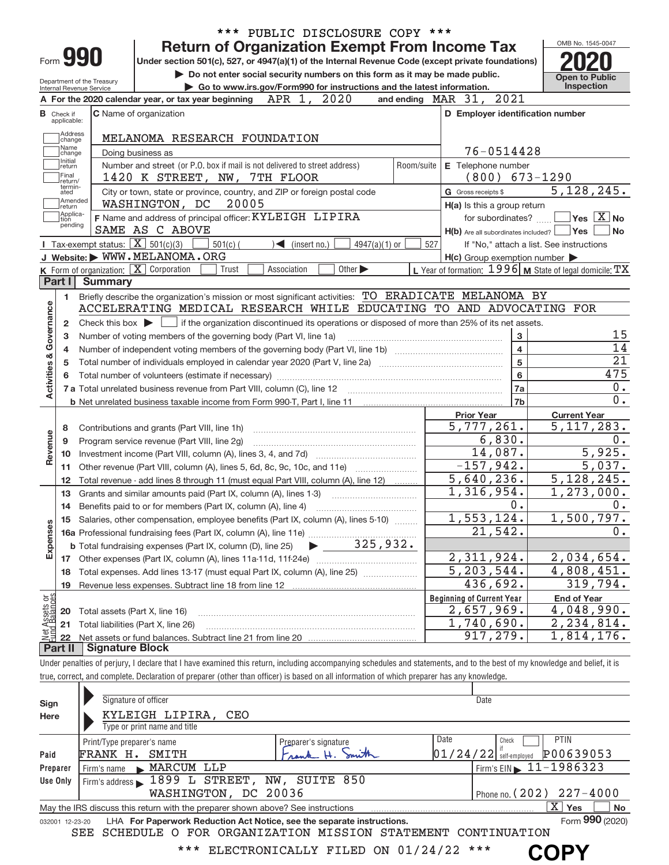|                                |                                  |                                                        | *** PUBLIC DISCLOSURE COPY ***                                                                                                                                             |                       |                                                     |                                                           |
|--------------------------------|----------------------------------|--------------------------------------------------------|----------------------------------------------------------------------------------------------------------------------------------------------------------------------------|-----------------------|-----------------------------------------------------|-----------------------------------------------------------|
|                                |                                  |                                                        | <b>Return of Organization Exempt From Income Tax</b>                                                                                                                       |                       |                                                     | OMB No. 1545-0047                                         |
|                                |                                  | Form 990                                               | Under section 501(c), 527, or 4947(a)(1) of the Internal Revenue Code (except private foundations)                                                                         |                       |                                                     |                                                           |
|                                |                                  |                                                        | Do not enter social security numbers on this form as it may be made public.                                                                                                |                       |                                                     | <b>Open to Public</b>                                     |
|                                |                                  | Department of the Treasury<br>Internal Revenue Service | Go to www.irs.gov/Form990 for instructions and the latest information.                                                                                                     |                       |                                                     | Inspection                                                |
|                                |                                  |                                                        | A For the 2020 calendar year, or tax year beginning $APR$ 1, $2020$                                                                                                        |                       | and ending MAR 31, 2021                             |                                                           |
|                                | <b>B</b> Check if<br>applicable: |                                                        | <b>C</b> Name of organization                                                                                                                                              |                       | D Employer identification number                    |                                                           |
|                                | Address<br>change                |                                                        | MELANOMA RESEARCH FOUNDATION                                                                                                                                               |                       |                                                     |                                                           |
|                                | Name<br>change                   |                                                        | Doing business as                                                                                                                                                          |                       | 76-0514428                                          |                                                           |
|                                | Initial<br>return<br>Final       |                                                        | Number and street (or P.O. box if mail is not delivered to street address)<br>1420 K STREET, NW, 7TH FLOOR                                                                 | Room/suite            | E Telephone number<br>(800)                         | $673 - 1290$                                              |
|                                | return/<br>termin-<br>ated       |                                                        | City or town, state or province, country, and ZIP or foreign postal code                                                                                                   |                       | G Gross receipts \$                                 | 5,128,245.                                                |
|                                | Amended<br> return               |                                                        | WASHINGTON, DC<br>20005                                                                                                                                                    |                       | H(a) Is this a group return                         |                                                           |
|                                | Applica-<br>tion                 |                                                        | F Name and address of principal officer: KYLEIGH LIPIRA                                                                                                                    |                       | for subordinates?                                   | $Yes$ $X$ No                                              |
|                                | pending                          |                                                        | SAME AS C ABOVE                                                                                                                                                            |                       | $H(b)$ Are all subordinates included? $\Box$ Yes    | ∣No                                                       |
|                                |                                  | Tax-exempt status: $\boxed{\mathbf{X}}$ 501(c)(3)      | $501(c)$ (<br>$\sqrt{\frac{1}{1}}$ (insert no.)<br>$4947(a)(1)$ or                                                                                                         | 527                   |                                                     | If "No," attach a list. See instructions                  |
|                                |                                  |                                                        | J Website: WWW.MELANOMA.ORG                                                                                                                                                |                       | $H(c)$ Group exemption number $\blacktriangleright$ |                                                           |
|                                |                                  |                                                        | <b>K</b> Form of organization: $\boxed{\mathbf{X}}$ Corporation<br>Other $\blacktriangleright$<br>Trust<br>Association                                                     |                       |                                                     | L Year of formation: $1996$ M State of legal domicile: TX |
|                                | Part I                           | <b>Summary</b>                                         |                                                                                                                                                                            |                       |                                                     |                                                           |
|                                | 1.                               |                                                        | Briefly describe the organization's mission or most significant activities: TO ERADICATE MELANOMA BY                                                                       |                       |                                                     |                                                           |
| Governance                     |                                  |                                                        | ACCELERATING MEDICAL RESEARCH WHILE EDUCATING TO AND ADVOCATING FOR                                                                                                        |                       |                                                     |                                                           |
|                                | 2                                |                                                        | Check this box $\blacktriangleright$ $\Box$ if the organization discontinued its operations or disposed of more than 25% of its net assets.                                |                       |                                                     |                                                           |
|                                | 3                                |                                                        | Number of voting members of the governing body (Part VI, line 1a)                                                                                                          |                       | 3                                                   | 15                                                        |
|                                | 4                                |                                                        | $\overline{4}$                                                                                                                                                             | 14<br>$\overline{21}$ |                                                     |                                                           |
|                                | 5                                |                                                        | $\overline{5}$                                                                                                                                                             |                       |                                                     |                                                           |
| <b>Activities &amp;</b>        | 6                                |                                                        |                                                                                                                                                                            |                       | $6\phantom{a}$                                      | 475                                                       |
|                                |                                  |                                                        |                                                                                                                                                                            |                       | 7a<br>7 <sub>b</sub>                                | 0.<br>0.                                                  |
|                                |                                  |                                                        |                                                                                                                                                                            |                       |                                                     |                                                           |
|                                |                                  |                                                        |                                                                                                                                                                            |                       | <b>Prior Year</b><br>5,777,261.                     | <b>Current Year</b><br>5, 117, 283.                       |
|                                | 8<br>9                           |                                                        | Contributions and grants (Part VIII, line 1h)<br>Program service revenue (Part VIII, line 2g)                                                                              |                       | 6,830.                                              | 0.                                                        |
| Revenue                        | 10                               |                                                        |                                                                                                                                                                            |                       | 14,087.                                             | 5,925.                                                    |
|                                | 11                               |                                                        | Other revenue (Part VIII, column (A), lines 5, 6d, 8c, 9c, 10c, and 11e)                                                                                                   |                       | $-157,942.$                                         | 5,037.                                                    |
|                                | 12                               |                                                        | Total revenue - add lines 8 through 11 (must equal Part VIII, column (A), line 12)                                                                                         |                       | 5,640,236.                                          | 5,128,245.                                                |
|                                | 13                               |                                                        | Grants and similar amounts paid (Part IX, column (A), lines 1-3)                                                                                                           |                       | 1,316,954.                                          | $\overline{1,273,000}$ .                                  |
|                                | 14                               |                                                        | Benefits paid to or for members (Part IX, column (A), line 4)                                                                                                              |                       | 0.                                                  | 0.                                                        |
|                                |                                  |                                                        | Salaries, other compensation, employee benefits (Part IX, column (A), lines 5-10)                                                                                          |                       | 1,553,124.                                          | 1,500,797.                                                |
|                                |                                  |                                                        |                                                                                                                                                                            |                       | 21,542.                                             | 0.                                                        |
| Expenses                       |                                  |                                                        | 325,932.<br><b>b</b> Total fundraising expenses (Part IX, column (D), line 25)                                                                                             |                       |                                                     |                                                           |
|                                |                                  |                                                        | 17 Other expenses (Part IX, column (A), lines 11a-11d, 11f-24e)                                                                                                            |                       | 2,311,924.                                          | 2,034,654.                                                |
|                                | 18                               |                                                        | Total expenses. Add lines 13-17 (must equal Part IX, column (A), line 25)                                                                                                  |                       | 5, 203, 544.                                        | 4,808,451.                                                |
|                                | 19                               |                                                        | Revenue less expenses. Subtract line 18 from line 12                                                                                                                       |                       | 436,692.                                            | 319,794.                                                  |
|                                |                                  |                                                        |                                                                                                                                                                            |                       | <b>Beginning of Current Year</b>                    | <b>End of Year</b>                                        |
|                                | 20                               | Total assets (Part X, line 16)                         |                                                                                                                                                                            |                       | 2,657,969.                                          | 4,048,990.                                                |
| Net Assets or<br>Eund Balances | 21                               |                                                        | Total liabilities (Part X, line 26)                                                                                                                                        |                       | 1,740,690.                                          | 2, 234, 814.                                              |
|                                | 22                               |                                                        |                                                                                                                                                                            |                       | 917,279.                                            | 1,814,176.                                                |
|                                | Part II                          | <b>Signature Block</b>                                 |                                                                                                                                                                            |                       |                                                     |                                                           |
|                                |                                  |                                                        | Under penalties of perjury, I declare that I have examined this return, including accompanying schedules and statements, and to the best of my knowledge and belief, it is |                       |                                                     |                                                           |
|                                |                                  |                                                        | true, correct, and complete. Declaration of preparer (other than officer) is based on all information of which preparer has any knowledge.                                 |                       |                                                     |                                                           |
|                                |                                  |                                                        | Signature of officer                                                                                                                                                       |                       |                                                     |                                                           |
| Sign                           |                                  |                                                        |                                                                                                                                                                            |                       | Date                                                |                                                           |
| Here                           |                                  |                                                        | KYLEIGH LIPIRA, CEO<br>$T_{1,000}$ or print nome and title                                                                                                                 |                       |                                                     |                                                           |

| Here            | KYLEIGH LIPIRA, CEO                                                                                       |                      |      |       |                                            |  |  |  |  |  |
|-----------------|-----------------------------------------------------------------------------------------------------------|----------------------|------|-------|--------------------------------------------|--|--|--|--|--|
|                 | Type or print name and title                                                                              |                      |      |       |                                            |  |  |  |  |  |
|                 | Print/Type preparer's name                                                                                | Preparer's signature | Date | Check | <b>PTIN</b>                                |  |  |  |  |  |
| Paid            | FRANK H. SMITH                                                                                            |                      |      |       | $ 01/24/22 $ self-employed P00639053       |  |  |  |  |  |
| Preparer        | Firm's name MARCUM LLP                                                                                    |                      |      |       | $1$ Firm's EIN $\triangleright$ 11-1986323 |  |  |  |  |  |
| Use Only        | Firm's address 1899 L STREET, NW, SUITE 850                                                               |                      |      |       |                                            |  |  |  |  |  |
|                 | WASHINGTON, DC 20036                                                                                      |                      |      |       | Phone no. $(202)$ $227 - 4000$             |  |  |  |  |  |
|                 | x.<br><b>Yes</b><br>No<br>May the IRS discuss this return with the preparer shown above? See instructions |                      |      |       |                                            |  |  |  |  |  |
| 032001 12-23-20 | LHA For Paperwork Reduction Act Notice, see the separate instructions.                                    |                      |      |       | Form 990 (2020)                            |  |  |  |  |  |
|                 | SEE SCHEDULE O FOR ORGANIZATION MISSION STATEMENT CONTINUATION                                            |                      |      |       |                                            |  |  |  |  |  |

\*\*\* ELECTRONICALLY FILED ON 01/24/22 \*\*\*

**COPY**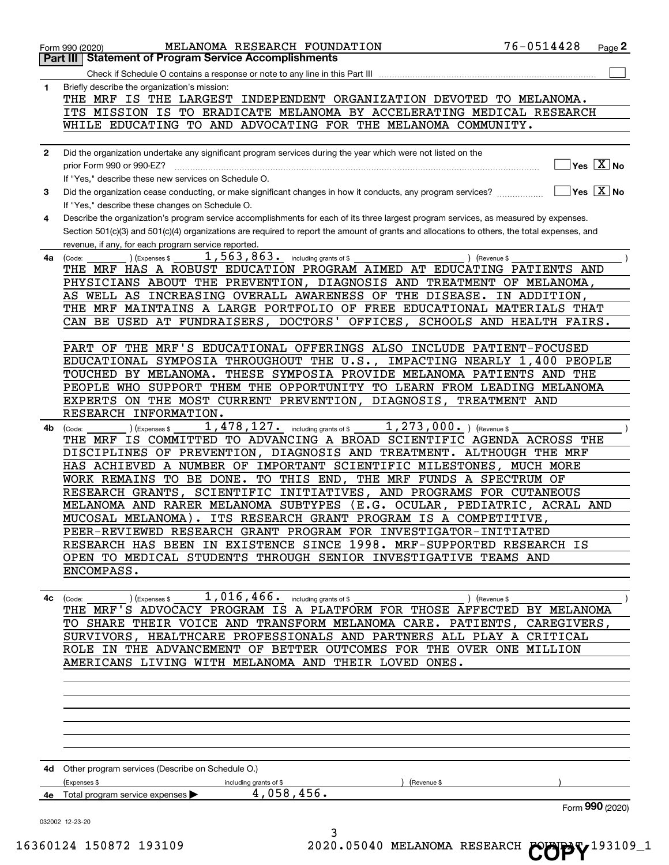| 1.           | Briefly describe the organization's mission:                                                                                                                    |
|--------------|-----------------------------------------------------------------------------------------------------------------------------------------------------------------|
|              | THE MRF IS THE LARGEST INDEPENDENT ORGANIZATION DEVOTED TO MELANOMA.                                                                                            |
|              | ITS MISSION IS TO ERADICATE MELANOMA BY ACCELERATING MEDICAL RESEARCH                                                                                           |
|              | WHILE EDUCATING TO AND ADVOCATING FOR THE MELANOMA COMMUNITY.                                                                                                   |
|              |                                                                                                                                                                 |
| $\mathbf{2}$ | Did the organization undertake any significant program services during the year which were not listed on the                                                    |
|              | $]$ Yes $[\overline{\mathrm{X}}]$ No<br>prior Form 990 or 990-EZ?                                                                                               |
|              | If "Yes." describe these new services on Schedule O.                                                                                                            |
| 3            | $\boxed{\phantom{1}}$ Yes $\boxed{\text{X}}$ No<br>Did the organization cease conducting, or make significant changes in how it conducts, any program services? |
|              | If "Yes," describe these changes on Schedule O.                                                                                                                 |
| 4            | Describe the organization's program service accomplishments for each of its three largest program services, as measured by expenses.                            |
|              | Section 501(c)(3) and 501(c)(4) organizations are required to report the amount of grants and allocations to others, the total expenses, and                    |
|              | revenue, if any, for each program service reported.<br>$1,563,863$ . $including\,grants\,of\,$$                                                                 |
| 4a           | ) (Expenses \$<br>(Code:<br>) (Revenue \$<br>THE MRF HAS A ROBUST EDUCATION PROGRAM AIMED AT EDUCATING PATIENTS AND                                             |
|              | PHYSICIANS ABOUT THE PREVENTION, DIAGNOSIS AND TREATMENT OF MELANOMA,                                                                                           |
|              | AS WELL AS INCREASING OVERALL AWARENESS OF THE DISEASE. IN ADDITION,                                                                                            |
|              | THE MRF MAINTAINS A LARGE PORTFOLIO OF FREE EDUCATIONAL MATERIALS THAT                                                                                          |
|              | CAN BE USED AT FUNDRAISERS, DOCTORS' OFFICES, SCHOOLS AND HEALTH FAIRS.                                                                                         |
|              |                                                                                                                                                                 |
|              | PART OF THE MRF'S EDUCATIONAL OFFERINGS ALSO INCLUDE PATIENT-FOCUSED                                                                                            |
|              | EDUCATIONAL SYMPOSIA THROUGHOUT THE U.S., IMPACTING NEARLY 1,400 PEOPLE                                                                                         |
|              | TOUCHED BY MELANOMA. THESE SYMPOSIA PROVIDE MELANOMA PATIENTS AND THE                                                                                           |
|              | PEOPLE WHO SUPPORT THEM THE OPPORTUNITY TO LEARN FROM LEADING MELANOMA                                                                                          |
|              | EXPERTS ON THE MOST CURRENT PREVENTION, DIAGNOSIS, TREATMENT AND                                                                                                |
|              | RESEARCH INFORMATION.                                                                                                                                           |
| 4b           | $1,478,127.$ including grants of \$<br>$1,273,000.$ ) (Revenue \$<br>(Expenses \$<br>(Code:                                                                     |
|              | THE MRF IS COMMITTED TO ADVANCING A BROAD SCIENTIFIC AGENDA ACROSS THE                                                                                          |
|              | DISCIPLINES OF PREVENTION, DIAGNOSIS AND TREATMENT. ALTHOUGH THE MRF<br>HAS ACHIEVED A NUMBER OF IMPORTANT SCIENTIFIC MILESTONES, MUCH MORE                     |
|              | WORK REMAINS TO BE DONE. TO THIS END, THE MRF FUNDS A SPECTRUM OF                                                                                               |
|              | RESEARCH GRANTS, SCIENTIFIC INITIATIVES, AND PROGRAMS FOR CUTANEOUS                                                                                             |
|              | MELANOMA AND RARER MELANOMA SUBTYPES (E.G. OCULAR, PEDIATRIC, ACRAL AND                                                                                         |
|              | MUCOSAL MELANOMA). ITS RESEARCH GRANT PROGRAM IS A COMPETITIVE,                                                                                                 |
|              | PEER-REVIEWED RESEARCH GRANT PROGRAM FOR INVESTIGATOR-INITIATED                                                                                                 |
|              | RESEARCH HAS BEEN IN EXISTENCE SINCE 1998. MRF-SUPPORTED RESEARCH IS                                                                                            |
|              | OPEN TO MEDICAL STUDENTS THROUGH SENIOR INVESTIGATIVE TEAMS AND                                                                                                 |
|              | ENCOMPASS.                                                                                                                                                      |
|              |                                                                                                                                                                 |
| 4с           | 1,016,466.<br>including grants of \$<br>(Revenue \$<br>(Expenses \$<br>(Code:                                                                                   |
|              | THE MRF'S ADVOCACY PROGRAM IS A PLATFORM FOR THOSE AFFECTED BY MELANOMA                                                                                         |
|              | TO SHARE THEIR VOICE AND TRANSFORM MELANOMA CARE. PATIENTS, CAREGIVERS,<br>SURVIVORS, HEALTHCARE PROFESSIONALS AND PARTNERS ALL PLAY A CRITICAL                 |
|              | ROLE IN THE ADVANCEMENT OF BETTER OUTCOMES FOR THE OVER ONE MILLION                                                                                             |
|              | AMERICANS LIVING WITH MELANOMA AND THEIR LOVED ONES.                                                                                                            |
|              |                                                                                                                                                                 |
|              |                                                                                                                                                                 |
|              |                                                                                                                                                                 |
|              |                                                                                                                                                                 |
|              |                                                                                                                                                                 |
|              |                                                                                                                                                                 |
|              |                                                                                                                                                                 |
|              | 4d Other program services (Describe on Schedule O.)                                                                                                             |
|              | (Expenses \$<br>including grants of \$<br>(Revenue \$                                                                                                           |
|              | 4,058,456.<br>Total program service expenses                                                                                                                    |
| 4е           | Form 990 (2020)                                                                                                                                                 |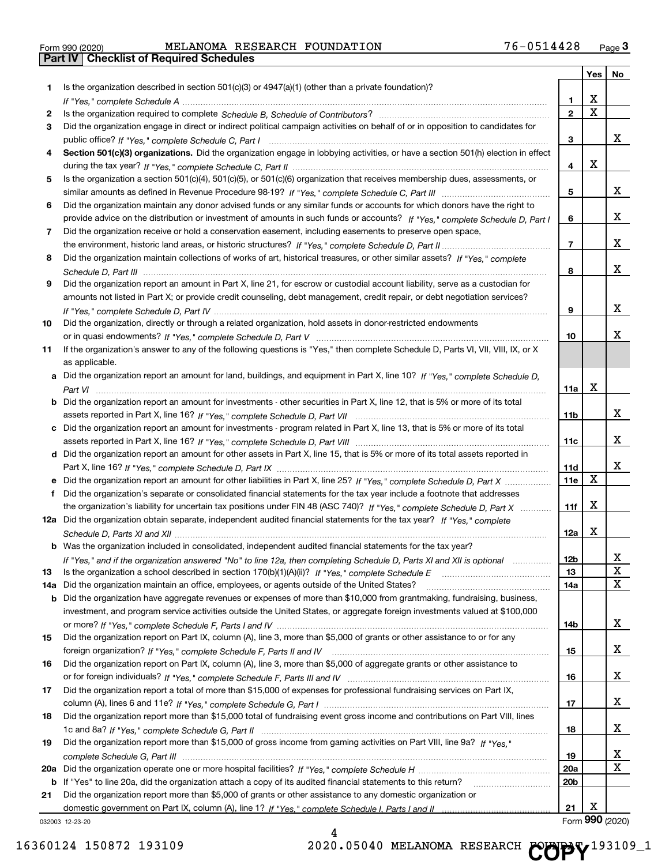|  | Form 990 (2020) |
|--|-----------------|

**Part IV Checklist of Required Schedules**

Form 990 (2020) MELANOMA RESEARCH FOUNDATION / 6-0514428 Page MELANOMA RESEARCH FOUNDATION 76-0514428

|     |                                                                                                                                       |                 | Yes         | No     |
|-----|---------------------------------------------------------------------------------------------------------------------------------------|-----------------|-------------|--------|
| 1.  | Is the organization described in section $501(c)(3)$ or $4947(a)(1)$ (other than a private foundation)?                               |                 |             |        |
|     |                                                                                                                                       | 1.              | X           |        |
| 2   |                                                                                                                                       | $\overline{2}$  | $\mathbf X$ |        |
| 3   | Did the organization engage in direct or indirect political campaign activities on behalf of or in opposition to candidates for       |                 |             |        |
|     |                                                                                                                                       | 3               |             | x      |
| 4   | Section 501(c)(3) organizations. Did the organization engage in lobbying activities, or have a section 501(h) election in effect      |                 |             |        |
|     |                                                                                                                                       | 4               | X           |        |
| 5   | Is the organization a section 501(c)(4), 501(c)(5), or 501(c)(6) organization that receives membership dues, assessments, or          |                 |             |        |
|     |                                                                                                                                       | 5               |             | x      |
| 6   | Did the organization maintain any donor advised funds or any similar funds or accounts for which donors have the right to             |                 |             |        |
|     | provide advice on the distribution or investment of amounts in such funds or accounts? If "Yes," complete Schedule D, Part I          | 6               |             | x      |
| 7   | Did the organization receive or hold a conservation easement, including easements to preserve open space,                             |                 |             |        |
|     |                                                                                                                                       | $\overline{7}$  |             | x      |
| 8   | Did the organization maintain collections of works of art, historical treasures, or other similar assets? If "Yes," complete          |                 |             |        |
|     |                                                                                                                                       | 8               |             | x      |
| 9   | Did the organization report an amount in Part X, line 21, for escrow or custodial account liability, serve as a custodian for         |                 |             |        |
|     | amounts not listed in Part X; or provide credit counseling, debt management, credit repair, or debt negotiation services?             |                 |             |        |
|     |                                                                                                                                       | 9               |             | x      |
| 10  | Did the organization, directly or through a related organization, hold assets in donor-restricted endowments                          |                 |             |        |
|     |                                                                                                                                       | 10              |             | x      |
| 11  | If the organization's answer to any of the following questions is "Yes," then complete Schedule D, Parts VI, VIII, VIII, IX, or X     |                 |             |        |
|     | as applicable.                                                                                                                        |                 |             |        |
|     | a Did the organization report an amount for land, buildings, and equipment in Part X, line 10? If "Yes," complete Schedule D,         |                 |             |        |
|     |                                                                                                                                       | 11a             | X           |        |
|     | <b>b</b> Did the organization report an amount for investments - other securities in Part X, line 12, that is 5% or more of its total |                 |             |        |
|     |                                                                                                                                       | 11 <sub>b</sub> |             | x      |
|     | c Did the organization report an amount for investments - program related in Part X, line 13, that is 5% or more of its total         |                 |             |        |
|     |                                                                                                                                       | 11c             |             | x      |
|     | d Did the organization report an amount for other assets in Part X, line 15, that is 5% or more of its total assets reported in       |                 |             | x      |
|     |                                                                                                                                       | 11d             | X           |        |
|     |                                                                                                                                       | 11e             |             |        |
|     | Did the organization's separate or consolidated financial statements for the tax year include a footnote that addresses               |                 | X           |        |
|     | the organization's liability for uncertain tax positions under FIN 48 (ASC 740)? If "Yes," complete Schedule D, Part X                | 11f             |             |        |
|     | 12a Did the organization obtain separate, independent audited financial statements for the tax year? If "Yes," complete               | 12a             | X           |        |
|     | <b>b</b> Was the organization included in consolidated, independent audited financial statements for the tax year?                    |                 |             |        |
|     |                                                                                                                                       |                 |             |        |
| 13  | If "Yes," and if the organization answered "No" to line 12a, then completing Schedule D, Parts XI and XII is optional metallion       | 12b<br>13       |             | ᅀ<br>X |
| 14a | Did the organization maintain an office, employees, or agents outside of the United States?                                           | 14a             |             | X      |
|     | <b>b</b> Did the organization have aggregate revenues or expenses of more than \$10,000 from grantmaking, fundraising, business,      |                 |             |        |
|     | investment, and program service activities outside the United States, or aggregate foreign investments valued at \$100,000            |                 |             |        |
|     |                                                                                                                                       | 14b             |             | x      |
| 15  | Did the organization report on Part IX, column (A), line 3, more than \$5,000 of grants or other assistance to or for any             |                 |             |        |
|     |                                                                                                                                       | 15              |             | x      |
| 16  | Did the organization report on Part IX, column (A), line 3, more than \$5,000 of aggregate grants or other assistance to              |                 |             |        |
|     |                                                                                                                                       | 16              |             | x      |
| 17  | Did the organization report a total of more than \$15,000 of expenses for professional fundraising services on Part IX,               |                 |             |        |
|     |                                                                                                                                       | 17              |             | x      |
| 18  | Did the organization report more than \$15,000 total of fundraising event gross income and contributions on Part VIII, lines          |                 |             |        |
|     |                                                                                                                                       | 18              |             | x      |
| 19  | Did the organization report more than \$15,000 of gross income from gaming activities on Part VIII, line 9a? If "Yes."                |                 |             |        |
|     |                                                                                                                                       | 19              |             | x      |
|     |                                                                                                                                       | 20a             |             | X      |
|     | b If "Yes" to line 20a, did the organization attach a copy of its audited financial statements to this return?                        | 20 <sub>b</sub> |             |        |
| 21  | Did the organization report more than \$5,000 of grants or other assistance to any domestic organization or                           |                 |             |        |
|     |                                                                                                                                       | 21              | X           |        |

032003 12-23-20

4 16360124 150872 193109 2020.05040 MELANOMA RESEARCH COPY<sup>193109\_1</sup>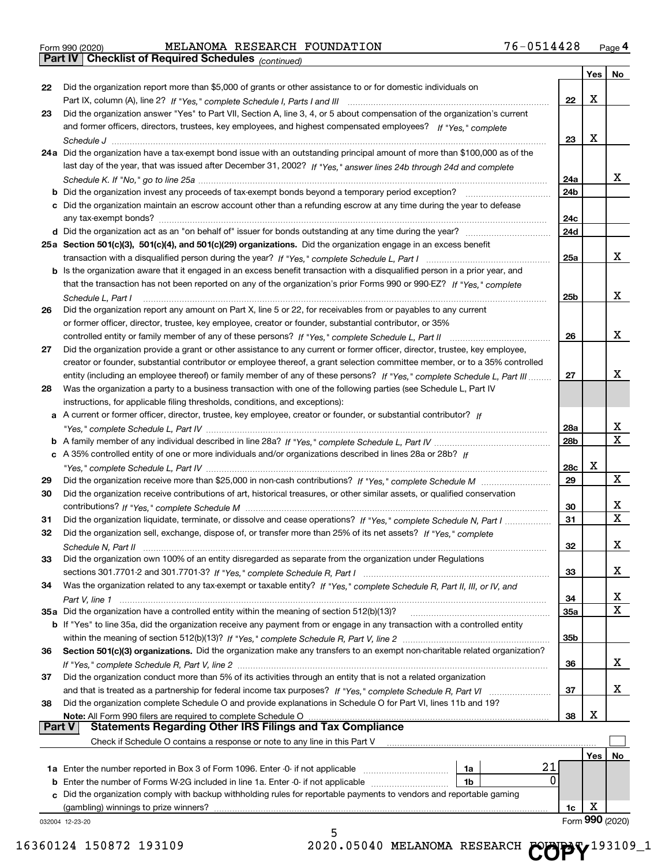|  | Form 990 (2020) |
|--|-----------------|
|  |                 |

**Part IV Checklist of Required Schedules**

### Form 990 (2020) MELANOMA RESEARCH FOUNDATION / 6-0514428 Page MELANOMA RESEARCH FOUNDATION 76-0514428

*(continued)*

|    |                                                                                                                              |            | Yes | No                           |
|----|------------------------------------------------------------------------------------------------------------------------------|------------|-----|------------------------------|
| 22 | Did the organization report more than \$5,000 of grants or other assistance to or for domestic individuals on                |            |     |                              |
|    |                                                                                                                              | 22         | х   |                              |
| 23 | Did the organization answer "Yes" to Part VII, Section A, line 3, 4, or 5 about compensation of the organization's current   |            |     |                              |
|    | and former officers, directors, trustees, key employees, and highest compensated employees? If "Yes," complete               |            |     |                              |
|    |                                                                                                                              | 23         | х   |                              |
|    | 24a Did the organization have a tax-exempt bond issue with an outstanding principal amount of more than \$100,000 as of the  |            |     |                              |
|    | last day of the year, that was issued after December 31, 2002? If "Yes," answer lines 24b through 24d and complete           |            |     |                              |
|    |                                                                                                                              | 24a        |     | X.                           |
|    | <b>b</b> Did the organization invest any proceeds of tax-exempt bonds beyond a temporary period exception?                   | 24b        |     |                              |
|    | c Did the organization maintain an escrow account other than a refunding escrow at any time during the year to defease       |            |     |                              |
|    | any tax-exempt bonds?                                                                                                        | 24c<br>24d |     |                              |
|    |                                                                                                                              |            |     |                              |
|    | 25a Section 501(c)(3), 501(c)(4), and 501(c)(29) organizations. Did the organization engage in an excess benefit             | 25a        |     | X.                           |
|    | b Is the organization aware that it engaged in an excess benefit transaction with a disqualified person in a prior year, and |            |     |                              |
|    | that the transaction has not been reported on any of the organization's prior Forms 990 or 990-EZ? If "Yes." complete        |            |     |                              |
|    | Schedule L. Part I                                                                                                           | 25b        |     | x                            |
| 26 | Did the organization report any amount on Part X, line 5 or 22, for receivables from or payables to any current              |            |     |                              |
|    | or former officer, director, trustee, key employee, creator or founder, substantial contributor, or 35%                      |            |     |                              |
|    | controlled entity or family member of any of these persons? If "Yes," complete Schedule L, Part II                           | 26         |     | x                            |
| 27 | Did the organization provide a grant or other assistance to any current or former officer, director, trustee, key employee,  |            |     |                              |
|    | creator or founder, substantial contributor or employee thereof, a grant selection committee member, or to a 35% controlled  |            |     |                              |
|    | entity (including an employee thereof) or family member of any of these persons? If "Yes," complete Schedule L. Part III     | 27         |     | X.                           |
| 28 | Was the organization a party to a business transaction with one of the following parties (see Schedule L, Part IV            |            |     |                              |
|    | instructions, for applicable filing thresholds, conditions, and exceptions):                                                 |            |     |                              |
|    | a A current or former officer, director, trustee, key employee, creator or founder, or substantial contributor? If           |            |     |                              |
|    |                                                                                                                              | 28a        |     | x                            |
|    |                                                                                                                              | 28b        |     | $\overline{\mathtt{x}}$      |
|    | c A 35% controlled entity of one or more individuals and/or organizations described in lines 28a or 28b? If                  |            |     |                              |
|    |                                                                                                                              | 28c        | X   |                              |
| 29 |                                                                                                                              | 29         |     | $\mathbf{x}$                 |
| 30 | Did the organization receive contributions of art, historical treasures, or other similar assets, or qualified conservation  |            |     |                              |
|    |                                                                                                                              | 30         |     | x                            |
| 31 | Did the organization liquidate, terminate, or dissolve and cease operations? If "Yes," complete Schedule N, Part I           | 31         |     | $\overline{\textbf{x}}$      |
| 32 | Did the organization sell, exchange, dispose of, or transfer more than 25% of its net assets? If "Yes," complete             |            |     |                              |
|    |                                                                                                                              | 32         |     | x                            |
| 33 | Did the organization own 100% of an entity disregarded as separate from the organization under Regulations                   |            |     |                              |
|    |                                                                                                                              | 33         |     | x                            |
| 34 | Was the organization related to any tax-exempt or taxable entity? If "Yes," complete Schedule R, Part II, III, or IV, and    |            |     |                              |
|    |                                                                                                                              | 34         |     | X<br>$\overline{\mathbf{X}}$ |
|    | 35a Did the organization have a controlled entity within the meaning of section 512(b)(13)?                                  | <b>35a</b> |     |                              |
|    | b If "Yes" to line 35a, did the organization receive any payment from or engage in any transaction with a controlled entity  | 35b        |     |                              |
| 36 | Section 501(c)(3) organizations. Did the organization make any transfers to an exempt non-charitable related organization?   |            |     |                              |
|    |                                                                                                                              | 36         |     | X.                           |
| 37 | Did the organization conduct more than 5% of its activities through an entity that is not a related organization             |            |     |                              |
|    |                                                                                                                              | 37         |     | X.                           |
| 38 | Did the organization complete Schedule O and provide explanations in Schedule O for Part VI, lines 11b and 19?               |            |     |                              |
|    | Note: All Form 990 filers are required to complete Schedule O                                                                | 38         | х   |                              |
|    | <b>Statements Regarding Other IRS Filings and Tax Compliance</b><br><b>Part V</b>                                            |            |     |                              |
|    | Check if Schedule O contains a response or note to any line in this Part V                                                   |            |     |                              |
|    |                                                                                                                              |            | Yes | No                           |
|    | 21<br>1a                                                                                                                     |            |     |                              |
|    | 0<br><b>b</b> Enter the number of Forms W-2G included in line 1a. Enter -0- if not applicable<br>1b                          |            |     |                              |
| c  | Did the organization comply with backup withholding rules for reportable payments to vendors and reportable gaming           |            |     |                              |
|    | (gambling) winnings to prize winners?                                                                                        | 1c         | х   |                              |
|    | 032004 12-23-20                                                                                                              |            |     | Form 990 (2020)              |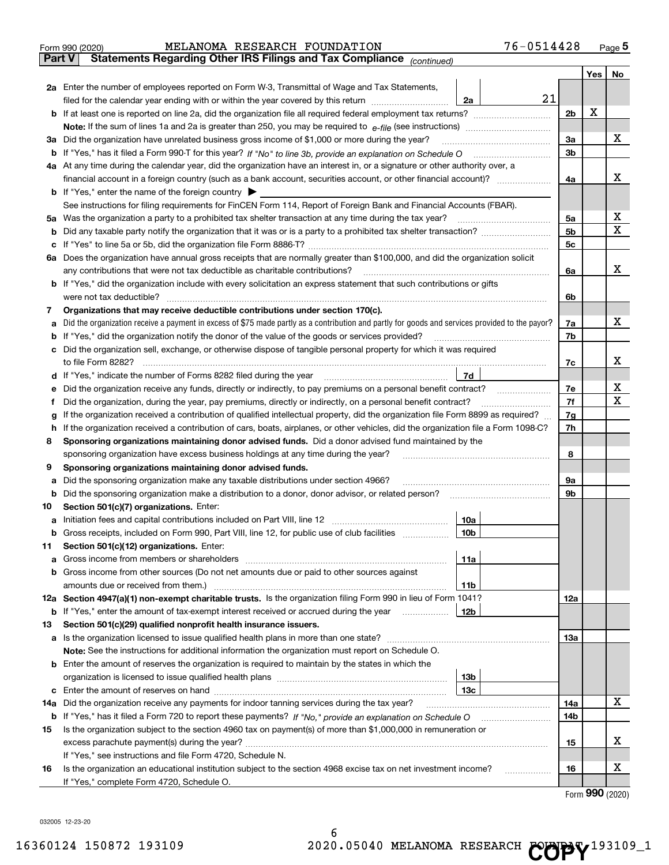|               | 76-0514428<br>MELANOMA RESEARCH FOUNDATION<br>Form 990 (2020)                                                                                   |                |     | Page $5$ |  |  |  |  |
|---------------|-------------------------------------------------------------------------------------------------------------------------------------------------|----------------|-----|----------|--|--|--|--|
| <b>Part V</b> | Statements Regarding Other IRS Filings and Tax Compliance (continued)                                                                           |                |     |          |  |  |  |  |
|               |                                                                                                                                                 |                | Yes | No       |  |  |  |  |
|               | 2a Enter the number of employees reported on Form W-3, Transmittal of Wage and Tax Statements,                                                  |                |     |          |  |  |  |  |
|               | 21<br>filed for the calendar year ending with or within the year covered by this return<br>2a                                                   |                |     |          |  |  |  |  |
|               |                                                                                                                                                 | 2b             | X   |          |  |  |  |  |
|               |                                                                                                                                                 |                |     |          |  |  |  |  |
|               | 3a Did the organization have unrelated business gross income of \$1,000 or more during the year?                                                | 3a             |     | х        |  |  |  |  |
| b             |                                                                                                                                                 | 3b             |     |          |  |  |  |  |
|               | 4a At any time during the calendar year, did the organization have an interest in, or a signature or other authority over, a                    |                |     |          |  |  |  |  |
|               |                                                                                                                                                 | 4a             |     | х        |  |  |  |  |
|               | <b>b</b> If "Yes," enter the name of the foreign country $\triangleright$                                                                       |                |     |          |  |  |  |  |
|               | See instructions for filing requirements for FinCEN Form 114, Report of Foreign Bank and Financial Accounts (FBAR).                             |                |     |          |  |  |  |  |
|               |                                                                                                                                                 | 5a             |     | X        |  |  |  |  |
| b             |                                                                                                                                                 | 5 <sub>b</sub> |     | х        |  |  |  |  |
| c             |                                                                                                                                                 | 5c             |     |          |  |  |  |  |
|               | 6a Does the organization have annual gross receipts that are normally greater than \$100,000, and did the organization solicit                  |                |     |          |  |  |  |  |
|               |                                                                                                                                                 | 6a             |     | x        |  |  |  |  |
|               | <b>b</b> If "Yes," did the organization include with every solicitation an express statement that such contributions or gifts                   |                |     |          |  |  |  |  |
|               | were not tax deductible?                                                                                                                        | 6b             |     |          |  |  |  |  |
| 7             | Organizations that may receive deductible contributions under section 170(c).                                                                   |                |     |          |  |  |  |  |
| а             | Did the organization receive a payment in excess of \$75 made partly as a contribution and partly for goods and services provided to the payor? | 7a             |     | х        |  |  |  |  |
| b             | If "Yes," did the organization notify the donor of the value of the goods or services provided?                                                 | 7b             |     |          |  |  |  |  |
|               | c Did the organization sell, exchange, or otherwise dispose of tangible personal property for which it was required                             |                |     |          |  |  |  |  |
|               |                                                                                                                                                 | 7c             |     | х        |  |  |  |  |
|               |                                                                                                                                                 |                |     |          |  |  |  |  |
| е             | Did the organization receive any funds, directly or indirectly, to pay premiums on a personal benefit contract?                                 | 7e             |     | X        |  |  |  |  |
| f             | Did the organization, during the year, pay premiums, directly or indirectly, on a personal benefit contract?                                    | 7f             |     | х        |  |  |  |  |
| g             | If the organization received a contribution of qualified intellectual property, did the organization file Form 8899 as required?                |                |     |          |  |  |  |  |
| h             | If the organization received a contribution of cars, boats, airplanes, or other vehicles, did the organization file a Form 1098-C?              |                |     |          |  |  |  |  |
| 8             | Sponsoring organizations maintaining donor advised funds. Did a donor advised fund maintained by the                                            |                |     |          |  |  |  |  |
|               | sponsoring organization have excess business holdings at any time during the year?                                                              | 8              |     |          |  |  |  |  |
| 9             | Sponsoring organizations maintaining donor advised funds.                                                                                       |                |     |          |  |  |  |  |
| а             | Did the sponsoring organization make any taxable distributions under section 4966?                                                              | 9а             |     |          |  |  |  |  |
| b             | Did the sponsoring organization make a distribution to a donor, donor advisor, or related person?                                               | 9b             |     |          |  |  |  |  |
| 10            | Section 501(c)(7) organizations. Enter:                                                                                                         |                |     |          |  |  |  |  |
|               | 10a                                                                                                                                             |                |     |          |  |  |  |  |
|               | 10b <br>Gross receipts, included on Form 990, Part VIII, line 12, for public use of club facilities                                             |                |     |          |  |  |  |  |
| 11            | Section 501(c)(12) organizations. Enter:                                                                                                        |                |     |          |  |  |  |  |
| a             | 11a                                                                                                                                             |                |     |          |  |  |  |  |
|               | b Gross income from other sources (Do not net amounts due or paid to other sources against                                                      |                |     |          |  |  |  |  |
|               | 11b                                                                                                                                             |                |     |          |  |  |  |  |
|               | 12a Section 4947(a)(1) non-exempt charitable trusts. Is the organization filing Form 990 in lieu of Form 1041?                                  | 12a            |     |          |  |  |  |  |
|               | <b>12b</b><br><b>b</b> If "Yes," enter the amount of tax-exempt interest received or accrued during the year <i>manument</i> of                 |                |     |          |  |  |  |  |
| 13            | Section 501(c)(29) qualified nonprofit health insurance issuers.                                                                                |                |     |          |  |  |  |  |
|               | a Is the organization licensed to issue qualified health plans in more than one state?                                                          | 13a            |     |          |  |  |  |  |
|               | Note: See the instructions for additional information the organization must report on Schedule O.                                               |                |     |          |  |  |  |  |
|               | <b>b</b> Enter the amount of reserves the organization is required to maintain by the states in which the                                       |                |     |          |  |  |  |  |
|               | 13b                                                                                                                                             |                |     |          |  |  |  |  |
|               | 13с                                                                                                                                             |                |     |          |  |  |  |  |
| 14a           | Did the organization receive any payments for indoor tanning services during the tax year?                                                      | 14a            |     | X        |  |  |  |  |
|               | <b>b</b> If "Yes," has it filed a Form 720 to report these payments? If "No," provide an explanation on Schedule O                              | 14b            |     |          |  |  |  |  |
| 15            | Is the organization subject to the section 4960 tax on payment(s) of more than \$1,000,000 in remuneration or                                   |                |     |          |  |  |  |  |
|               |                                                                                                                                                 | 15             |     | х        |  |  |  |  |
|               | If "Yes," see instructions and file Form 4720, Schedule N.                                                                                      |                |     |          |  |  |  |  |
| 16            | Is the organization an educational institution subject to the section 4968 excise tax on net investment income?                                 | 16             |     | х        |  |  |  |  |
|               | If "Yes," complete Form 4720, Schedule O.                                                                                                       |                |     |          |  |  |  |  |

Form (2020) **990**

032005 12-23-20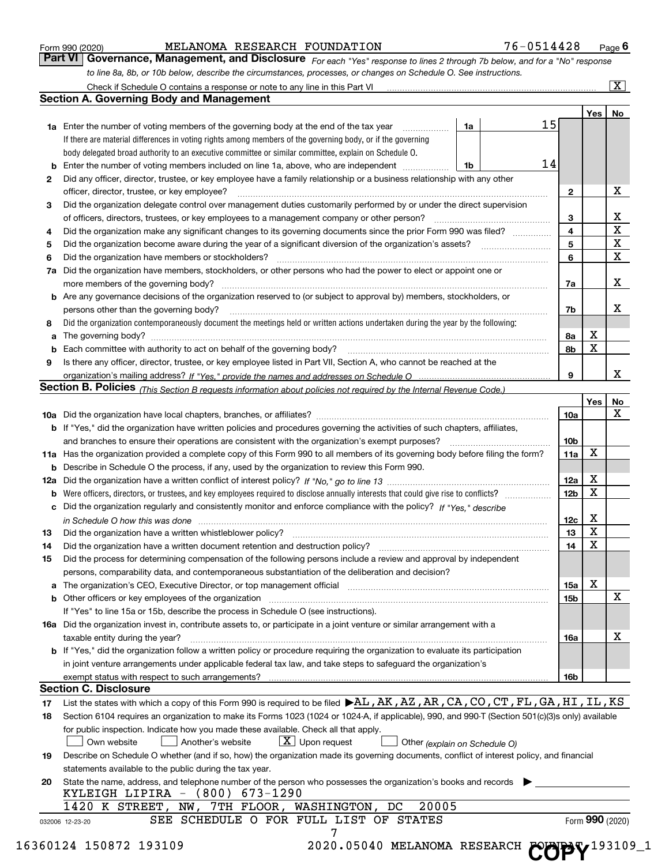|  | Form 990 (2020) |
|--|-----------------|
|  |                 |

Form 990 (2020) MELANOMA RESEARCH FOUNDATION / 6-0514428 Page MELANOMA RESEARCH FOUNDATION 76-0514428

**6**

*For each "Yes" response to lines 2 through 7b below, and for a "No" response to line 8a, 8b, or 10b below, describe the circumstances, processes, or changes on Schedule O. See instructions.* **Part VI Governance, Management, and Disclosure** 

|    |                                                                                                                                                                                                                                |                 | Yes             | No                      |
|----|--------------------------------------------------------------------------------------------------------------------------------------------------------------------------------------------------------------------------------|-----------------|-----------------|-------------------------|
|    | 15<br>1a<br><b>1a</b> Enter the number of voting members of the governing body at the end of the tax year <i>manumum</i>                                                                                                       |                 |                 |                         |
|    | If there are material differences in voting rights among members of the governing body, or if the governing                                                                                                                    |                 |                 |                         |
|    | body delegated broad authority to an executive committee or similar committee, explain on Schedule O.                                                                                                                          |                 |                 |                         |
|    | 14<br><b>b</b> Enter the number of voting members included on line 1a, above, who are independent <i>manument</i> in<br>1b                                                                                                     |                 |                 |                         |
| 2  | Did any officer, director, trustee, or key employee have a family relationship or a business relationship with any other                                                                                                       |                 |                 |                         |
|    | officer, director, trustee, or key employee?                                                                                                                                                                                   | $\mathbf{2}$    |                 | х                       |
| 3  | Did the organization delegate control over management duties customarily performed by or under the direct supervision                                                                                                          |                 |                 |                         |
|    |                                                                                                                                                                                                                                | 3               |                 | X                       |
| 4  | Did the organization make any significant changes to its governing documents since the prior Form 990 was filed?                                                                                                               | 4               |                 | $\overline{\mathtt{x}}$ |
| 5  |                                                                                                                                                                                                                                | 5               |                 | $\overline{\textbf{x}}$ |
| 6  | Did the organization have members or stockholders?                                                                                                                                                                             | 6               |                 | $\overline{\mathbf{x}}$ |
| 7a | Did the organization have members, stockholders, or other persons who had the power to elect or appoint one or                                                                                                                 |                 |                 |                         |
|    | more members of the governing body?                                                                                                                                                                                            | 7a              |                 | х                       |
|    | <b>b</b> Are any governance decisions of the organization reserved to (or subject to approval by) members, stockholders, or<br>persons other than the governing body?                                                          | 7b              |                 | х                       |
| 8  | Did the organization contemporaneously document the meetings held or written actions undertaken during the year by the following:                                                                                              |                 |                 |                         |
| a  |                                                                                                                                                                                                                                | 8а              | Х               |                         |
|    |                                                                                                                                                                                                                                | 8b              | X               |                         |
| 9  | Is there any officer, director, trustee, or key employee listed in Part VII, Section A, who cannot be reached at the                                                                                                           |                 |                 |                         |
|    |                                                                                                                                                                                                                                | 9               |                 | X                       |
|    | Section B. Policies (This Section B requests information about policies not required by the Internal Revenue Code.)                                                                                                            |                 |                 |                         |
|    |                                                                                                                                                                                                                                |                 | Yes             | No                      |
|    |                                                                                                                                                                                                                                | 10a             |                 | $\mathbf X$             |
|    | b If "Yes," did the organization have written policies and procedures governing the activities of such chapters, affiliates,                                                                                                   |                 |                 |                         |
|    |                                                                                                                                                                                                                                | 10b             |                 |                         |
|    | 11a Has the organization provided a complete copy of this Form 990 to all members of its governing body before filing the form?                                                                                                | 11a             | Х               |                         |
|    | <b>b</b> Describe in Schedule O the process, if any, used by the organization to review this Form 990.                                                                                                                         |                 |                 |                         |
|    |                                                                                                                                                                                                                                | 12a             | х               |                         |
|    | <b>b</b> Were officers, directors, or trustees, and key employees required to disclose annually interests that could give rise to conflicts?                                                                                   | 12 <sub>b</sub> | X               |                         |
|    | c Did the organization regularly and consistently monitor and enforce compliance with the policy? If "Yes." describe                                                                                                           |                 |                 |                         |
|    | in Schedule O how this was done manufactured and continuum control of the state of the state of the state of t                                                                                                                 | 12c             | х               |                         |
| 13 |                                                                                                                                                                                                                                | 13              | X               |                         |
| 14 |                                                                                                                                                                                                                                | 14              | X               |                         |
| 15 | Did the process for determining compensation of the following persons include a review and approval by independent<br>persons, comparability data, and contemporaneous substantiation of the deliberation and decision?        |                 |                 |                         |
|    | a The organization's CEO, Executive Director, or top management official manufactured content content of the organization's CEO, Executive Director, or top management official manufactured content of the state of the state | 15a             | Х               |                         |
|    | b Other officers or key employees of the organization manufactured content to the organization manufactured by Other officers or key employees of the organization manufactured by the state of the organization manufactured  | 15b             |                 | $\mathbf X$             |
|    | If "Yes" to line 15a or 15b, describe the process in Schedule O (see instructions).                                                                                                                                            |                 |                 |                         |
|    | 16a Did the organization invest in, contribute assets to, or participate in a joint venture or similar arrangement with a<br>taxable entity during the year?                                                                   | 16a             |                 | х                       |
|    | b If "Yes," did the organization follow a written policy or procedure requiring the organization to evaluate its participation                                                                                                 |                 |                 |                         |
|    | in joint venture arrangements under applicable federal tax law, and take steps to safeguard the organization's                                                                                                                 |                 |                 |                         |
|    |                                                                                                                                                                                                                                | 16b             |                 |                         |
|    | <b>Section C. Disclosure</b>                                                                                                                                                                                                   |                 |                 |                         |
| 17 | List the states with which a copy of this Form 990 is required to be filed $\blacktriangleright$ AL, AK, AZ, AR, CA, CO, CT, FL, GA, HI, IL, KS                                                                                |                 |                 |                         |
| 18 | Section 6104 requires an organization to make its Forms 1023 (1024 or 1024-A, if applicable), 990, and 990-T (Section 501(c)(3)s only) available                                                                               |                 |                 |                         |
|    | for public inspection. Indicate how you made these available. Check all that apply.<br>$X$ Upon request<br>Another's website<br>Own website<br>Other (explain on Schedule O)                                                   |                 |                 |                         |
| 19 | Describe on Schedule O whether (and if so, how) the organization made its governing documents, conflict of interest policy, and financial                                                                                      |                 |                 |                         |
|    | statements available to the public during the tax year.                                                                                                                                                                        |                 |                 |                         |
| 20 | State the name, address, and telephone number of the person who possesses the organization's books and records<br>KYLEIGH LIPIRA $-$ (800) 673-1290                                                                            |                 |                 |                         |
|    | 20005<br>1420 K STREET, NW, 7TH FLOOR, WASHINGTON, DC                                                                                                                                                                          |                 |                 |                         |
|    | SEE SCHEDULE O FOR FULL LIST OF STATES<br>032006 12-23-20                                                                                                                                                                      |                 | Form 990 (2020) |                         |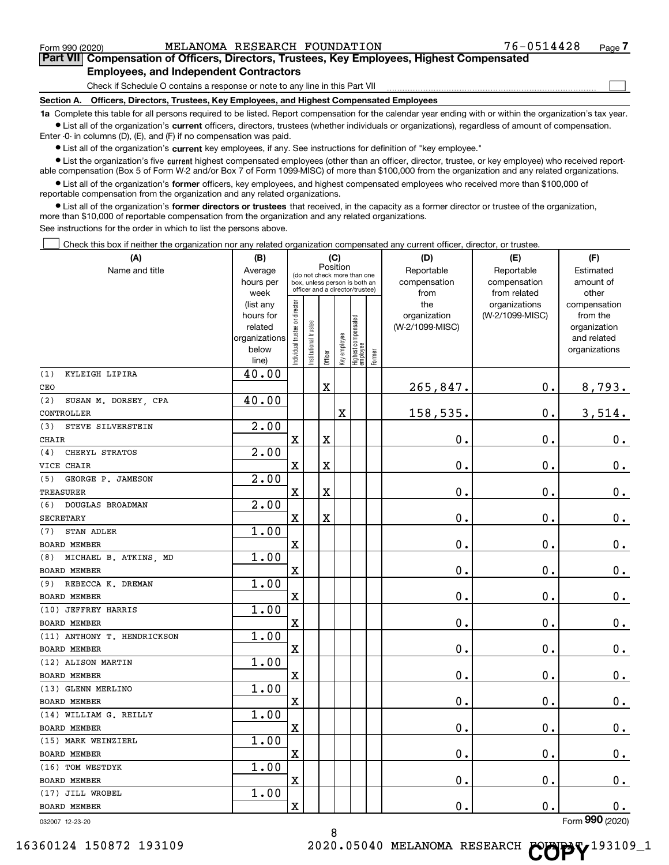$\begin{array}{c} \hline \end{array}$ 

# **Part VII Compensation of Officers, Directors, Trustees, Key Employees, Highest Compensated Employees, and Independent Contractors**

Check if Schedule O contains a response or note to any line in this Part VII

**Section A. Officers, Directors, Trustees, Key Employees, and Highest Compensated Employees**

**1a**  Complete this table for all persons required to be listed. Report compensation for the calendar year ending with or within the organization's tax year.  $\bullet$  List all of the organization's current officers, directors, trustees (whether individuals or organizations), regardless of amount of compensation.

Enter -0- in columns (D), (E), and (F) if no compensation was paid.

**•** List all of the organization's current key employees, if any. See instructions for definition of "key employee."

**•** List the organization's five current highest compensated employees (other than an officer, director, trustee, or key employee) who received reportable compensation (Box 5 of Form W-2 and/or Box 7 of Form 1099-MISC) of more than \$100,000 from the organization and any related organizations.

 $\bullet$  List all of the organization's former officers, key employees, and highest compensated employees who received more than \$100,000 of reportable compensation from the organization and any related organizations.

**•** List all of the organization's former directors or trustees that received, in the capacity as a former director or trustee of the organization, more than \$10,000 of reportable compensation from the organization and any related organizations.

See instructions for the order in which to list the persons above.

Check this box if neither the organization nor any related organization compensated any current officer, director, or trustee.  $\Box$ 

| (A)                          | (B)                  | (C)<br>Position               |                                                                  |             |              |                                 |        | (D)                        | (E)                        | (F)                    |
|------------------------------|----------------------|-------------------------------|------------------------------------------------------------------|-------------|--------------|---------------------------------|--------|----------------------------|----------------------------|------------------------|
| Name and title               | Average<br>hours per |                               | (do not check more than one                                      |             |              |                                 |        | Reportable<br>compensation | Reportable<br>compensation | Estimated<br>amount of |
|                              | week                 |                               | box, unless person is both an<br>officer and a director/trustee) |             |              |                                 |        | from                       | from related               | other                  |
|                              | (list any            |                               |                                                                  |             |              |                                 |        | the                        | organizations              | compensation           |
|                              | hours for            |                               |                                                                  |             |              |                                 |        | organization               | (W-2/1099-MISC)            | from the               |
|                              | related              |                               |                                                                  |             |              |                                 |        | (W-2/1099-MISC)            |                            | organization           |
|                              | organizations        |                               |                                                                  |             |              |                                 |        |                            |                            | and related            |
|                              | below                | ndividual trustee or director | Institutional trustee                                            | Officer     | Key employee | Highest compensated<br>employee | Former |                            |                            | organizations          |
| KYLEIGH LIPIRA               | line)                |                               |                                                                  |             |              |                                 |        |                            |                            |                        |
| (1)<br>CEO                   | 40.00                |                               |                                                                  | $\mathbf X$ |              |                                 |        | 265,847.                   | $\mathbf 0$ .              | 8,793.                 |
| SUSAN M. DORSEY, CPA<br>(2)  | 40.00                |                               |                                                                  |             |              |                                 |        |                            |                            |                        |
| CONTROLLER                   |                      |                               |                                                                  |             | X            |                                 |        | 158,535.                   | 0.                         | 3,514.                 |
| (3)<br>STEVE SILVERSTEIN     | 2.00                 |                               |                                                                  |             |              |                                 |        |                            |                            |                        |
| <b>CHAIR</b>                 |                      | $\overline{\mathbf{X}}$       |                                                                  | $\rm X$     |              |                                 |        | 0.                         | $\mathbf 0$ .              | 0.                     |
| CHERYL STRATOS<br>(4)        | 2.00                 |                               |                                                                  |             |              |                                 |        |                            |                            |                        |
| VICE CHAIR                   |                      | $\overline{\mathbf{X}}$       |                                                                  | $\mathbf X$ |              |                                 |        | $\mathbf 0$ .              | $\mathbf 0$ .              | $\mathbf 0$ .          |
| (5)<br>GEORGE P. JAMESON     | 2.00                 |                               |                                                                  |             |              |                                 |        |                            |                            |                        |
| <b>TREASURER</b>             |                      | X                             |                                                                  | $\mathbf X$ |              |                                 |        | 0.                         | 0.                         | $0_{.}$                |
| DOUGLAS BROADMAN<br>(6)      | 2.00                 |                               |                                                                  |             |              |                                 |        |                            |                            |                        |
| <b>SECRETARY</b>             |                      | $\rm X$                       |                                                                  | $\mathbf X$ |              |                                 |        | 0.                         | $\mathbf 0$ .              | 0.                     |
| STAN ADLER<br>(7)            | 1.00                 |                               |                                                                  |             |              |                                 |        |                            |                            |                        |
| <b>BOARD MEMBER</b>          |                      | $\overline{\mathbf{X}}$       |                                                                  |             |              |                                 |        | 0.                         | $\mathbf 0$ .              | $0_{.}$                |
| MICHAEL B. ATKINS, MD<br>(8) | 1.00                 |                               |                                                                  |             |              |                                 |        |                            |                            |                        |
| <b>BOARD MEMBER</b>          |                      | $\overline{\mathbf{X}}$       |                                                                  |             |              |                                 |        | $\mathbf 0$ .              | 0.                         | $\mathbf 0$ .          |
| REBECCA K. DREMAN<br>(9)     | 1.00                 |                               |                                                                  |             |              |                                 |        |                            |                            |                        |
| <b>BOARD MEMBER</b>          |                      | X                             |                                                                  |             |              |                                 |        | $\mathbf 0$ .              | $\mathbf 0$ .              | 0.                     |
| (10) JEFFREY HARRIS          | 1.00                 |                               |                                                                  |             |              |                                 |        |                            |                            |                        |
| <b>BOARD MEMBER</b>          |                      | X                             |                                                                  |             |              |                                 |        | 0.                         | $\mathbf 0$ .              | 0.                     |
| (11) ANTHONY T. HENDRICKSON  | 1.00                 |                               |                                                                  |             |              |                                 |        |                            |                            |                        |
| <b>BOARD MEMBER</b>          |                      | $\overline{\mathbf{X}}$       |                                                                  |             |              |                                 |        | 0.                         | $\mathbf 0$ .              | $\mathbf 0$ .          |
| (12) ALISON MARTIN           | 1.00                 |                               |                                                                  |             |              |                                 |        |                            |                            |                        |
| <b>BOARD MEMBER</b>          |                      | $\overline{\mathbf{X}}$       |                                                                  |             |              |                                 |        | $\mathbf 0$ .              | $\mathbf 0$ .              | 0.                     |
| (13) GLENN MERLINO           | 1.00                 |                               |                                                                  |             |              |                                 |        |                            |                            |                        |
| <b>BOARD MEMBER</b>          |                      | $\overline{\mathbf{X}}$       |                                                                  |             |              |                                 |        | 0.                         | $\mathbf 0$ .              | $0_{.}$                |
| (14) WILLIAM G. REILLY       | 1.00                 |                               |                                                                  |             |              |                                 |        |                            |                            |                        |
| <b>BOARD MEMBER</b>          |                      | $\overline{\text{X}}$         |                                                                  |             |              |                                 |        | 0.                         | $\mathbf 0$ .              | 0.                     |
| (15) MARK WEINZIERL          | 1.00                 |                               |                                                                  |             |              |                                 |        |                            |                            |                        |
| <b>BOARD MEMBER</b>          |                      | $\overline{\mathbf{X}}$       |                                                                  |             |              |                                 |        | 0.                         | $\mathbf 0$ .              | $\mathbf 0$ .          |
| (16) TOM WESTDYK             | 1.00                 |                               |                                                                  |             |              |                                 |        |                            |                            |                        |
| <b>BOARD MEMBER</b>          |                      | $\overline{\text{X}}$         |                                                                  |             |              |                                 |        | $\mathbf 0$ .              | $\mathbf 0$ .              | 0.                     |
| (17) JILL WROBEL             | 1.00                 |                               |                                                                  |             |              |                                 |        | 0.                         | $\mathbf 0$ .              |                        |
| <b>BOARD MEMBER</b>          |                      | X                             |                                                                  |             |              |                                 |        |                            |                            | 0.<br>Form 990 (2020)  |
| 032007 12-23-20              |                      |                               |                                                                  |             |              |                                 |        |                            |                            |                        |

032007 12-23-20

8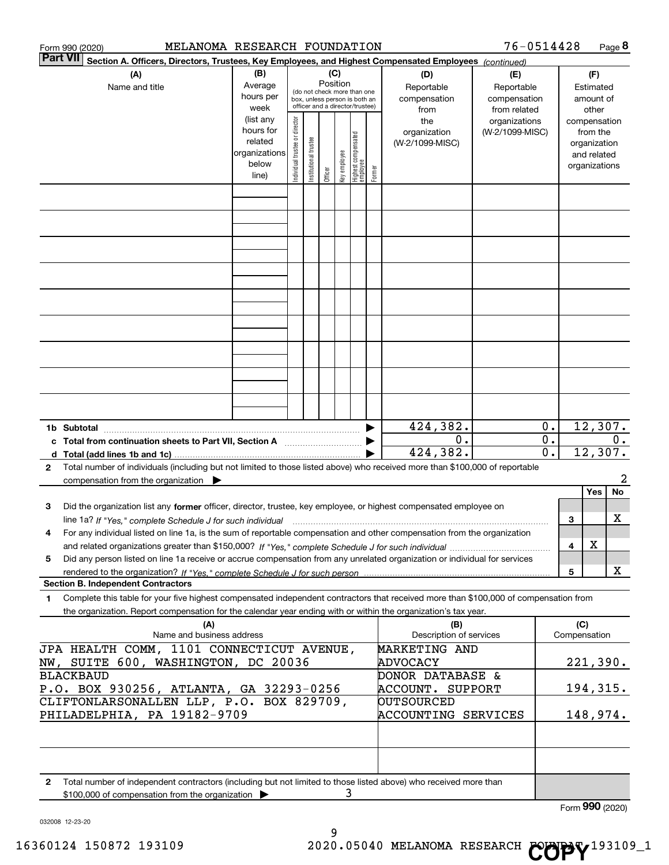|   | MELANOMA RESEARCH FOUNDATION<br>Form 990 (2020)                                                                                                                                                                                                        |                                                                      |                                |                       |                 |              |                                                                                                 |        |                                           | 76-0514428                                        |                                                 |                     | Page 8                                                                   |
|---|--------------------------------------------------------------------------------------------------------------------------------------------------------------------------------------------------------------------------------------------------------|----------------------------------------------------------------------|--------------------------------|-----------------------|-----------------|--------------|-------------------------------------------------------------------------------------------------|--------|-------------------------------------------|---------------------------------------------------|-------------------------------------------------|---------------------|--------------------------------------------------------------------------|
|   | <b>Part VII</b><br>Section A. Officers, Directors, Trustees, Key Employees, and Highest Compensated Employees (continued)                                                                                                                              |                                                                      |                                |                       |                 |              |                                                                                                 |        |                                           |                                                   |                                                 |                     |                                                                          |
|   | (A)<br>Name and title                                                                                                                                                                                                                                  | (B)<br>Average<br>hours per<br>week                                  |                                |                       | (C)<br>Position |              | (do not check more than one<br>box, unless person is both an<br>officer and a director/trustee) |        | (D)<br>Reportable<br>compensation<br>from | (E)<br>Reportable<br>compensation<br>from related |                                                 |                     | (F)<br>Estimated<br>amount of<br>other                                   |
|   |                                                                                                                                                                                                                                                        | (list any<br>hours for<br>related<br>organizations<br>below<br>line) | Individual trustee or director | Institutional trustee | Officer         | key employee | Highest compensated<br>employee                                                                 | Former | the<br>organization<br>(W-2/1099-MISC)    | organizations<br>(W-2/1099-MISC)                  |                                                 |                     | compensation<br>from the<br>organization<br>and related<br>organizations |
|   |                                                                                                                                                                                                                                                        |                                                                      |                                |                       |                 |              |                                                                                                 |        |                                           |                                                   |                                                 |                     |                                                                          |
|   |                                                                                                                                                                                                                                                        |                                                                      |                                |                       |                 |              |                                                                                                 |        |                                           |                                                   |                                                 |                     |                                                                          |
|   |                                                                                                                                                                                                                                                        |                                                                      |                                |                       |                 |              |                                                                                                 |        |                                           |                                                   |                                                 |                     |                                                                          |
|   |                                                                                                                                                                                                                                                        |                                                                      |                                |                       |                 |              |                                                                                                 |        |                                           |                                                   |                                                 |                     |                                                                          |
|   |                                                                                                                                                                                                                                                        |                                                                      |                                |                       |                 |              |                                                                                                 |        |                                           |                                                   |                                                 |                     |                                                                          |
|   |                                                                                                                                                                                                                                                        |                                                                      |                                |                       |                 |              |                                                                                                 |        |                                           |                                                   |                                                 |                     |                                                                          |
|   |                                                                                                                                                                                                                                                        |                                                                      |                                |                       |                 |              |                                                                                                 |        |                                           |                                                   |                                                 |                     |                                                                          |
|   |                                                                                                                                                                                                                                                        |                                                                      |                                |                       |                 |              |                                                                                                 |        |                                           |                                                   |                                                 |                     |                                                                          |
|   | 1b Subtotal                                                                                                                                                                                                                                            |                                                                      |                                |                       |                 |              |                                                                                                 |        | 424,382.                                  |                                                   | 0.                                              |                     | 12,307.                                                                  |
|   | c Total from continuation sheets to Part VII, Section A manufactor continuum                                                                                                                                                                           |                                                                      |                                |                       |                 |              |                                                                                                 |        | 0.<br>424,382.                            |                                                   | $\overline{0}$ .<br>$\overline{\mathfrak{0}}$ . |                     | 0.<br>12,307.                                                            |
| 2 | Total number of individuals (including but not limited to those listed above) who received more than \$100,000 of reportable<br>compensation from the organization                                                                                     |                                                                      |                                |                       |                 |              |                                                                                                 |        |                                           |                                                   |                                                 |                     | 2                                                                        |
| з | Did the organization list any former officer, director, trustee, key employee, or highest compensated employee on                                                                                                                                      |                                                                      |                                |                       |                 |              |                                                                                                 |        |                                           |                                                   |                                                 |                     | No<br>Yes                                                                |
|   | line 1a? If "Yes," complete Schedule J for such individual manufactured contained and the Yes," complete Schedule J for such individual                                                                                                                |                                                                      |                                |                       |                 |              |                                                                                                 |        |                                           |                                                   |                                                 | 3                   | х                                                                        |
| 4 | For any individual listed on line 1a, is the sum of reportable compensation and other compensation from the organization                                                                                                                               |                                                                      |                                |                       |                 |              |                                                                                                 |        |                                           |                                                   |                                                 | 4                   | х                                                                        |
| 5 | Did any person listed on line 1a receive or accrue compensation from any unrelated organization or individual for services                                                                                                                             |                                                                      |                                |                       |                 |              |                                                                                                 |        |                                           |                                                   |                                                 |                     |                                                                          |
|   | <b>Section B. Independent Contractors</b>                                                                                                                                                                                                              |                                                                      |                                |                       |                 |              |                                                                                                 |        |                                           |                                                   |                                                 | 5                   | X                                                                        |
| 1 | Complete this table for your five highest compensated independent contractors that received more than \$100,000 of compensation from<br>the organization. Report compensation for the calendar year ending with or within the organization's tax year. |                                                                      |                                |                       |                 |              |                                                                                                 |        |                                           |                                                   |                                                 |                     |                                                                          |
|   | (A)<br>Name and business address                                                                                                                                                                                                                       |                                                                      |                                |                       |                 |              |                                                                                                 |        | (B)<br>Description of services            |                                                   |                                                 | (C)<br>Compensation |                                                                          |
|   | JPA HEALTH COMM, 1101 CONNECTICUT AVENUE,<br>NW, SUITE 600, WASHINGTON, DC 20036                                                                                                                                                                       |                                                                      |                                |                       |                 |              |                                                                                                 |        | <b>MARKETING AND</b><br>ADVOCACY          |                                                   |                                                 |                     | 221,390.                                                                 |
|   | <b>BLACKBAUD</b><br>P.O. BOX 930256, ATLANTA, GA 32293-0256                                                                                                                                                                                            |                                                                      |                                |                       |                 |              |                                                                                                 |        | DONOR DATABASE &<br>ACCOUNT. SUPPORT      |                                                   |                                                 |                     | 194, 315.                                                                |
|   | CLIFTONLARSONALLEN LLP, P.O. BOX 829709,<br>PHILADELPHIA, PA 19182-9709                                                                                                                                                                                |                                                                      |                                |                       |                 |              |                                                                                                 |        | <b>DUTSOURCED</b><br>ACCOUNTING SERVICES  |                                                   |                                                 |                     | 148,974.                                                                 |
|   |                                                                                                                                                                                                                                                        |                                                                      |                                |                       |                 |              |                                                                                                 |        |                                           |                                                   |                                                 |                     |                                                                          |
| 2 | Total number of independent contractors (including but not limited to those listed above) who received more than                                                                                                                                       |                                                                      |                                |                       |                 |              |                                                                                                 |        |                                           |                                                   |                                                 |                     |                                                                          |
|   | \$100,000 of compensation from the organization                                                                                                                                                                                                        |                                                                      |                                |                       |                 | 3            |                                                                                                 |        |                                           |                                                   |                                                 |                     | Form 990 (2020)                                                          |

032008 12-23-20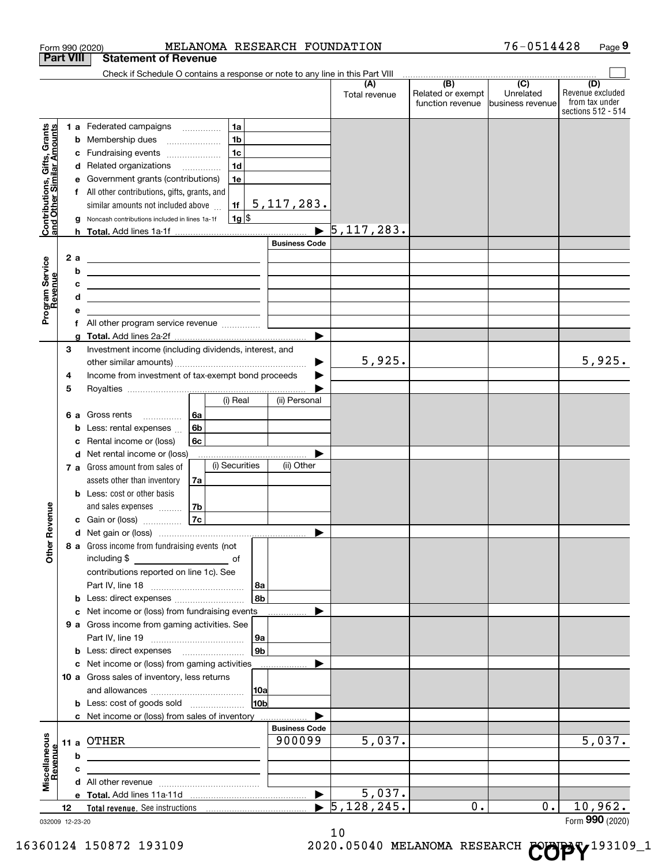|                                                           |      |    | Form 990 (2020)                                                                                                       |                 | MELANOMA RESEARCH FOUNDATION |                                    |                                              | 76-0514428                                        | Page 9                                                          |
|-----------------------------------------------------------|------|----|-----------------------------------------------------------------------------------------------------------------------|-----------------|------------------------------|------------------------------------|----------------------------------------------|---------------------------------------------------|-----------------------------------------------------------------|
| <b>Part VIII</b>                                          |      |    | <b>Statement of Revenue</b>                                                                                           |                 |                              |                                    |                                              |                                                   |                                                                 |
|                                                           |      |    | Check if Schedule O contains a response or note to any line in this Part VIII                                         |                 |                              |                                    |                                              |                                                   |                                                                 |
|                                                           |      |    |                                                                                                                       |                 |                              | (A)<br>Total revenue               | (B)<br>Related or exempt<br>function revenue | $\overline{(C)}$<br>Unrelated<br>business revenue | (D)<br>Revenue excluded<br>from tax under<br>sections 512 - 514 |
|                                                           |      |    | 1 a Federated campaigns                                                                                               | 1a              |                              |                                    |                                              |                                                   |                                                                 |
|                                                           |      |    | <b>b</b> Membership dues                                                                                              | 1 <sub>b</sub>  |                              |                                    |                                              |                                                   |                                                                 |
|                                                           |      |    | c Fundraising events                                                                                                  | 1 <sub>c</sub>  |                              |                                    |                                              |                                                   |                                                                 |
| Contributions, Gifts, Grants<br>and Other Similar Amounts |      |    | d Related organizations                                                                                               | 1 <sub>d</sub>  |                              |                                    |                                              |                                                   |                                                                 |
|                                                           |      | е  | Government grants (contributions)                                                                                     | 1e              |                              |                                    |                                              |                                                   |                                                                 |
|                                                           |      |    | f All other contributions, gifts, grants, and                                                                         |                 |                              |                                    |                                              |                                                   |                                                                 |
|                                                           |      |    | similar amounts not included above                                                                                    |                 | $\vert$ 117, 283.            |                                    |                                              |                                                   |                                                                 |
|                                                           |      |    | g Noncash contributions included in lines 1a-1f                                                                       | $1g$ \$         |                              |                                    |                                              |                                                   |                                                                 |
|                                                           |      |    |                                                                                                                       |                 |                              | $\blacktriangleright$ 5, 117, 283. |                                              |                                                   |                                                                 |
|                                                           |      |    |                                                                                                                       |                 | <b>Business Code</b>         |                                    |                                              |                                                   |                                                                 |
|                                                           |      | 2a | <u> 1980 - Jan Sterling, mars and de la politica de la politica de la politica de la politica de la politica de</u>   |                 |                              |                                    |                                              |                                                   |                                                                 |
|                                                           |      | b  | <u> 1989 - Johann Stein, marwolaethau a bhann an t-Amhainn an t-Amhainn an t-Amhainn an t-Amhainn an t-Amhainn an</u> |                 |                              |                                    |                                              |                                                   |                                                                 |
| evenue                                                    |      | c  | <u> 1989 - Johann Stein, mars an deutscher Stein († 1989)</u>                                                         |                 |                              |                                    |                                              |                                                   |                                                                 |
|                                                           |      | d  | the contract of the contract of the contract of the contract of the contract of                                       |                 |                              |                                    |                                              |                                                   |                                                                 |
| Program Service<br>Revenue                                |      | е  |                                                                                                                       |                 |                              |                                    |                                              |                                                   |                                                                 |
|                                                           |      |    |                                                                                                                       |                 |                              |                                    |                                              |                                                   |                                                                 |
|                                                           |      | a  |                                                                                                                       |                 |                              |                                    |                                              |                                                   |                                                                 |
|                                                           | 3    |    | Investment income (including dividends, interest, and                                                                 |                 |                              |                                    |                                              |                                                   |                                                                 |
|                                                           |      |    |                                                                                                                       |                 | ▶                            | 5,925.                             |                                              |                                                   | 5,925.                                                          |
|                                                           | 4    |    | Income from investment of tax-exempt bond proceeds                                                                    |                 |                              |                                    |                                              |                                                   |                                                                 |
|                                                           | 5    |    |                                                                                                                       | (i) Real        | (ii) Personal                |                                    |                                              |                                                   |                                                                 |
|                                                           |      |    |                                                                                                                       |                 |                              |                                    |                                              |                                                   |                                                                 |
|                                                           |      | 6а | 6а<br>Gross rents                                                                                                     |                 |                              |                                    |                                              |                                                   |                                                                 |
|                                                           |      | b  | 6b<br>Less: rental expenses                                                                                           |                 |                              |                                    |                                              |                                                   |                                                                 |
|                                                           |      | с  | 6c<br>Rental income or (loss)                                                                                         |                 |                              |                                    |                                              |                                                   |                                                                 |
|                                                           |      |    | d Net rental income or (loss)<br>7 a Gross amount from sales of                                                       | (i) Securities  | (ii) Other                   |                                    |                                              |                                                   |                                                                 |
|                                                           |      |    | assets other than inventory<br>7a                                                                                     |                 |                              |                                    |                                              |                                                   |                                                                 |
|                                                           |      |    | <b>b</b> Less: cost or other basis                                                                                    |                 |                              |                                    |                                              |                                                   |                                                                 |
|                                                           |      |    | and sales expenses<br>7b                                                                                              |                 |                              |                                    |                                              |                                                   |                                                                 |
| wenue                                                     |      |    | 7c<br><b>c</b> Gain or (loss) $\ldots$                                                                                |                 |                              |                                    |                                              |                                                   |                                                                 |
|                                                           |      |    |                                                                                                                       |                 |                              |                                    |                                              |                                                   |                                                                 |
| Other R                                                   |      |    | 8 a Gross income from fundraising events (not                                                                         |                 |                              |                                    |                                              |                                                   |                                                                 |
|                                                           |      |    | including \$                                                                                                          |                 |                              |                                    |                                              |                                                   |                                                                 |
|                                                           |      |    | contributions reported on line 1c). See                                                                               |                 |                              |                                    |                                              |                                                   |                                                                 |
|                                                           |      |    |                                                                                                                       | 8a              |                              |                                    |                                              |                                                   |                                                                 |
|                                                           |      |    | <b>b</b> Less: direct expenses <b>constants</b> b                                                                     | l 8b            |                              |                                    |                                              |                                                   |                                                                 |
|                                                           |      |    | c Net income or (loss) from fundraising events                                                                        |                 |                              |                                    |                                              |                                                   |                                                                 |
|                                                           |      |    | 9 a Gross income from gaming activities. See                                                                          |                 |                              |                                    |                                              |                                                   |                                                                 |
|                                                           |      |    |                                                                                                                       | 9a              |                              |                                    |                                              |                                                   |                                                                 |
|                                                           |      |    | <b>b</b> Less: direct expenses <b>manually</b>                                                                        | 9b              |                              |                                    |                                              |                                                   |                                                                 |
|                                                           |      |    | c Net income or (loss) from gaming activities                                                                         |                 |                              |                                    |                                              |                                                   |                                                                 |
|                                                           |      |    | 10 a Gross sales of inventory, less returns                                                                           |                 |                              |                                    |                                              |                                                   |                                                                 |
|                                                           |      |    |                                                                                                                       | 10a             |                              |                                    |                                              |                                                   |                                                                 |
|                                                           |      |    | <b>b</b> Less: cost of goods sold                                                                                     | 10 <sub>b</sub> |                              |                                    |                                              |                                                   |                                                                 |
|                                                           |      |    | c Net income or (loss) from sales of inventory                                                                        |                 | <b>Business Code</b>         |                                    |                                              |                                                   |                                                                 |
|                                                           |      |    | OTHER                                                                                                                 |                 | 900099                       | 5,037.                             |                                              |                                                   | 5,037.                                                          |
|                                                           | 11 a | b  |                                                                                                                       |                 |                              |                                    |                                              |                                                   |                                                                 |
|                                                           |      | c  |                                                                                                                       |                 |                              |                                    |                                              |                                                   |                                                                 |
| Miscellaneous<br>Revenue                                  |      |    |                                                                                                                       |                 |                              |                                    |                                              |                                                   |                                                                 |
|                                                           |      |    |                                                                                                                       |                 | $\blacktriangleright$        | 5,037.                             |                                              |                                                   |                                                                 |
|                                                           | 12   |    |                                                                                                                       |                 |                              | $\blacktriangleright$ 5,128,245.   | 0.                                           | 0.                                                | 10,962.                                                         |
| 032009 12-23-20                                           |      |    |                                                                                                                       |                 |                              |                                    |                                              |                                                   | Form 990 (2020)                                                 |

032009 12-23-20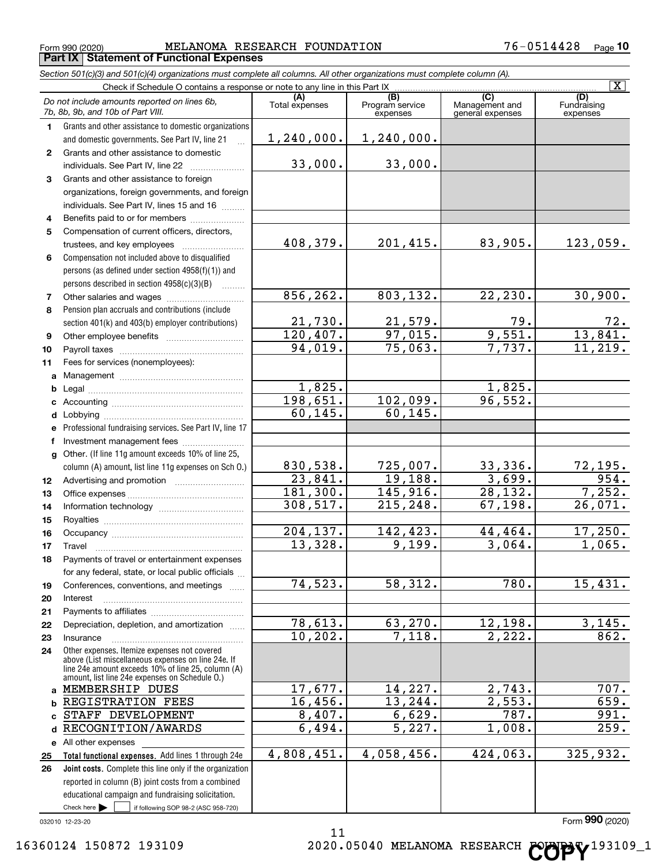$_{\rm Form}$   $_{990}$  (2020) <code>MELANOMA</code> RESEARCH FOUNDATION  $76-0514428$   $_{\rm Page}$ **Porm 990 (2020)**<br>**Part IX** Statement of Functional Expenses

|    | Section 501(c)(3) and 501(c)(4) organizations must complete all columns. All other organizations must complete column (A).                                                                                 |                       |                                    |                                           |                                |
|----|------------------------------------------------------------------------------------------------------------------------------------------------------------------------------------------------------------|-----------------------|------------------------------------|-------------------------------------------|--------------------------------|
|    | Check if Schedule O contains a response or note to any line in this Part IX.                                                                                                                               |                       |                                    |                                           | $\overline{\mathbf{x}}$        |
|    | Do not include amounts reported on lines 6b,<br>7b, 8b, 9b, and 10b of Part VIII.                                                                                                                          | (A)<br>Total expenses | (B)<br>Program service<br>expenses | (C)<br>Management and<br>general expenses | (D)<br>Fundraising<br>expenses |
| 1. | Grants and other assistance to domestic organizations                                                                                                                                                      |                       |                                    |                                           |                                |
|    | and domestic governments. See Part IV, line 21                                                                                                                                                             | 1,240,000.            | 1, 240, 000.                       |                                           |                                |
| 2  | Grants and other assistance to domestic                                                                                                                                                                    |                       |                                    |                                           |                                |
|    | individuals. See Part IV, line 22                                                                                                                                                                          | 33,000.               | 33,000.                            |                                           |                                |
| 3  | Grants and other assistance to foreign                                                                                                                                                                     |                       |                                    |                                           |                                |
|    | organizations, foreign governments, and foreign                                                                                                                                                            |                       |                                    |                                           |                                |
|    | individuals. See Part IV, lines 15 and 16                                                                                                                                                                  |                       |                                    |                                           |                                |
| 4  | Benefits paid to or for members                                                                                                                                                                            |                       |                                    |                                           |                                |
| 5  | Compensation of current officers, directors,                                                                                                                                                               |                       |                                    |                                           |                                |
|    | trustees, and key employees                                                                                                                                                                                | 408,379.              | 201,415.                           | 83,905.                                   | 123,059.                       |
| 6  | Compensation not included above to disqualified                                                                                                                                                            |                       |                                    |                                           |                                |
|    | persons (as defined under section 4958(f)(1)) and                                                                                                                                                          |                       |                                    |                                           |                                |
|    | persons described in section 4958(c)(3)(B)                                                                                                                                                                 |                       |                                    |                                           |                                |
| 7  | Other salaries and wages                                                                                                                                                                                   | 856, 262.             | 803,132.                           | 22, 230.                                  | 30,900.                        |
| 8  | Pension plan accruals and contributions (include                                                                                                                                                           |                       |                                    |                                           |                                |
|    | section 401(k) and 403(b) employer contributions)                                                                                                                                                          | 21,730.               | $\frac{21,579.}{97,015.}$          | $\frac{79}{9,551}$ .                      | $\frac{72}{13,841}$            |
| 9  |                                                                                                                                                                                                            | 120,407.              |                                    |                                           |                                |
| 10 |                                                                                                                                                                                                            | 94,019.               | 75,063.                            | 7,737.                                    | 11,219.                        |
| 11 | Fees for services (nonemployees):                                                                                                                                                                          |                       |                                    |                                           |                                |
| a  |                                                                                                                                                                                                            |                       |                                    |                                           |                                |
| b  |                                                                                                                                                                                                            | 1,825.                |                                    | 1,825.                                    |                                |
| c  |                                                                                                                                                                                                            | 198,651.              | 102,099.                           | 96,552.                                   |                                |
|    |                                                                                                                                                                                                            | 60, 145.              | 60, 145.                           |                                           |                                |
| е  | Professional fundraising services. See Part IV, line 17                                                                                                                                                    |                       |                                    |                                           |                                |
| f  | Investment management fees                                                                                                                                                                                 |                       |                                    |                                           |                                |
|    | g Other. (If line 11g amount exceeds 10% of line 25,                                                                                                                                                       |                       |                                    |                                           |                                |
|    | column (A) amount, list line 11g expenses on Sch O.)                                                                                                                                                       | 830,538.              | 725,007.                           | 33,336.                                   | $\frac{72,195.}{954.}$         |
| 12 |                                                                                                                                                                                                            | 23,841.               | 19,188.                            | 3,699.                                    |                                |
| 13 |                                                                                                                                                                                                            | 181,300.              | 145,916.                           | 28, 132.                                  | 7,252.                         |
| 14 |                                                                                                                                                                                                            | 308,517.              | 215,248.                           | 67, 198.                                  | 26,071.                        |
| 15 |                                                                                                                                                                                                            |                       |                                    |                                           |                                |
| 16 |                                                                                                                                                                                                            | 204,137.              | 142,423.                           | 44,464.                                   | 17,250.                        |
| 17 |                                                                                                                                                                                                            | 13,328.               | 9,199.                             | 3,064.                                    | 1,065.                         |
| 18 | Payments of travel or entertainment expenses                                                                                                                                                               |                       |                                    |                                           |                                |
|    | for any federal, state, or local public officials                                                                                                                                                          |                       |                                    |                                           |                                |
| 19 | Conferences, conventions, and meetings                                                                                                                                                                     | 74,523.               | 58,312.                            | 780.                                      | 15,431.                        |
| 20 | Interest                                                                                                                                                                                                   |                       |                                    |                                           |                                |
| 21 |                                                                                                                                                                                                            |                       |                                    |                                           |                                |
| 22 | Depreciation, depletion, and amortization                                                                                                                                                                  | 78,613.               | 63,270.                            | 12,198.                                   | 3,145.                         |
| 23 | Insurance                                                                                                                                                                                                  | 10, 202.              | 7,118.                             | 2,222.                                    | 862.                           |
| 24 | Other expenses. Itemize expenses not covered<br>above (List miscellaneous expenses on line 24e. If<br>line 24e amount exceeds 10% of line 25, column (A)<br>amount, list line 24e expenses on Schedule O.) |                       |                                    |                                           |                                |
|    | a MEMBERSHIP DUES                                                                                                                                                                                          | 17,677.               | 14,227.                            | 2,743.                                    | 707.                           |
| b  | REGISTRATION FEES                                                                                                                                                                                          | 16,456.               | 13,244.                            | 2,553.                                    | 659.                           |
| c  | STAFF DEVELOPMENT                                                                                                                                                                                          | 8,407.                | 6,629.                             | 787.                                      | 991.                           |
| d  | RECOGNITION/AWARDS                                                                                                                                                                                         | 6,494.                | 5,227.                             | 1,008.                                    | 259.                           |
|    | e All other expenses                                                                                                                                                                                       |                       |                                    |                                           |                                |
| 25 | Total functional expenses. Add lines 1 through 24e                                                                                                                                                         | 4,808,451.            | 4,058,456.                         | 424,063.                                  | 325,932.                       |
| 26 | <b>Joint costs.</b> Complete this line only if the organization                                                                                                                                            |                       |                                    |                                           |                                |
|    | reported in column (B) joint costs from a combined                                                                                                                                                         |                       |                                    |                                           |                                |
|    | educational campaign and fundraising solicitation.                                                                                                                                                         |                       |                                    |                                           |                                |
|    | Check here $\blacktriangleright$<br>if following SOP 98-2 (ASC 958-720)                                                                                                                                    |                       |                                    |                                           |                                |

032010 12-23-20

11 16360124 150872 193109 2020.05040 MELANOMA RESEARCH COPY<sup>193109\_1</sup>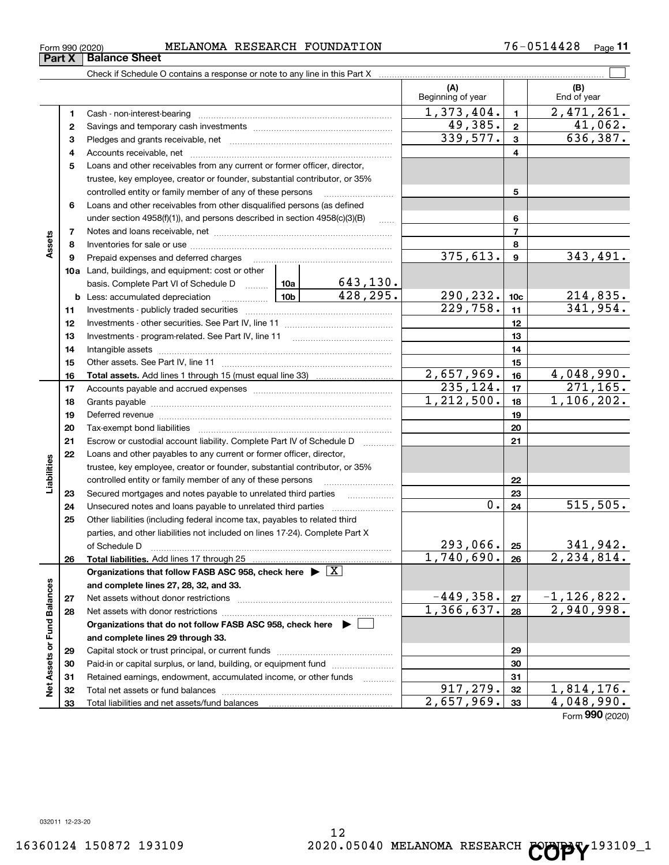**33**

Total liabilities and net assets/fund balances

# $_{\rm Form}$   $_{990}$  (2020) <code>MELANOMA</code> RESEARCH FOUNDATION  $76-0514428$   $_{\rm Page}$

Check if Schedule O contains a response or note to any line in this Part X

**Part X Balance Sheet** 

|                             |          |                                                                                                                                                                                                                                |            |                     | (A)<br>Beginning of year |                 | (B)<br>End of year |
|-----------------------------|----------|--------------------------------------------------------------------------------------------------------------------------------------------------------------------------------------------------------------------------------|------------|---------------------|--------------------------|-----------------|--------------------|
|                             | 1        | Cash - non-interest-bearing                                                                                                                                                                                                    |            |                     | 1,373,404.               | $\mathbf{1}$    | 2,471,261.         |
|                             | 2        |                                                                                                                                                                                                                                | 49,385.    | $\overline{2}$      | 41,062.                  |                 |                    |
|                             | з        |                                                                                                                                                                                                                                |            | 339, 577.           | 3                        | 636,387.        |                    |
|                             | 4        |                                                                                                                                                                                                                                |            |                     |                          | 4               |                    |
|                             | 5        | Loans and other receivables from any current or former officer, director,                                                                                                                                                      |            |                     |                          |                 |                    |
|                             |          | trustee, key employee, creator or founder, substantial contributor, or 35%                                                                                                                                                     |            |                     |                          |                 |                    |
|                             |          | controlled entity or family member of any of these persons                                                                                                                                                                     |            |                     |                          | 5               |                    |
|                             | 6        | Loans and other receivables from other disqualified persons (as defined                                                                                                                                                        |            |                     |                          |                 |                    |
|                             |          | under section $4958(f)(1)$ , and persons described in section $4958(c)(3)(B)$                                                                                                                                                  |            | $\ldots$            |                          | 6               |                    |
|                             | 7        |                                                                                                                                                                                                                                |            |                     |                          | 7               |                    |
| Assets                      | 8        |                                                                                                                                                                                                                                |            |                     |                          | 8               |                    |
|                             | 9        | Prepaid expenses and deferred charges                                                                                                                                                                                          |            |                     | 375,613.                 | 9               | 343,491.           |
|                             |          | 10a Land, buildings, and equipment: cost or other                                                                                                                                                                              |            |                     |                          |                 |                    |
|                             |          | basis. Complete Part VI of Schedule D    10a   643, 130.                                                                                                                                                                       |            |                     |                          |                 |                    |
|                             |          | <u>  10b</u><br><b>b</b> Less: accumulated depreciation                                                                                                                                                                        |            | 428, 295.           | 290, 232.                | 10 <sub>c</sub> | 214,835.           |
|                             | 11       |                                                                                                                                                                                                                                |            |                     | 229,758.                 | 11              | 341,954.           |
|                             | 12       |                                                                                                                                                                                                                                |            |                     |                          | 12              |                    |
|                             | 13       |                                                                                                                                                                                                                                |            |                     |                          | 13              |                    |
|                             | 14       |                                                                                                                                                                                                                                |            |                     |                          | 14              |                    |
|                             | 15       |                                                                                                                                                                                                                                |            |                     |                          | 15              |                    |
|                             | 16       |                                                                                                                                                                                                                                |            |                     | $\overline{2,657,969}$ . | 16              | 4,048,990.         |
|                             | 17       |                                                                                                                                                                                                                                | 235, 124.  | 17                  | 271,165.                 |                 |                    |
|                             | 18       |                                                                                                                                                                                                                                | 1,212,500. | 18                  | 1,106,202.               |                 |                    |
|                             | 19       | Deferred revenue material contracts and a contract of the contract of the contract of the contract of the contract of the contract of the contract of the contract of the contract of the contract of the contract of the cont |            | 19                  |                          |                 |                    |
|                             | 20       |                                                                                                                                                                                                                                |            |                     |                          | 20              |                    |
|                             | 21       | Escrow or custodial account liability. Complete Part IV of Schedule D                                                                                                                                                          |            | 1.1.1.1.1.1.1.1.1.1 |                          | 21              |                    |
|                             | 22       | Loans and other payables to any current or former officer, director,                                                                                                                                                           |            |                     |                          |                 |                    |
| Liabilities                 |          | trustee, key employee, creator or founder, substantial contributor, or 35%                                                                                                                                                     |            |                     |                          |                 |                    |
|                             |          | controlled entity or family member of any of these persons                                                                                                                                                                     |            |                     |                          | 22              |                    |
|                             | 23       | Secured mortgages and notes payable to unrelated third parties                                                                                                                                                                 |            |                     | 0.                       | 23<br>24        | 515,505.           |
|                             | 24<br>25 | Other liabilities (including federal income tax, payables to related third                                                                                                                                                     |            |                     |                          |                 |                    |
|                             |          | parties, and other liabilities not included on lines 17-24). Complete Part X                                                                                                                                                   |            |                     |                          |                 |                    |
|                             |          | of Schedule D                                                                                                                                                                                                                  |            |                     | 293,066.                 | 25              | 341,942.           |
|                             | 26       |                                                                                                                                                                                                                                |            |                     | 1,740,690.               | 26              | 2,234,814.         |
|                             |          | Organizations that follow FASB ASC 958, check here $\blacktriangleright \boxed{X}$                                                                                                                                             |            |                     |                          |                 |                    |
|                             |          | and complete lines 27, 28, 32, and 33.                                                                                                                                                                                         |            |                     |                          |                 |                    |
|                             | 27       | Net assets without donor restrictions                                                                                                                                                                                          |            |                     | $-449,358.$              | 27              | $-1, 126, 822.$    |
|                             | 28       | Net assets with donor restrictions                                                                                                                                                                                             |            |                     | 1,366,637.               | 28              | 2,940,998.         |
|                             |          | Organizations that do not follow FASB ASC 958, check here $\blacktriangleright$                                                                                                                                                |            |                     |                          |                 |                    |
|                             |          | and complete lines 29 through 33.                                                                                                                                                                                              |            |                     |                          |                 |                    |
|                             | 29       | Capital stock or trust principal, or current funds                                                                                                                                                                             |            |                     |                          | 29              |                    |
|                             | 30       | Paid-in or capital surplus, or land, building, or equipment fund                                                                                                                                                               |            |                     |                          | 30              |                    |
| Net Assets or Fund Balances | 31       | Retained earnings, endowment, accumulated income, or other funds                                                                                                                                                               |            | .                   |                          | 31              |                    |
|                             | 32       |                                                                                                                                                                                                                                |            |                     | $\overline{917}$ , 279.  | 32              | 1,814,176.         |

12

 $\boxed{\phantom{1}}$ 

**33**

 $2,657,969.$   $33$   $4,048,990.$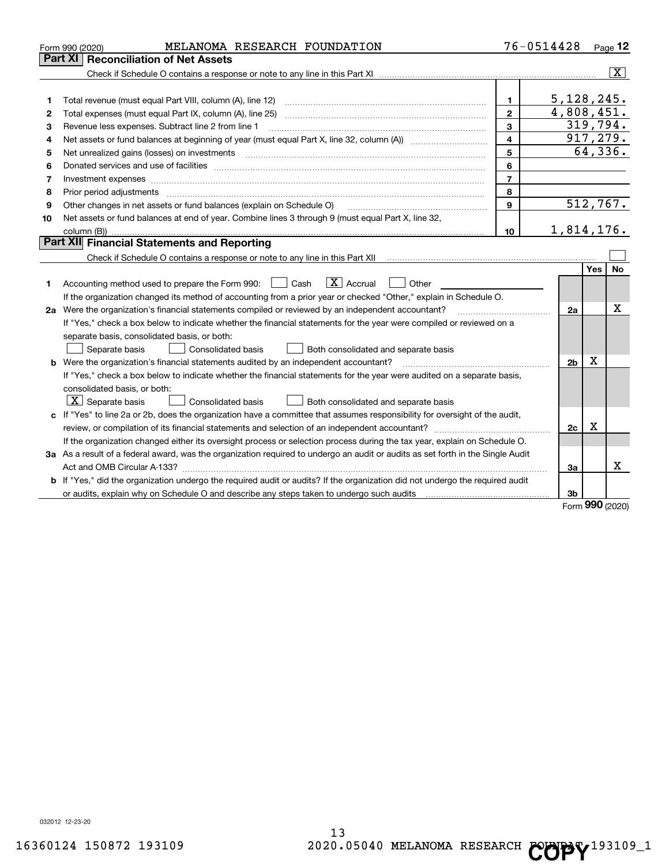|    | MELANOMA RESEARCH FOUNDATION<br>Form 990 (2020)                                                                                                                                                                                |                         | 76-0514428     |             | Page 12                 |
|----|--------------------------------------------------------------------------------------------------------------------------------------------------------------------------------------------------------------------------------|-------------------------|----------------|-------------|-------------------------|
|    | Part XI<br><b>Reconciliation of Net Assets</b>                                                                                                                                                                                 |                         |                |             |                         |
|    |                                                                                                                                                                                                                                |                         |                |             | $\overline{\mathbf{X}}$ |
|    |                                                                                                                                                                                                                                |                         |                |             |                         |
| 1  |                                                                                                                                                                                                                                | 1                       | 5,128,245.     |             |                         |
| 2  | Total expenses (must equal Part IX, column (A), line 25)                                                                                                                                                                       | $\overline{2}$          | 4,808,451.     |             |                         |
| з  | Revenue less expenses. Subtract line 2 from line 1                                                                                                                                                                             | 3                       | 319,794.       |             |                         |
| 4  | Net assets or fund balances at beginning of year (must equal Part X, line 32, column (A)) <i>massets</i> or fund balances at beginning of year (must equal Part X, line 32, column (A))                                        | $\overline{\mathbf{4}}$ | 917, 279.      |             |                         |
| 5  |                                                                                                                                                                                                                                | 5                       |                |             | 64,336.                 |
| 6  | Donated services and use of facilities [111] matter contracts and the service of facilities [11] matter contracts and use of facilities [11] matter contracts and the service of facilities [11] matter contracts and the serv | 6                       |                |             |                         |
| 7  | Investment expenses www.communication.com/www.communication.com/www.communication.com/www.com                                                                                                                                  | $\overline{7}$          |                |             |                         |
| 8  | Prior period adjustments manufactured content and all the content of the content of the content of the content of the content of the content of the content of the content of the content of the content of the content of the | 8                       |                |             |                         |
| 9  | Other changes in net assets or fund balances (explain on Schedule O)                                                                                                                                                           | $\mathbf{9}$            | 512,767.       |             |                         |
| 10 | Net assets or fund balances at end of year. Combine lines 3 through 9 (must equal Part X, line 32,                                                                                                                             |                         |                |             |                         |
|    |                                                                                                                                                                                                                                | 10                      | 1,814,176.     |             |                         |
|    | Part XII Financial Statements and Reporting                                                                                                                                                                                    |                         |                |             |                         |
|    | Check if Schedule O contains a response or note to any line in this Part XII [11] [11] [11] [11] [11] [11] [11                                                                                                                 |                         |                |             |                         |
|    |                                                                                                                                                                                                                                |                         |                | Yes         | No.                     |
| 1. | $\boxed{\mathbf{X}}$ Accrual<br>Accounting method used to prepare the Form 990: <u>[</u> Cash<br>Other                                                                                                                         |                         |                |             |                         |
|    | If the organization changed its method of accounting from a prior year or checked "Other," explain in Schedule O.                                                                                                              |                         |                |             |                         |
|    | 2a Were the organization's financial statements compiled or reviewed by an independent accountant?                                                                                                                             |                         | 2a             |             | Χ                       |
|    | If "Yes," check a box below to indicate whether the financial statements for the year were compiled or reviewed on a                                                                                                           |                         |                |             |                         |
|    | separate basis, consolidated basis, or both:                                                                                                                                                                                   |                         |                |             |                         |
|    | Separate basis<br>Consolidated basis<br>Both consolidated and separate basis                                                                                                                                                   |                         |                |             |                         |
|    | b Were the organization's financial statements audited by an independent accountant?                                                                                                                                           |                         | 2 <sub>b</sub> | $\mathbf X$ |                         |
|    | If "Yes," check a box below to indicate whether the financial statements for the year were audited on a separate basis,                                                                                                        |                         |                |             |                         |
|    | consolidated basis, or both:                                                                                                                                                                                                   |                         |                |             |                         |
|    | $\lfloor x \rfloor$ Separate basis<br><b>Consolidated basis</b><br>Both consolidated and separate basis                                                                                                                        |                         |                |             |                         |
|    | c If "Yes" to line 2a or 2b, does the organization have a committee that assumes responsibility for oversight of the audit,                                                                                                    |                         |                |             |                         |
|    |                                                                                                                                                                                                                                |                         | 2c             | х           |                         |
|    | If the organization changed either its oversight process or selection process during the tax year, explain on Schedule O.                                                                                                      |                         |                |             |                         |
|    | 3a As a result of a federal award, was the organization required to undergo an audit or audits as set forth in the Single Audit                                                                                                |                         |                |             |                         |
|    |                                                                                                                                                                                                                                |                         | За             |             | X                       |
|    | <b>b</b> If "Yes," did the organization undergo the required audit or audits? If the organization did not undergo the required audit                                                                                           |                         |                |             |                         |
|    | or audits, explain why on Schedule O and describe any steps taken to undergo such audits [11] our manuscription why on Schedule O and describe any steps taken to undergo such audits                                          |                         | 3b             |             |                         |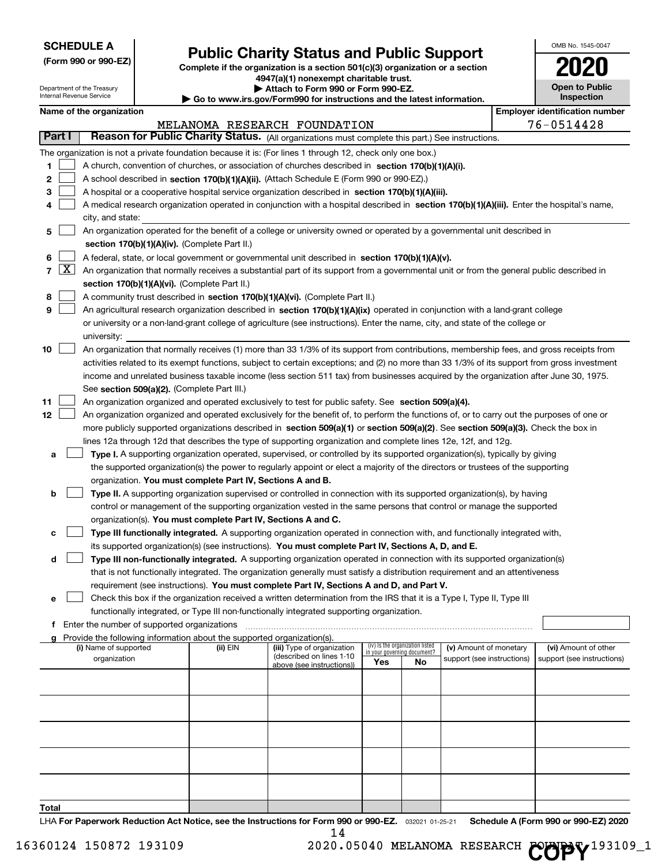Department of the Treasury Internal Revenue Service

# **Public Charity Status and Public Support**

**(Form 990 or 990-EZ) Complete if the organization is a section 501(c)(3) organization or a section 4947(a)(1) nonexempt charitable trust.**

**| Attach to Form 990 or Form 990-EZ.** 

**| Go to www.irs.gov/Form990 for instructions and the latest information.**

| OMB No. 1545-0047                   |
|-------------------------------------|
| 2020                                |
| <b>Open to Public</b><br>Inspection |

| Name of the organization |  |
|--------------------------|--|
|--------------------------|--|

|                | Name of the organization                                                                                                                                                                                                                        |                                                                                           |                                                        |     |                                                                |                            |  | <b>Employer identification number</b> |  |  |  |  |
|----------------|-------------------------------------------------------------------------------------------------------------------------------------------------------------------------------------------------------------------------------------------------|-------------------------------------------------------------------------------------------|--------------------------------------------------------|-----|----------------------------------------------------------------|----------------------------|--|---------------------------------------|--|--|--|--|
|                |                                                                                                                                                                                                                                                 |                                                                                           | MELANOMA RESEARCH FOUNDATION                           |     |                                                                |                            |  | 76-0514428                            |  |  |  |  |
| <b>Part I</b>  | Reason for Public Charity Status. (All organizations must complete this part.) See instructions.                                                                                                                                                |                                                                                           |                                                        |     |                                                                |                            |  |                                       |  |  |  |  |
|                | The organization is not a private foundation because it is: (For lines 1 through 12, check only one box.)                                                                                                                                       |                                                                                           |                                                        |     |                                                                |                            |  |                                       |  |  |  |  |
| 1.             | A church, convention of churches, or association of churches described in section 170(b)(1)(A)(i).                                                                                                                                              |                                                                                           |                                                        |     |                                                                |                            |  |                                       |  |  |  |  |
| 2              |                                                                                                                                                                                                                                                 | A school described in section 170(b)(1)(A)(ii). (Attach Schedule E (Form 990 or 990-EZ).) |                                                        |     |                                                                |                            |  |                                       |  |  |  |  |
| з              | A hospital or a cooperative hospital service organization described in section 170(b)(1)(A)(iii).                                                                                                                                               |                                                                                           |                                                        |     |                                                                |                            |  |                                       |  |  |  |  |
| 4              | A medical research organization operated in conjunction with a hospital described in section 170(b)(1)(A)(iii). Enter the hospital's name,                                                                                                      |                                                                                           |                                                        |     |                                                                |                            |  |                                       |  |  |  |  |
|                | city, and state:                                                                                                                                                                                                                                |                                                                                           |                                                        |     |                                                                |                            |  |                                       |  |  |  |  |
| 5              | An organization operated for the benefit of a college or university owned or operated by a governmental unit described in                                                                                                                       |                                                                                           |                                                        |     |                                                                |                            |  |                                       |  |  |  |  |
|                | section 170(b)(1)(A)(iv). (Complete Part II.)                                                                                                                                                                                                   |                                                                                           |                                                        |     |                                                                |                            |  |                                       |  |  |  |  |
| 6              | A federal, state, or local government or governmental unit described in section 170(b)(1)(A)(v).                                                                                                                                                |                                                                                           |                                                        |     |                                                                |                            |  |                                       |  |  |  |  |
| $\overline{7}$ | $\lfloor x \rfloor$<br>An organization that normally receives a substantial part of its support from a governmental unit or from the general public described in                                                                                |                                                                                           |                                                        |     |                                                                |                            |  |                                       |  |  |  |  |
|                | section 170(b)(1)(A)(vi). (Complete Part II.)                                                                                                                                                                                                   |                                                                                           |                                                        |     |                                                                |                            |  |                                       |  |  |  |  |
| 8              | A community trust described in section 170(b)(1)(A)(vi). (Complete Part II.)                                                                                                                                                                    |                                                                                           |                                                        |     |                                                                |                            |  |                                       |  |  |  |  |
| 9              | An agricultural research organization described in section 170(b)(1)(A)(ix) operated in conjunction with a land-grant college                                                                                                                   |                                                                                           |                                                        |     |                                                                |                            |  |                                       |  |  |  |  |
|                | or university or a non-land-grant college of agriculture (see instructions). Enter the name, city, and state of the college or                                                                                                                  |                                                                                           |                                                        |     |                                                                |                            |  |                                       |  |  |  |  |
|                | university:                                                                                                                                                                                                                                     |                                                                                           |                                                        |     |                                                                |                            |  |                                       |  |  |  |  |
| 10             | An organization that normally receives (1) more than 33 1/3% of its support from contributions, membership fees, and gross receipts from                                                                                                        |                                                                                           |                                                        |     |                                                                |                            |  |                                       |  |  |  |  |
|                | activities related to its exempt functions, subject to certain exceptions; and (2) no more than 33 1/3% of its support from gross investment                                                                                                    |                                                                                           |                                                        |     |                                                                |                            |  |                                       |  |  |  |  |
|                | income and unrelated business taxable income (less section 511 tax) from businesses acquired by the organization after June 30, 1975.                                                                                                           |                                                                                           |                                                        |     |                                                                |                            |  |                                       |  |  |  |  |
|                | See section 509(a)(2). (Complete Part III.)                                                                                                                                                                                                     |                                                                                           |                                                        |     |                                                                |                            |  |                                       |  |  |  |  |
| 11             | An organization organized and operated exclusively to test for public safety. See section 509(a)(4).                                                                                                                                            |                                                                                           |                                                        |     |                                                                |                            |  |                                       |  |  |  |  |
| 12             | An organization organized and operated exclusively for the benefit of, to perform the functions of, or to carry out the purposes of one or                                                                                                      |                                                                                           |                                                        |     |                                                                |                            |  |                                       |  |  |  |  |
|                | more publicly supported organizations described in section 509(a)(1) or section 509(a)(2). See section 509(a)(3). Check the box in                                                                                                              |                                                                                           |                                                        |     |                                                                |                            |  |                                       |  |  |  |  |
|                | lines 12a through 12d that describes the type of supporting organization and complete lines 12e, 12f, and 12g.                                                                                                                                  |                                                                                           |                                                        |     |                                                                |                            |  |                                       |  |  |  |  |
| а              | Type I. A supporting organization operated, supervised, or controlled by its supported organization(s), typically by giving                                                                                                                     |                                                                                           |                                                        |     |                                                                |                            |  |                                       |  |  |  |  |
|                | the supported organization(s) the power to regularly appoint or elect a majority of the directors or trustees of the supporting                                                                                                                 |                                                                                           |                                                        |     |                                                                |                            |  |                                       |  |  |  |  |
|                | organization. You must complete Part IV, Sections A and B.                                                                                                                                                                                      |                                                                                           |                                                        |     |                                                                |                            |  |                                       |  |  |  |  |
| b              | Type II. A supporting organization supervised or controlled in connection with its supported organization(s), by having<br>control or management of the supporting organization vested in the same persons that control or manage the supported |                                                                                           |                                                        |     |                                                                |                            |  |                                       |  |  |  |  |
|                | organization(s). You must complete Part IV, Sections A and C.                                                                                                                                                                                   |                                                                                           |                                                        |     |                                                                |                            |  |                                       |  |  |  |  |
| с              | Type III functionally integrated. A supporting organization operated in connection with, and functionally integrated with,                                                                                                                      |                                                                                           |                                                        |     |                                                                |                            |  |                                       |  |  |  |  |
|                | its supported organization(s) (see instructions). You must complete Part IV, Sections A, D, and E.                                                                                                                                              |                                                                                           |                                                        |     |                                                                |                            |  |                                       |  |  |  |  |
| d              | Type III non-functionally integrated. A supporting organization operated in connection with its supported organization(s)                                                                                                                       |                                                                                           |                                                        |     |                                                                |                            |  |                                       |  |  |  |  |
|                | that is not functionally integrated. The organization generally must satisfy a distribution requirement and an attentiveness                                                                                                                    |                                                                                           |                                                        |     |                                                                |                            |  |                                       |  |  |  |  |
|                | requirement (see instructions). You must complete Part IV, Sections A and D, and Part V.                                                                                                                                                        |                                                                                           |                                                        |     |                                                                |                            |  |                                       |  |  |  |  |
|                | □ Check this box if the organization received a written determination from the IRS that it is a Type I, Type II, Type III                                                                                                                       |                                                                                           |                                                        |     |                                                                |                            |  |                                       |  |  |  |  |
|                | functionally integrated, or Type III non-functionally integrated supporting organization.                                                                                                                                                       |                                                                                           |                                                        |     |                                                                |                            |  |                                       |  |  |  |  |
|                | f Enter the number of supported organizations                                                                                                                                                                                                   |                                                                                           |                                                        |     |                                                                |                            |  |                                       |  |  |  |  |
| $\alpha$       | Provide the following information about the supported organization(s).                                                                                                                                                                          |                                                                                           |                                                        |     |                                                                |                            |  |                                       |  |  |  |  |
|                | (i) Name of supported                                                                                                                                                                                                                           | (ii) EIN                                                                                  | (iii) Type of organization<br>(described on lines 1-10 |     | (iv) Is the organization listed<br>in your governing document? | (v) Amount of monetary     |  | (vi) Amount of other                  |  |  |  |  |
|                | organization                                                                                                                                                                                                                                    |                                                                                           | above (see instructions))                              | Yes | No                                                             | support (see instructions) |  | support (see instructions)            |  |  |  |  |
|                |                                                                                                                                                                                                                                                 |                                                                                           |                                                        |     |                                                                |                            |  |                                       |  |  |  |  |
|                |                                                                                                                                                                                                                                                 |                                                                                           |                                                        |     |                                                                |                            |  |                                       |  |  |  |  |
|                |                                                                                                                                                                                                                                                 |                                                                                           |                                                        |     |                                                                |                            |  |                                       |  |  |  |  |
|                |                                                                                                                                                                                                                                                 |                                                                                           |                                                        |     |                                                                |                            |  |                                       |  |  |  |  |
|                |                                                                                                                                                                                                                                                 |                                                                                           |                                                        |     |                                                                |                            |  |                                       |  |  |  |  |
|                |                                                                                                                                                                                                                                                 |                                                                                           |                                                        |     |                                                                |                            |  |                                       |  |  |  |  |
|                |                                                                                                                                                                                                                                                 |                                                                                           |                                                        |     |                                                                |                            |  |                                       |  |  |  |  |
|                |                                                                                                                                                                                                                                                 |                                                                                           |                                                        |     |                                                                |                            |  |                                       |  |  |  |  |
|                |                                                                                                                                                                                                                                                 |                                                                                           |                                                        |     |                                                                |                            |  |                                       |  |  |  |  |
| Total          |                                                                                                                                                                                                                                                 |                                                                                           |                                                        |     |                                                                |                            |  |                                       |  |  |  |  |

LHA For Paperwork Reduction Act Notice, see the Instructions for Form 990 or 990-EZ. 032021 01-25-21 Schedule A (Form 990 or 990-EZ) 2020 14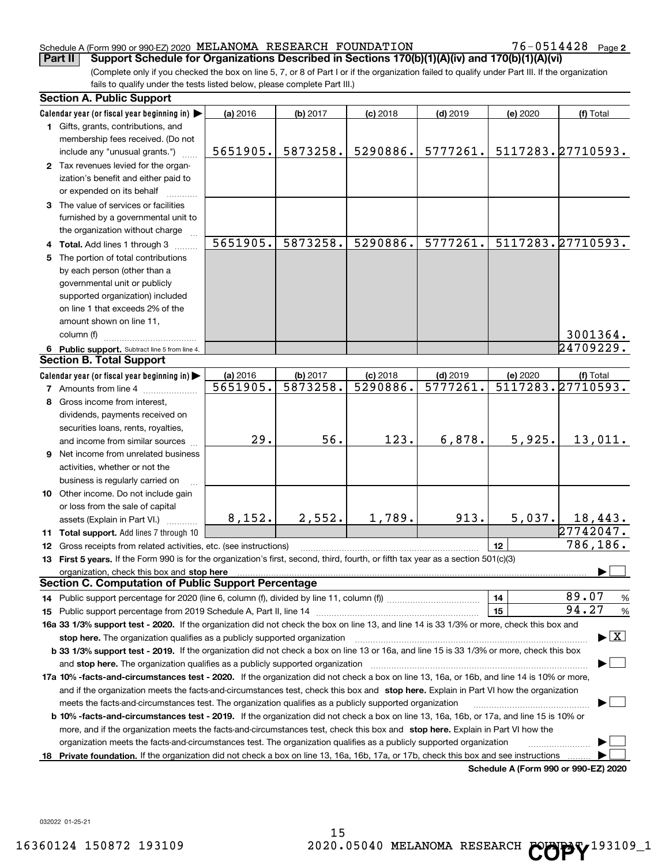# Schedule A (Form 990 or 990-EZ) 2020 Page MELANOMA RESEARCH FOUNDATION 76-0514428

76-0514428 Page 2

(Complete only if you checked the box on line 5, 7, or 8 of Part I or if the organization failed to qualify under Part III. If the organization fails to qualify under the tests listed below, please complete Part III.) **Part II** Support Schedule for Organizations Described in Sections 170(b)(1)(A)(iv) and 170(b)(1)(A)(vi)

|    | <b>Section A. Public Support</b>                                                                                                                                                                                               |                      |                      |                        |                        |          |                                      |
|----|--------------------------------------------------------------------------------------------------------------------------------------------------------------------------------------------------------------------------------|----------------------|----------------------|------------------------|------------------------|----------|--------------------------------------|
|    | Calendar year (or fiscal year beginning in)                                                                                                                                                                                    | (a) 2016             | (b) 2017             | $(c)$ 2018             | $(d)$ 2019             | (e) 2020 | (f) Total                            |
|    | 1 Gifts, grants, contributions, and                                                                                                                                                                                            |                      |                      |                        |                        |          |                                      |
|    | membership fees received. (Do not                                                                                                                                                                                              |                      |                      |                        |                        |          |                                      |
|    | include any "unusual grants.")                                                                                                                                                                                                 | 5651905.             | 5873258.             | 5290886.               | 5777261.               |          | 5117283.27710593.                    |
|    | 2 Tax revenues levied for the organ-                                                                                                                                                                                           |                      |                      |                        |                        |          |                                      |
|    | ization's benefit and either paid to                                                                                                                                                                                           |                      |                      |                        |                        |          |                                      |
|    | or expended on its behalf                                                                                                                                                                                                      |                      |                      |                        |                        |          |                                      |
|    | 3 The value of services or facilities                                                                                                                                                                                          |                      |                      |                        |                        |          |                                      |
|    | furnished by a governmental unit to                                                                                                                                                                                            |                      |                      |                        |                        |          |                                      |
|    | the organization without charge                                                                                                                                                                                                |                      |                      |                        |                        |          |                                      |
|    | 4 Total. Add lines 1 through 3                                                                                                                                                                                                 | 5651905.             | 5873258.             | 5290886.               | 5777261.               |          | 5117283.27710593.                    |
| 5. | The portion of total contributions                                                                                                                                                                                             |                      |                      |                        |                        |          |                                      |
|    | by each person (other than a                                                                                                                                                                                                   |                      |                      |                        |                        |          |                                      |
|    | governmental unit or publicly                                                                                                                                                                                                  |                      |                      |                        |                        |          |                                      |
|    | supported organization) included                                                                                                                                                                                               |                      |                      |                        |                        |          |                                      |
|    | on line 1 that exceeds 2% of the                                                                                                                                                                                               |                      |                      |                        |                        |          |                                      |
|    | amount shown on line 11,                                                                                                                                                                                                       |                      |                      |                        |                        |          |                                      |
|    | column (f)                                                                                                                                                                                                                     |                      |                      |                        |                        |          | 3001364.                             |
|    |                                                                                                                                                                                                                                |                      |                      |                        |                        |          | $\overline{2470922}$ 9.              |
|    | 6 Public support. Subtract line 5 from line 4.<br><b>Section B. Total Support</b>                                                                                                                                              |                      |                      |                        |                        |          |                                      |
|    |                                                                                                                                                                                                                                |                      |                      |                        |                        |          |                                      |
|    | Calendar year (or fiscal year beginning in)                                                                                                                                                                                    | (a) 2016<br>5651905. | (b) 2017<br>5873258. | $(c)$ 2018<br>5290886. | $(d)$ 2019<br>5777261. | (e) 2020 | (f) Total<br>5117283.27710593.       |
|    | <b>7</b> Amounts from line 4                                                                                                                                                                                                   |                      |                      |                        |                        |          |                                      |
| 8  | Gross income from interest,                                                                                                                                                                                                    |                      |                      |                        |                        |          |                                      |
|    | dividends, payments received on                                                                                                                                                                                                |                      |                      |                        |                        |          |                                      |
|    | securities loans, rents, royalties,                                                                                                                                                                                            |                      |                      |                        |                        |          |                                      |
|    | and income from similar sources                                                                                                                                                                                                | 29.                  | 56.                  | 123.                   | 6,878.                 | 5,925.   | 13,011.                              |
| 9  | Net income from unrelated business                                                                                                                                                                                             |                      |                      |                        |                        |          |                                      |
|    | activities, whether or not the                                                                                                                                                                                                 |                      |                      |                        |                        |          |                                      |
|    | business is regularly carried on                                                                                                                                                                                               |                      |                      |                        |                        |          |                                      |
|    | 10 Other income. Do not include gain                                                                                                                                                                                           |                      |                      |                        |                        |          |                                      |
|    | or loss from the sale of capital                                                                                                                                                                                               |                      |                      |                        |                        |          |                                      |
|    | assets (Explain in Part VI.)                                                                                                                                                                                                   | 8,152.               | 2,552.               | 1,789.                 | 913.                   | 5,037.   | 18,443.                              |
|    | 11 Total support. Add lines 7 through 10                                                                                                                                                                                       |                      |                      |                        |                        |          | 27742047.                            |
|    | 12 Gross receipts from related activities, etc. (see instructions)                                                                                                                                                             |                      |                      |                        |                        | 12       | 786,186.                             |
|    | 13 First 5 years. If the Form 990 is for the organization's first, second, third, fourth, or fifth tax year as a section 501(c)(3)                                                                                             |                      |                      |                        |                        |          |                                      |
|    | organization, check this box and stop here manufactured and according to the state of the state of the state of the state of the state of the state of the state of the state of the state of the state of the state of the st |                      |                      |                        |                        |          |                                      |
|    | <b>Section C. Computation of Public Support Percentage</b>                                                                                                                                                                     |                      |                      |                        |                        |          |                                      |
|    |                                                                                                                                                                                                                                |                      |                      |                        |                        | 14       | 89.07<br>$\frac{9}{6}$               |
|    |                                                                                                                                                                                                                                |                      |                      |                        |                        | 15       | 94.27<br>%                           |
|    | 16a 33 1/3% support test - 2020. If the organization did not check the box on line 13, and line 14 is 33 1/3% or more, check this box and                                                                                      |                      |                      |                        |                        |          |                                      |
|    | stop here. The organization qualifies as a publicly supported organization                                                                                                                                                     |                      |                      |                        |                        |          | $\blacktriangleright$ $\mid$ X       |
|    | b 33 1/3% support test - 2019. If the organization did not check a box on line 13 or 16a, and line 15 is 33 1/3% or more, check this box                                                                                       |                      |                      |                        |                        |          |                                      |
|    | and stop here. The organization qualifies as a publicly supported organization                                                                                                                                                 |                      |                      |                        |                        |          |                                      |
|    | 17a 10% -facts-and-circumstances test - 2020. If the organization did not check a box on line 13, 16a, or 16b, and line 14 is 10% or more,                                                                                     |                      |                      |                        |                        |          |                                      |
|    | and if the organization meets the facts-and-circumstances test, check this box and stop here. Explain in Part VI how the organization                                                                                          |                      |                      |                        |                        |          |                                      |
|    | meets the facts-and-circumstances test. The organization qualifies as a publicly supported organization                                                                                                                        |                      |                      |                        |                        |          |                                      |
|    | <b>b 10% -facts-and-circumstances test - 2019.</b> If the organization did not check a box on line 13, 16a, 16b, or 17a, and line 15 is 10% or                                                                                 |                      |                      |                        |                        |          |                                      |
|    | more, and if the organization meets the facts-and-circumstances test, check this box and stop here. Explain in Part VI how the                                                                                                 |                      |                      |                        |                        |          |                                      |
|    | organization meets the facts-and-circumstances test. The organization qualifies as a publicly supported organization                                                                                                           |                      |                      |                        |                        |          |                                      |
|    |                                                                                                                                                                                                                                |                      |                      |                        |                        |          |                                      |
|    | 18 Private foundation. If the organization did not check a box on line 13, 16a, 16b, 17a, or 17b, check this box and see instructions                                                                                          |                      |                      |                        |                        |          | Schedule A (Form 990 or 990-F7) 2020 |

**Schedule A (Form 990 or 990-EZ) 2020**

032022 01-25-21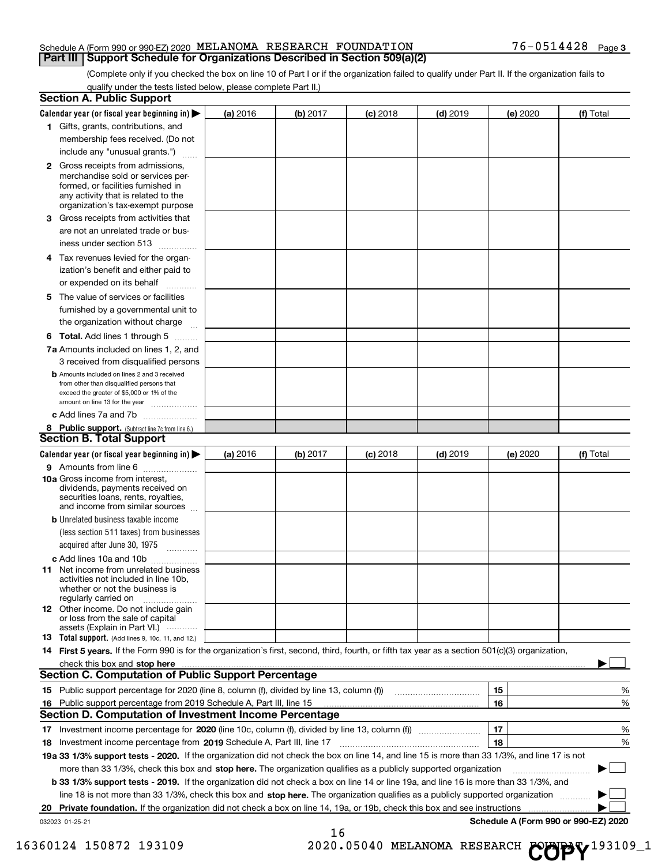# Schedule A (Form 990 or 990-EZ) 2020 Page MELANOMA RESEARCH FOUNDATION 76-0514428 **Part III | Support Schedule for Organizations Described in Section 509(a)(2)**

(Complete only if you checked the box on line 10 of Part I or if the organization failed to qualify under Part II. If the organization fails to qualify under the tests listed below, please complete Part II.)

| <b>Section A. Public Support</b>                                                                                                                                                                |          |          |            |            |          |                                      |
|-------------------------------------------------------------------------------------------------------------------------------------------------------------------------------------------------|----------|----------|------------|------------|----------|--------------------------------------|
| Calendar year (or fiscal year beginning in) $\blacktriangleright$                                                                                                                               | (a) 2016 | (b) 2017 | $(c)$ 2018 | $(d)$ 2019 | (e) 2020 | (f) Total                            |
| 1 Gifts, grants, contributions, and                                                                                                                                                             |          |          |            |            |          |                                      |
| membership fees received. (Do not                                                                                                                                                               |          |          |            |            |          |                                      |
| include any "unusual grants.")                                                                                                                                                                  |          |          |            |            |          |                                      |
| <b>2</b> Gross receipts from admissions,<br>merchandise sold or services per-<br>formed, or facilities furnished in<br>any activity that is related to the<br>organization's tax-exempt purpose |          |          |            |            |          |                                      |
| Gross receipts from activities that<br>З                                                                                                                                                        |          |          |            |            |          |                                      |
| are not an unrelated trade or bus-                                                                                                                                                              |          |          |            |            |          |                                      |
| iness under section 513                                                                                                                                                                         |          |          |            |            |          |                                      |
| 4 Tax revenues levied for the organ-<br>ization's benefit and either paid to                                                                                                                    |          |          |            |            |          |                                      |
| or expended on its behalf                                                                                                                                                                       |          |          |            |            |          |                                      |
| 5 The value of services or facilities                                                                                                                                                           |          |          |            |            |          |                                      |
| furnished by a governmental unit to                                                                                                                                                             |          |          |            |            |          |                                      |
| the organization without charge                                                                                                                                                                 |          |          |            |            |          |                                      |
| <b>6 Total.</b> Add lines 1 through 5                                                                                                                                                           |          |          |            |            |          |                                      |
| 7a Amounts included on lines 1, 2, and                                                                                                                                                          |          |          |            |            |          |                                      |
| 3 received from disqualified persons                                                                                                                                                            |          |          |            |            |          |                                      |
| <b>b</b> Amounts included on lines 2 and 3 received<br>from other than disqualified persons that<br>exceed the greater of \$5,000 or 1% of the<br>amount on line 13 for the year                |          |          |            |            |          |                                      |
| c Add lines 7a and 7b                                                                                                                                                                           |          |          |            |            |          |                                      |
| 8 Public support. (Subtract line 7c from line 6.)                                                                                                                                               |          |          |            |            |          |                                      |
| <b>Section B. Total Support</b>                                                                                                                                                                 |          |          |            |            |          |                                      |
| Calendar year (or fiscal year beginning in) $\blacktriangleright$                                                                                                                               | (a) 2016 | (b) 2017 | $(c)$ 2018 | $(d)$ 2019 | (e) 2020 | (f) Total                            |
| 9 Amounts from line 6                                                                                                                                                                           |          |          |            |            |          |                                      |
| 10a Gross income from interest,<br>dividends, payments received on<br>securities loans, rents, royalties,<br>and income from similar sources                                                    |          |          |            |            |          |                                      |
| <b>b</b> Unrelated business taxable income<br>(less section 511 taxes) from businesses<br>acquired after June 30, 1975                                                                          |          |          |            |            |          |                                      |
|                                                                                                                                                                                                 |          |          |            |            |          |                                      |
| c Add lines 10a and 10b<br><b>11</b> Net income from unrelated business<br>activities not included in line 10b,<br>whether or not the business is<br>regularly carried on                       |          |          |            |            |          |                                      |
| <b>12</b> Other income. Do not include gain<br>or loss from the sale of capital<br>assets (Explain in Part VI.)                                                                                 |          |          |            |            |          |                                      |
| <b>13</b> Total support. (Add lines 9, 10c, 11, and 12.)                                                                                                                                        |          |          |            |            |          |                                      |
| 14 First 5 years. If the Form 990 is for the organization's first, second, third, fourth, or fifth tax year as a section 501(c)(3) organization,                                                |          |          |            |            |          |                                      |
| check this box and stop here measurements are constructed as the state of the state of the state and stop here                                                                                  |          |          |            |            |          |                                      |
| <b>Section C. Computation of Public Support Percentage</b>                                                                                                                                      |          |          |            |            |          |                                      |
|                                                                                                                                                                                                 |          |          |            |            | 15       | %                                    |
| 16 Public support percentage from 2019 Schedule A, Part III, line 15                                                                                                                            |          |          |            |            | 16       | %                                    |
| <b>Section D. Computation of Investment Income Percentage</b>                                                                                                                                   |          |          |            |            |          |                                      |
|                                                                                                                                                                                                 |          |          |            |            | 17       | %                                    |
| 18 Investment income percentage from 2019 Schedule A, Part III, line 17                                                                                                                         |          |          |            |            | 18       | %                                    |
| 19a 33 1/3% support tests - 2020. If the organization did not check the box on line 14, and line 15 is more than 33 1/3%, and line 17 is not                                                    |          |          |            |            |          |                                      |
| more than 33 1/3%, check this box and stop here. The organization qualifies as a publicly supported organization                                                                                |          |          |            |            |          |                                      |
| b 33 1/3% support tests - 2019. If the organization did not check a box on line 14 or line 19a, and line 16 is more than 33 1/3%, and                                                           |          |          |            |            |          |                                      |
| line 18 is not more than 33 1/3%, check this box and stop here. The organization qualifies as a publicly supported organization                                                                 |          |          |            |            |          |                                      |
| Private foundation. If the organization did not check a box on line 14, 19a, or 19b, check this box and see instructions<br>20                                                                  |          |          |            |            |          |                                      |
| 032023 01-25-21                                                                                                                                                                                 |          | 16       |            |            |          | Schedule A (Form 990 or 990-EZ) 2020 |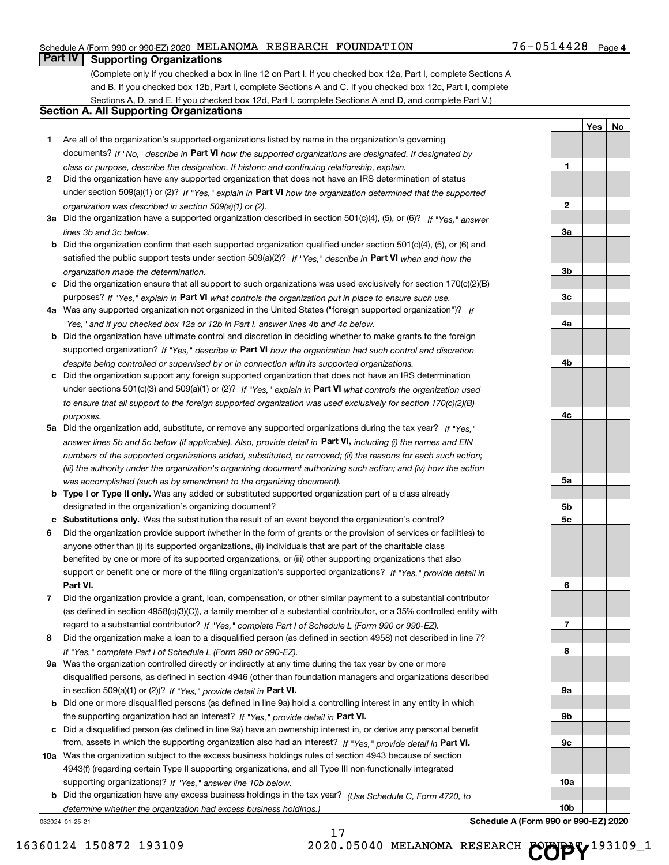# Schedule A (Form 990 or 990-EZ) 2020 Page MELANOMA RESEARCH FOUNDATION 76-0514428

# **Part IV Supporting Organizations**

(Complete only if you checked a box in line 12 on Part I. If you checked box 12a, Part I, complete Sections A and B. If you checked box 12b, Part I, complete Sections A and C. If you checked box 12c, Part I, complete Sections A, D, and E. If you checked box 12d, Part I, complete Sections A and D, and complete Part V.)

# **Section A. All Supporting Organizations**

- **1** Are all of the organization's supported organizations listed by name in the organization's governing documents? If "No," describe in Part VI how the supported organizations are designated. If designated by *class or purpose, describe the designation. If historic and continuing relationship, explain.*
- **2** under section 509(a)(1) or (2)? If "Yes," explain in Part VI how the organization determined that the supported *organization was described in section 509(a)(1) or (2).* Did the organization have any supported organization that does not have an IRS determination of status
- **3a** Did the organization have a supported organization described in section 501(c)(4), (5), or (6)? If "Yes," answer *lines 3b and 3c below.*
- **b** Did the organization confirm that each supported organization qualified under section 501(c)(4), (5), or (6) and satisfied the public support tests under section 509(a)(2)? If "Yes," describe in **Part VI** when and how the *organization made the determination.*
- **c** Did the organization ensure that all support to such organizations was used exclusively for section 170(c)(2)(B) purposes? If "Yes," explain in Part VI what controls the organization put in place to ensure such use.
- **4 a** *If* Was any supported organization not organized in the United States ("foreign supported organization")? *"Yes," and if you checked box 12a or 12b in Part I, answer lines 4b and 4c below.*
- **b** Did the organization have ultimate control and discretion in deciding whether to make grants to the foreign supported organization? If "Yes," describe in Part VI how the organization had such control and discretion *despite being controlled or supervised by or in connection with its supported organizations.*
- **c** Did the organization support any foreign supported organization that does not have an IRS determination under sections 501(c)(3) and 509(a)(1) or (2)? If "Yes," explain in Part VI what controls the organization used *to ensure that all support to the foreign supported organization was used exclusively for section 170(c)(2)(B) purposes.*
- **5a** Did the organization add, substitute, or remove any supported organizations during the tax year? If "Yes," answer lines 5b and 5c below (if applicable). Also, provide detail in Part VI, including (i) the names and EIN *numbers of the supported organizations added, substituted, or removed; (ii) the reasons for each such action; (iii) the authority under the organization's organizing document authorizing such action; and (iv) how the action was accomplished (such as by amendment to the organizing document).*
- **b Type I or Type II only.** Was any added or substituted supported organization part of a class already designated in the organization's organizing document?
- **c Substitutions only.**  Was the substitution the result of an event beyond the organization's control?
- **6** Did the organization provide support (whether in the form of grants or the provision of services or facilities) to **Part VI.** *If "Yes," provide detail in* support or benefit one or more of the filing organization's supported organizations? anyone other than (i) its supported organizations, (ii) individuals that are part of the charitable class benefited by one or more of its supported organizations, or (iii) other supporting organizations that also
- **7** Did the organization provide a grant, loan, compensation, or other similar payment to a substantial contributor regard to a substantial contributor? If "Yes," complete Part I of Schedule L (Form 990 or 990-EZ). (as defined in section 4958(c)(3)(C)), a family member of a substantial contributor, or a 35% controlled entity with
- **8** Did the organization make a loan to a disqualified person (as defined in section 4958) not described in line 7? *If "Yes," complete Part I of Schedule L (Form 990 or 990-EZ).*
- **9 a** Was the organization controlled directly or indirectly at any time during the tax year by one or more in section 509(a)(1) or (2))? If "Yes," provide detail in Part VI. disqualified persons, as defined in section 4946 (other than foundation managers and organizations described
- **b** the supporting organization had an interest? If "Yes," provide detail in Part VI. Did one or more disqualified persons (as defined in line 9a) hold a controlling interest in any entity in which
- **c** Did a disqualified person (as defined in line 9a) have an ownership interest in, or derive any personal benefit from, assets in which the supporting organization also had an interest? If "Yes," provide detail in Part VI.
- **10 a** Was the organization subject to the excess business holdings rules of section 4943 because of section supporting organizations)? If "Yes," answer line 10b below. 4943(f) (regarding certain Type II supporting organizations, and all Type III non-functionally integrated
	- **b** Did the organization have any excess business holdings in the tax year? (Use Schedule C, Form 4720, to *determine whether the organization had excess business holdings.)*

17

032024 01-25-21

| 1              |  |  |
|----------------|--|--|
|                |  |  |
|                |  |  |
| $\overline{2}$ |  |  |
|                |  |  |
| $\frac{3a}{2}$ |  |  |
|                |  |  |
|                |  |  |
| 3 <sub>b</sub> |  |  |
|                |  |  |
| $\frac{3c}{2}$ |  |  |
|                |  |  |
| <u>4a</u>      |  |  |
|                |  |  |
|                |  |  |
| 4 <sub>b</sub> |  |  |
|                |  |  |
|                |  |  |
|                |  |  |
|                |  |  |
| 4c             |  |  |
|                |  |  |
|                |  |  |
|                |  |  |
|                |  |  |
| <u>5a</u>      |  |  |
|                |  |  |
| <u>5b</u>      |  |  |
| <u>5c</u>      |  |  |
|                |  |  |
|                |  |  |
|                |  |  |
|                |  |  |
| 6              |  |  |
|                |  |  |
|                |  |  |
| $\overline{1}$ |  |  |
|                |  |  |
| 8              |  |  |
|                |  |  |
|                |  |  |
| $\frac{9a}{2}$ |  |  |
|                |  |  |
| <u>9b</u>      |  |  |
|                |  |  |
| $\frac{9c}{2}$ |  |  |
|                |  |  |
|                |  |  |
| 10a            |  |  |
|                |  |  |

**Yes No**

**Schedule A (Form 990 or 990-EZ) 2020**

**10b**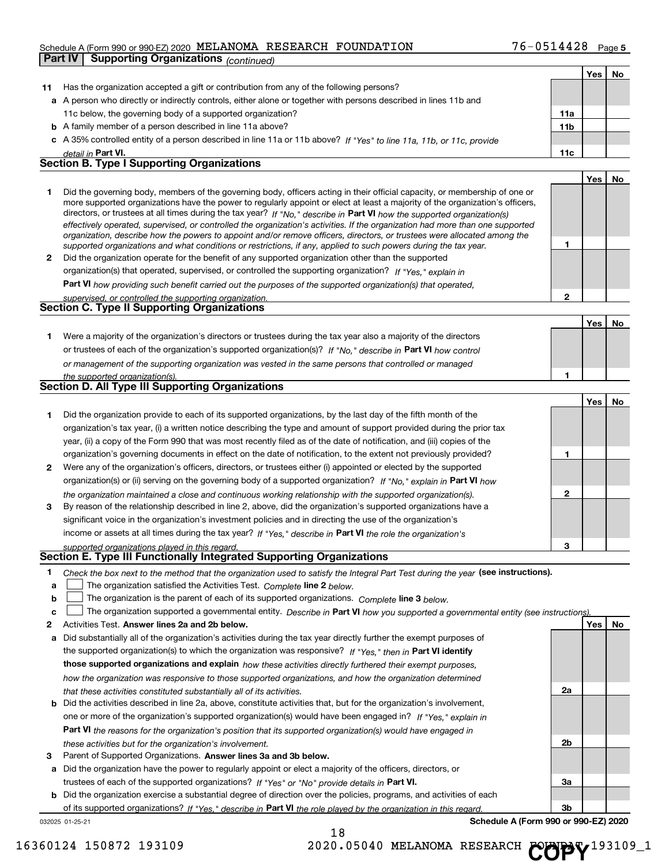# Schedule A (Form 990 or 990-EZ) 2020 Page MELANOMA RESEARCH FOUNDATION 76-0514428

|              | <b>Supporting Organizations (continued)</b><br>Part IV                                                                                                                                                                                                     |                 |     |    |
|--------------|------------------------------------------------------------------------------------------------------------------------------------------------------------------------------------------------------------------------------------------------------------|-----------------|-----|----|
|              |                                                                                                                                                                                                                                                            |                 | Yes | No |
| 11           | Has the organization accepted a gift or contribution from any of the following persons?                                                                                                                                                                    |                 |     |    |
|              | a A person who directly or indirectly controls, either alone or together with persons described in lines 11b and                                                                                                                                           |                 |     |    |
|              | 11c below, the governing body of a supported organization?                                                                                                                                                                                                 | 11a             |     |    |
|              | <b>b</b> A family member of a person described in line 11a above?                                                                                                                                                                                          | 11 <sub>b</sub> |     |    |
|              | c A 35% controlled entity of a person described in line 11a or 11b above? If "Yes" to line 11a, 11b, or 11c, provide                                                                                                                                       |                 |     |    |
|              | detail in Part VI.                                                                                                                                                                                                                                         | 11c             |     |    |
|              | <b>Section B. Type I Supporting Organizations</b>                                                                                                                                                                                                          |                 |     |    |
|              |                                                                                                                                                                                                                                                            |                 | Yes | No |
| 1.           | Did the governing body, members of the governing body, officers acting in their official capacity, or membership of one or                                                                                                                                 |                 |     |    |
|              | more supported organizations have the power to regularly appoint or elect at least a majority of the organization's officers,                                                                                                                              |                 |     |    |
|              | directors, or trustees at all times during the tax year? If "No," describe in Part VI how the supported organization(s)                                                                                                                                    |                 |     |    |
|              | effectively operated, supervised, or controlled the organization's activities. If the organization had more than one supported<br>organization, describe how the powers to appoint and/or remove officers, directors, or trustees were allocated among the |                 |     |    |
|              | supported organizations and what conditions or restrictions, if any, applied to such powers during the tax year.                                                                                                                                           | 1               |     |    |
| $\mathbf{2}$ | Did the organization operate for the benefit of any supported organization other than the supported                                                                                                                                                        |                 |     |    |
|              | organization(s) that operated, supervised, or controlled the supporting organization? If "Yes," explain in                                                                                                                                                 |                 |     |    |
|              | Part VI how providing such benefit carried out the purposes of the supported organization(s) that operated,                                                                                                                                                |                 |     |    |
|              | supervised, or controlled the supporting organization.                                                                                                                                                                                                     | $\mathbf{2}$    |     |    |
|              | <b>Section C. Type II Supporting Organizations</b>                                                                                                                                                                                                         |                 |     |    |
|              |                                                                                                                                                                                                                                                            |                 | Yes | No |
| 1.           | Were a majority of the organization's directors or trustees during the tax year also a majority of the directors                                                                                                                                           |                 |     |    |
|              | or trustees of each of the organization's supported organization(s)? If "No," describe in Part VI how control                                                                                                                                              |                 |     |    |
|              | or management of the supporting organization was vested in the same persons that controlled or managed                                                                                                                                                     |                 |     |    |
|              | the supported organization(s).                                                                                                                                                                                                                             | 1               |     |    |
|              | Section D. All Type III Supporting Organizations                                                                                                                                                                                                           |                 |     |    |
|              |                                                                                                                                                                                                                                                            |                 | Yes | No |
| 1            | Did the organization provide to each of its supported organizations, by the last day of the fifth month of the                                                                                                                                             |                 |     |    |
|              | organization's tax year, (i) a written notice describing the type and amount of support provided during the prior tax                                                                                                                                      |                 |     |    |
|              | year, (ii) a copy of the Form 990 that was most recently filed as of the date of notification, and (iii) copies of the                                                                                                                                     |                 |     |    |
|              | organization's governing documents in effect on the date of notification, to the extent not previously provided?                                                                                                                                           | 1               |     |    |
| 2            | Were any of the organization's officers, directors, or trustees either (i) appointed or elected by the supported                                                                                                                                           |                 |     |    |
|              | organization(s) or (ii) serving on the governing body of a supported organization? If "No, " explain in Part VI how                                                                                                                                        |                 |     |    |
|              | the organization maintained a close and continuous working relationship with the supported organization(s).                                                                                                                                                | $\mathbf{2}$    |     |    |
| 3            | By reason of the relationship described in line 2, above, did the organization's supported organizations have a                                                                                                                                            |                 |     |    |
|              | significant voice in the organization's investment policies and in directing the use of the organization's                                                                                                                                                 |                 |     |    |
|              | income or assets at all times during the tax year? If "Yes," describe in Part VI the role the organization's                                                                                                                                               |                 |     |    |
|              | supported organizations played in this regard.<br><b>Section E. Type III Functionally Integrated Supporting Organizations</b>                                                                                                                              | з               |     |    |
|              |                                                                                                                                                                                                                                                            |                 |     |    |
| 1            | Check the box next to the method that the organization used to satisfy the Integral Part Test during the year (see instructions).                                                                                                                          |                 |     |    |
| a            | The organization satisfied the Activities Test. Complete line 2 below.                                                                                                                                                                                     |                 |     |    |
| b            | The organization is the parent of each of its supported organizations. Complete line 3 below.                                                                                                                                                              |                 |     |    |
| c            | The organization supported a governmental entity. Describe in Part VI how you supported a governmental entity (see instructions)                                                                                                                           |                 |     |    |
| 2            | Activities Test. Answer lines 2a and 2b below.                                                                                                                                                                                                             |                 | Yes | No |
| а            | Did substantially all of the organization's activities during the tax year directly further the exempt purposes of                                                                                                                                         |                 |     |    |
|              | the supported organization(s) to which the organization was responsive? If "Yes," then in Part VI identify                                                                                                                                                 |                 |     |    |
|              | those supported organizations and explain how these activities directly furthered their exempt purposes,                                                                                                                                                   |                 |     |    |
|              | how the organization was responsive to those supported organizations, and how the organization determined                                                                                                                                                  |                 |     |    |

- *that these activities constituted substantially all of its activities.*
- **b** Did the activities described in line 2a, above, constitute activities that, but for the organization's involvement, **Part VI**  *the reasons for the organization's position that its supported organization(s) would have engaged in* one or more of the organization's supported organization(s) would have been engaged in? If "Yes," explain in *these activities but for the organization's involvement.*
- 3 Parent of Supported Organizations. Answer lines 3a and 3b below.

**a** Did the organization have the power to regularly appoint or elect a majority of the officers, directors, or trustees of each of the supported organizations? If "Yes" or "No" provide details in Part VI.

**b** Did the organization exercise a substantial degree of direction over the policies, programs, and activities of each of its supported organizations? If "Yes," describe in Part VI the role played by the organization in this regard.

032025 01-25-21

**Schedule A (Form 990 or 990-EZ) 2020**

**2a**

**2b**

**3a**

**3b**

16360124 150872 193109 2020.05040 MELANOMA RESEARCH COPY<sup>193109\_1</sup>

18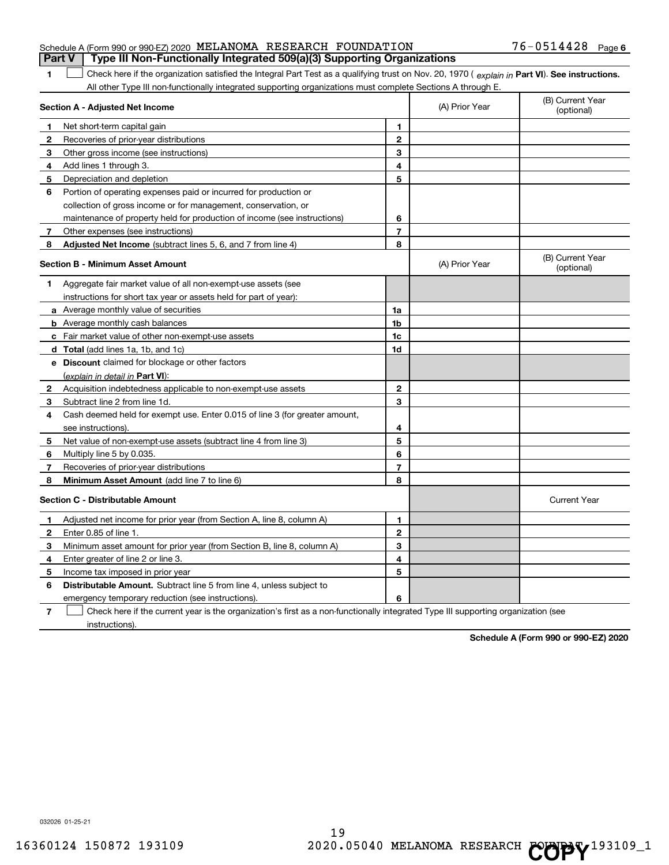| Schedule A (Form 990 or 990-EZ) 2020 MELANOMA RESEARCH FOUNDATION |  | Part V   Type III Non-Functionally Integrated 509(a)(3) Supporting Organizations | $76 - 0514428$ Page 6 |  |
|-------------------------------------------------------------------|--|----------------------------------------------------------------------------------|-----------------------|--|
|                                                                   |  |                                                                                  |                       |  |

**1**  $\Box$  Check here if the organization satisfied the Integral Part Test as a qualifying trust on Nov. 20, 1970 ( explain in Part VI). See instructions. All other Type III non-functionally integrated supporting organizations must complete Sections A through E.  $\begin{array}{c} \hline \end{array}$ 

|                | Section A - Adjusted Net Income                                                                                                   |                | (A) Prior Year | (B) Current Year<br>(optional) |
|----------------|-----------------------------------------------------------------------------------------------------------------------------------|----------------|----------------|--------------------------------|
| 1              | Net short-term capital gain                                                                                                       | $\blacksquare$ |                |                                |
| 2              | Recoveries of prior-year distributions                                                                                            | $\mathbf{2}$   |                |                                |
| 3              | Other gross income (see instructions)                                                                                             | 3              |                |                                |
| 4              | Add lines 1 through 3.                                                                                                            | 4              |                |                                |
| 5              | Depreciation and depletion                                                                                                        | 5              |                |                                |
| 6              | Portion of operating expenses paid or incurred for production or                                                                  |                |                |                                |
|                | collection of gross income or for management, conservation, or                                                                    |                |                |                                |
|                | maintenance of property held for production of income (see instructions)                                                          | 6              |                |                                |
| 7              | Other expenses (see instructions)                                                                                                 | $\overline{7}$ |                |                                |
| 8              | Adjusted Net Income (subtract lines 5, 6, and 7 from line 4)                                                                      | 8              |                |                                |
|                | <b>Section B - Minimum Asset Amount</b>                                                                                           |                | (A) Prior Year | (B) Current Year<br>(optional) |
| 1              | Aggregate fair market value of all non-exempt-use assets (see                                                                     |                |                |                                |
|                | instructions for short tax year or assets held for part of year):                                                                 |                |                |                                |
|                | <b>a</b> Average monthly value of securities                                                                                      | 1a             |                |                                |
|                | <b>b</b> Average monthly cash balances                                                                                            | 1 <sub>b</sub> |                |                                |
|                | c Fair market value of other non-exempt-use assets                                                                                | 1c             |                |                                |
|                | d Total (add lines 1a, 1b, and 1c)                                                                                                | 1d             |                |                                |
|                | e Discount claimed for blockage or other factors                                                                                  |                |                |                                |
|                | (explain in detail in Part VI):                                                                                                   |                |                |                                |
| $\mathbf{2}$   | Acquisition indebtedness applicable to non-exempt-use assets                                                                      | $\mathbf{2}$   |                |                                |
| 3              | Subtract line 2 from line 1d.                                                                                                     | 3              |                |                                |
| 4              | Cash deemed held for exempt use. Enter 0.015 of line 3 (for greater amount,                                                       |                |                |                                |
|                | see instructions)                                                                                                                 | 4              |                |                                |
| 5              | Net value of non-exempt-use assets (subtract line 4 from line 3)                                                                  | 5              |                |                                |
| 6              | Multiply line 5 by 0.035.                                                                                                         | 6              |                |                                |
| 7              | Recoveries of prior-year distributions                                                                                            | $\overline{7}$ |                |                                |
| 8              | Minimum Asset Amount (add line 7 to line 6)                                                                                       | 8              |                |                                |
|                | <b>Section C - Distributable Amount</b>                                                                                           |                |                | <b>Current Year</b>            |
| 1              | Adjusted net income for prior year (from Section A, line 8, column A)                                                             | 1              |                |                                |
| 2              | Enter 0.85 of line 1.                                                                                                             | $\overline{2}$ |                |                                |
| 3              | Minimum asset amount for prior year (from Section B, line 8, column A)                                                            | 3              |                |                                |
| 4              | Enter greater of line 2 or line 3.                                                                                                | 4              |                |                                |
| 5              | Income tax imposed in prior year                                                                                                  | 5              |                |                                |
| 6              | <b>Distributable Amount.</b> Subtract line 5 from line 4, unless subject to                                                       |                |                |                                |
|                | emergency temporary reduction (see instructions).                                                                                 | 6              |                |                                |
| $\overline{7}$ | Check here if the current year is the organization's first as a non-functionally integrated Type III supporting organization (see |                |                |                                |

instructions).

**Schedule A (Form 990 or 990-EZ) 2020**

032026 01-25-21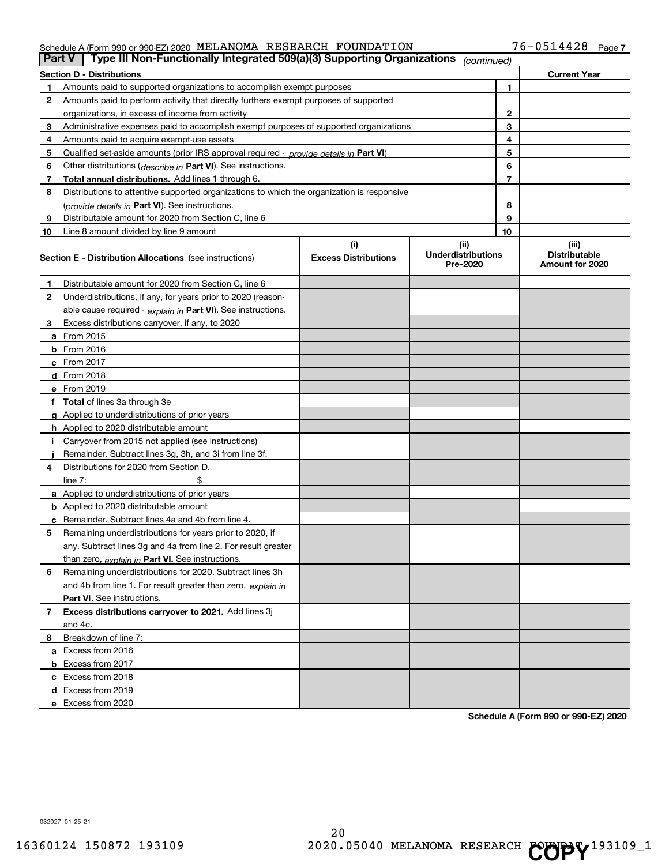### Schedule A (Form 990 or 990-EZ) 2020 MELANOMA RESEARCH FOUNDATLON Page MELANOMA RESEARCH FOUNDATION 76-0514428

| Part V | Type III Non-Functionally Integrated 509(a)(3) Supporting Organizations                                                   |                                    | (continued)                                    |                                                  |
|--------|---------------------------------------------------------------------------------------------------------------------------|------------------------------------|------------------------------------------------|--------------------------------------------------|
|        | <b>Section D - Distributions</b>                                                                                          |                                    |                                                | <b>Current Year</b>                              |
| 1      | Amounts paid to supported organizations to accomplish exempt purposes                                                     |                                    | 1                                              |                                                  |
| 2      | Amounts paid to perform activity that directly furthers exempt purposes of supported                                      |                                    |                                                |                                                  |
|        | organizations, in excess of income from activity                                                                          |                                    | 2                                              |                                                  |
| 3      | Administrative expenses paid to accomplish exempt purposes of supported organizations                                     |                                    | 3                                              |                                                  |
| 4      | Amounts paid to acquire exempt-use assets                                                                                 |                                    | 4                                              |                                                  |
| 5      | Qualified set-aside amounts (prior IRS approval required - provide details in Part VI)                                    |                                    | 5                                              |                                                  |
| 6      | Other distributions ( <i>describe in</i> Part VI). See instructions.                                                      |                                    | 6                                              |                                                  |
| 7      | <b>Total annual distributions.</b> Add lines 1 through 6.                                                                 |                                    | $\overline{7}$                                 |                                                  |
| 8      | Distributions to attentive supported organizations to which the organization is responsive                                |                                    |                                                |                                                  |
|        | (provide details in Part VI). See instructions.                                                                           |                                    | 8                                              |                                                  |
| 9      | Distributable amount for 2020 from Section C, line 6                                                                      |                                    | 9                                              |                                                  |
| 10     | Line 8 amount divided by line 9 amount                                                                                    |                                    | 10                                             |                                                  |
|        | <b>Section E - Distribution Allocations</b> (see instructions)                                                            | (i)<br><b>Excess Distributions</b> | (iii)<br><b>Underdistributions</b><br>Pre-2020 | (iii)<br><b>Distributable</b><br>Amount for 2020 |
| 1      | Distributable amount for 2020 from Section C, line 6                                                                      |                                    |                                                |                                                  |
| 2      | Underdistributions, if any, for years prior to 2020 (reason-                                                              |                                    |                                                |                                                  |
|        | able cause required - explain in Part VI). See instructions.                                                              |                                    |                                                |                                                  |
| З      | Excess distributions carryover, if any, to 2020                                                                           |                                    |                                                |                                                  |
|        | <b>a</b> From 2015                                                                                                        |                                    |                                                |                                                  |
|        | <b>b</b> From 2016                                                                                                        |                                    |                                                |                                                  |
|        | c From $2017$                                                                                                             |                                    |                                                |                                                  |
|        | d From 2018                                                                                                               |                                    |                                                |                                                  |
|        | e From 2019                                                                                                               |                                    |                                                |                                                  |
|        | Total of lines 3a through 3e                                                                                              |                                    |                                                |                                                  |
| g      | Applied to underdistributions of prior years                                                                              |                                    |                                                |                                                  |
|        | <b>h</b> Applied to 2020 distributable amount                                                                             |                                    |                                                |                                                  |
|        | Carryover from 2015 not applied (see instructions)                                                                        |                                    |                                                |                                                  |
|        | Remainder. Subtract lines 3g, 3h, and 3i from line 3f.                                                                    |                                    |                                                |                                                  |
| 4      | Distributions for 2020 from Section D,                                                                                    |                                    |                                                |                                                  |
|        | line $7:$                                                                                                                 |                                    |                                                |                                                  |
|        | <b>a</b> Applied to underdistributions of prior years                                                                     |                                    |                                                |                                                  |
|        | <b>b</b> Applied to 2020 distributable amount                                                                             |                                    |                                                |                                                  |
|        | c Remainder. Subtract lines 4a and 4b from line 4.                                                                        |                                    |                                                |                                                  |
| 5      | Remaining underdistributions for years prior to 2020, if<br>any. Subtract lines 3g and 4a from line 2. For result greater |                                    |                                                |                                                  |
|        | than zero, explain in Part VI. See instructions.                                                                          |                                    |                                                |                                                  |
| 6      | Remaining underdistributions for 2020. Subtract lines 3h                                                                  |                                    |                                                |                                                  |
|        | and 4b from line 1. For result greater than zero, explain in                                                              |                                    |                                                |                                                  |
|        | Part VI. See instructions.                                                                                                |                                    |                                                |                                                  |
| 7      | Excess distributions carryover to 2021. Add lines 3j                                                                      |                                    |                                                |                                                  |
|        | and 4c.                                                                                                                   |                                    |                                                |                                                  |
| 8      | Breakdown of line 7:                                                                                                      |                                    |                                                |                                                  |
|        | a Excess from 2016                                                                                                        |                                    |                                                |                                                  |
|        | <b>b</b> Excess from 2017                                                                                                 |                                    |                                                |                                                  |
|        | c Excess from 2018                                                                                                        |                                    |                                                |                                                  |
|        | d Excess from 2019                                                                                                        |                                    |                                                |                                                  |
|        | e Excess from 2020                                                                                                        |                                    |                                                |                                                  |

**Schedule A (Form 990 or 990-EZ) 2020**

032027 01-25-21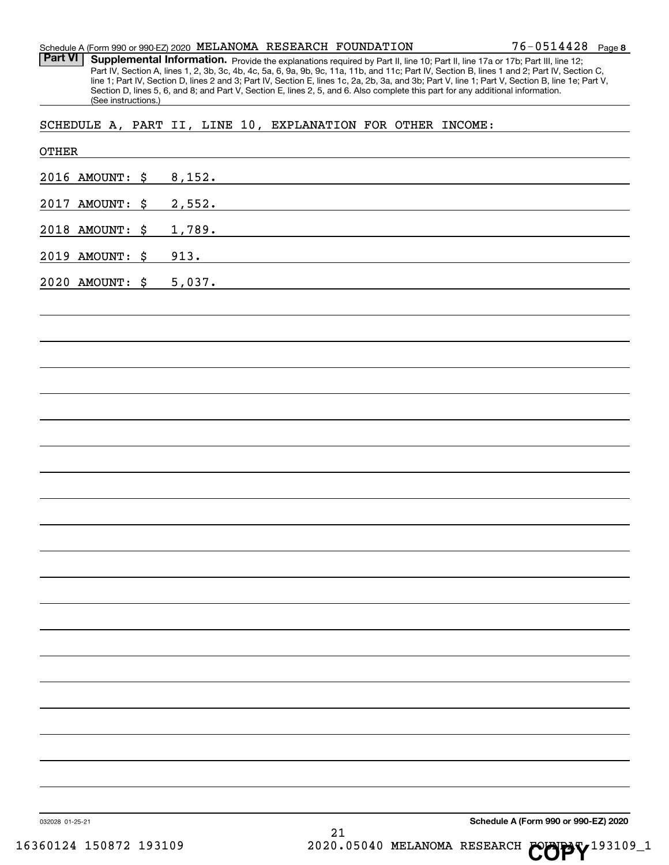Schedule A (Form 990 or 990-EZ) 2020 Page MELANOMA RESEARCH FOUNDATION

Part VI | Supplemental Information. Provide the explanations required by Part II, line 10; Part II, line 17a or 17b; Part III, line 12; Part IV, Section A, lines 1, 2, 3b, 3c, 4b, 4c, 5a, 6, 9a, 9b, 9c, 11a, 11b, and 11c; Part IV, Section B, lines 1 and 2; Part IV, Section C, line 1; Part IV, Section D, lines 2 and 3; Part IV, Section E, lines 1c, 2a, 2b, 3a, and 3b; Part V, line 1; Part V, Section B, line 1e; Part V, Section D, lines 5, 6, and 8; and Part V, Section E, lines 2, 5, and 6. Also complete this part for any additional information. (See instructions.)

SCHEDULE A, PART II, LINE 10, EXPLANATION FOR OTHER INCOME:

| 032028 01-25-21 |        | 21 | Schedule A (Form 990 or 990-EZ) 2020 |
|-----------------|--------|----|--------------------------------------|
|                 |        |    |                                      |
|                 |        |    |                                      |
|                 |        |    |                                      |
|                 |        |    |                                      |
|                 |        |    |                                      |
|                 |        |    |                                      |
|                 |        |    |                                      |
|                 |        |    |                                      |
|                 |        |    |                                      |
|                 |        |    |                                      |
|                 |        |    |                                      |
|                 |        |    |                                      |
|                 |        |    |                                      |
|                 |        |    |                                      |
|                 |        |    |                                      |
|                 |        |    |                                      |
|                 |        |    |                                      |
| 2020 AMOUNT: \$ | 5,037. |    |                                      |
| 2019 AMOUNT: \$ | 913.   |    |                                      |
| 2018 AMOUNT: \$ | 1,789. |    |                                      |
| 2017 AMOUNT: \$ | 2,552. |    |                                      |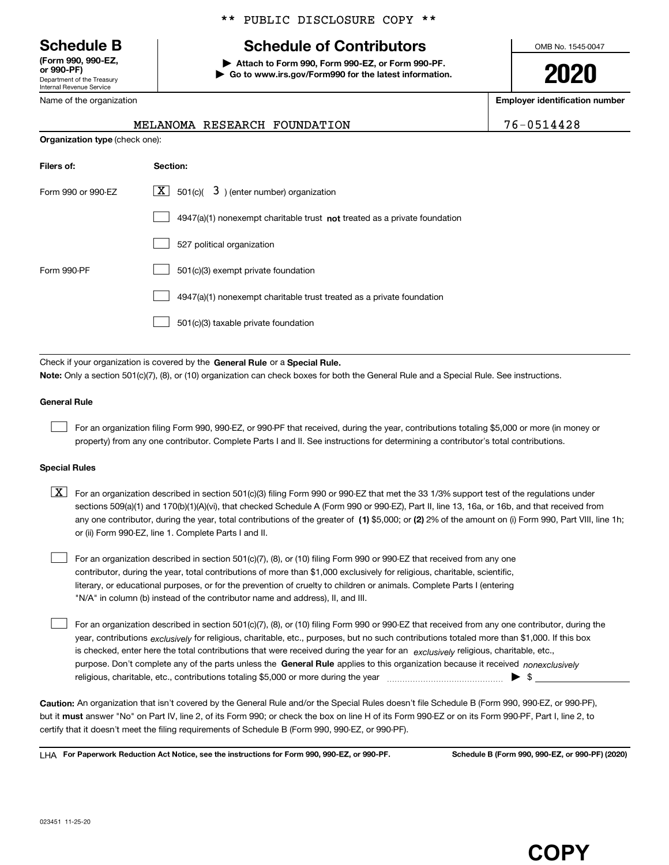nent of the Treasury Internal Revenue Service **(Form 990, 990-EZ,**

# \*\* PUBLIC DISCLOSURE COPY \*\*

# **Schedule B Schedule of Contributors**

**or 990-PF) | Attach to Form 990, Form 990-EZ, or Form 990-PF. | Go to www.irs.gov/Form990 for the latest information.** OMB No. 1545-0047

**2020**

**Employer identification number**

| 76-0514428 |  |  |  |  |  |  |  |  |  |
|------------|--|--|--|--|--|--|--|--|--|
|------------|--|--|--|--|--|--|--|--|--|

| Department or the ricasury<br><b>Internal Revenue Service</b> |  |
|---------------------------------------------------------------|--|
| Name of the organization                                      |  |

| Organization type (check one):<br>Section:<br>$ \mathbf{X} $ 501(c)( 3) (enter number) organization<br>$4947(a)(1)$ nonexempt charitable trust not treated as a private foundation<br>527 political organization<br>501(c)(3) exempt private foundation |                                                                       |  |  |
|---------------------------------------------------------------------------------------------------------------------------------------------------------------------------------------------------------------------------------------------------------|-----------------------------------------------------------------------|--|--|
| Filers of:                                                                                                                                                                                                                                              |                                                                       |  |  |
| Form 990 or 990-EZ                                                                                                                                                                                                                                      |                                                                       |  |  |
|                                                                                                                                                                                                                                                         |                                                                       |  |  |
|                                                                                                                                                                                                                                                         |                                                                       |  |  |
| Form 990-PF                                                                                                                                                                                                                                             |                                                                       |  |  |
|                                                                                                                                                                                                                                                         | 4947(a)(1) nonexempt charitable trust treated as a private foundation |  |  |
|                                                                                                                                                                                                                                                         |                                                                       |  |  |

MELANOMA RESEARCH FOUNDATION

501(c)(3) taxable private foundation  $\begin{array}{c} \hline \end{array}$ 

Check if your organization is covered by the General Rule or a Special Rule. **Note:**  Only a section 501(c)(7), (8), or (10) organization can check boxes for both the General Rule and a Special Rule. See instructions.

# **General Rule**

 $\begin{array}{c} \hline \end{array}$ 

For an organization filing Form 990, 990-EZ, or 990-PF that received, during the year, contributions totaling \$5,000 or more (in money or property) from any one contributor. Complete Parts I and II. See instructions for determining a contributor's total contributions.

## **Special Rules**

any one contributor, during the year, total contributions of the greater of  $\,$  (1) \$5,000; or (2) 2% of the amount on (i) Form 990, Part VIII, line 1h;  $\boxed{\textbf{X}}$  For an organization described in section 501(c)(3) filing Form 990 or 990-EZ that met the 33 1/3% support test of the regulations under sections 509(a)(1) and 170(b)(1)(A)(vi), that checked Schedule A (Form 990 or 990-EZ), Part II, line 13, 16a, or 16b, and that received from or (ii) Form 990-EZ, line 1. Complete Parts I and II.

For an organization described in section 501(c)(7), (8), or (10) filing Form 990 or 990-EZ that received from any one contributor, during the year, total contributions of more than \$1,000 exclusively for religious, charitable, scientific, literary, or educational purposes, or for the prevention of cruelty to children or animals. Complete Parts I (entering "N/A" in column (b) instead of the contributor name and address), II, and III.  $\begin{array}{c} \hline \end{array}$ 

purpose. Don't complete any of the parts unless the General Rule applies to this organization because it received *nonexclusively* year, contributions <sub>exclusively</sub> for religious, charitable, etc., purposes, but no such contributions totaled more than \$1,000. If this box is checked, enter here the total contributions that were received during the year for an *exclusively* religious, charitable, etc., For an organization described in section 501(c)(7), (8), or (10) filing Form 990 or 990-EZ that received from any one contributor, during the religious, charitable, etc., contributions totaling \$5,000 or more during the year  $\Box$ — $\Box$   $\Box$  $\begin{array}{c} \hline \end{array}$ 

**Caution:**  An organization that isn't covered by the General Rule and/or the Special Rules doesn't file Schedule B (Form 990, 990-EZ, or 990-PF),  **must** but it answer "No" on Part IV, line 2, of its Form 990; or check the box on line H of its Form 990-EZ or on its Form 990-PF, Part I, line 2, to certify that it doesn't meet the filing requirements of Schedule B (Form 990, 990-EZ, or 990-PF).

**For Paperwork Reduction Act Notice, see the instructions for Form 990, 990-EZ, or 990-PF. Schedule B (Form 990, 990-EZ, or 990-PF) (2020)** LHA

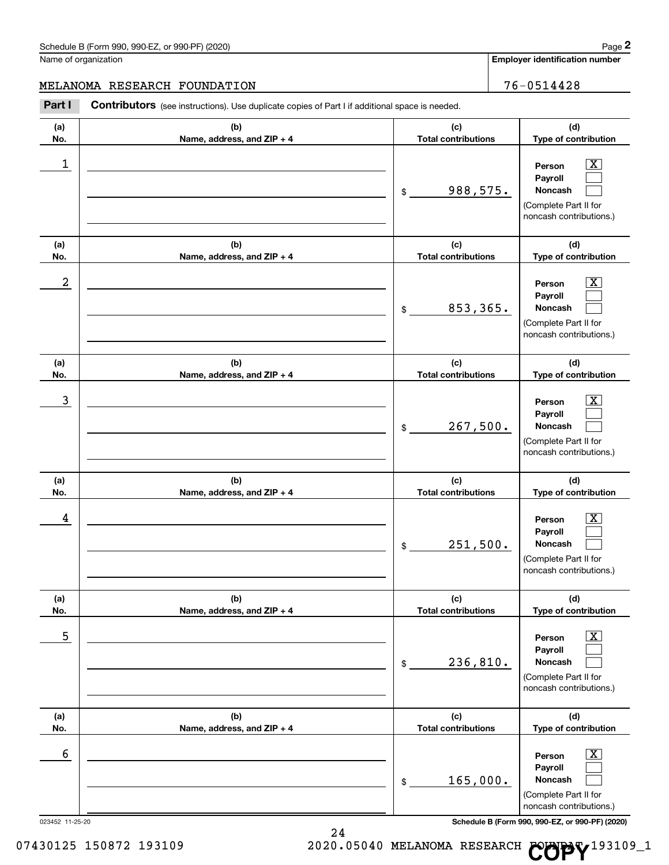**Employer identification number**

**(a) No. (b) Name, address, and ZIP + 4 (c) Total contributions (d) Type of contribution Person Payroll Noncash (a) No. (b) Name, address, and ZIP + 4 (c) Total contributions (d) Type of contribution Person Payroll Noncash (a) No. (b) Name, address, and ZIP + 4 (c) Total contributions (d) Type of contribution Person Payroll Noncash (a) No. (b) Name, address, and ZIP + 4 (c) Total contributions (d) Type of contribution Person Payroll Noncash (a) No. (b) Name, address, and ZIP + 4 (c) Total contributions (d) Type of contribution Person Payroll Noncash (a) No. (b) Name, address, and ZIP + 4 (c) Total contributions (d) Type of contribution Person Payroll** Part I Contributors (see instructions). Use duplicate copies of Part I if additional space is needed. \$ (Complete Part II for noncash contributions.) \$ (Complete Part II for noncash contributions.) \$ (Complete Part II for noncash contributions.) \$ (Complete Part II for noncash contributions.) \$ (Complete Part II for noncash contributions.)  $|X|$  $\begin{array}{c} \hline \end{array}$  $\begin{array}{c} \hline \end{array}$  $\boxed{\text{X}}$  $\begin{array}{c} \hline \end{array}$  $\begin{array}{c} \hline \end{array}$  $|X|$  $\begin{array}{c} \hline \end{array}$  $\begin{array}{c} \hline \end{array}$  $\boxed{\text{X}}$  $\begin{array}{c} \hline \end{array}$  $\begin{array}{c} \hline \end{array}$  $\boxed{\text{X}}$  $\begin{array}{c} \hline \end{array}$  $\begin{array}{c} \hline \end{array}$  $\boxed{\text{X}}$  $\begin{array}{c} \hline \end{array}$ 1 X 988,575.  $2$  Person  $\overline{\text{X}}$ 853,365. 3 X 267,500. 4 X 251,500.  $\overline{\phantom{a}}$  5  $\overline{\phantom{a}}$  Person  $\overline{\phantom{a}}$   $\overline{\phantom{a}}$ 236,810. 6 X MELANOMA RESEARCH FOUNDATION 76-0514428

> (Complete Part II for noncash contributions.)

**Noncash**

 $\begin{array}{c} \hline \end{array}$ 

023452 11-25-20 **Schedule B (Form 990, 990-EZ, or 990-PF) (2020)**

07430125 150872 193109 2020.05040 MELANOMA RESEARCH **COPY**<sup>193109\_1</sup>

165,000.

\$

24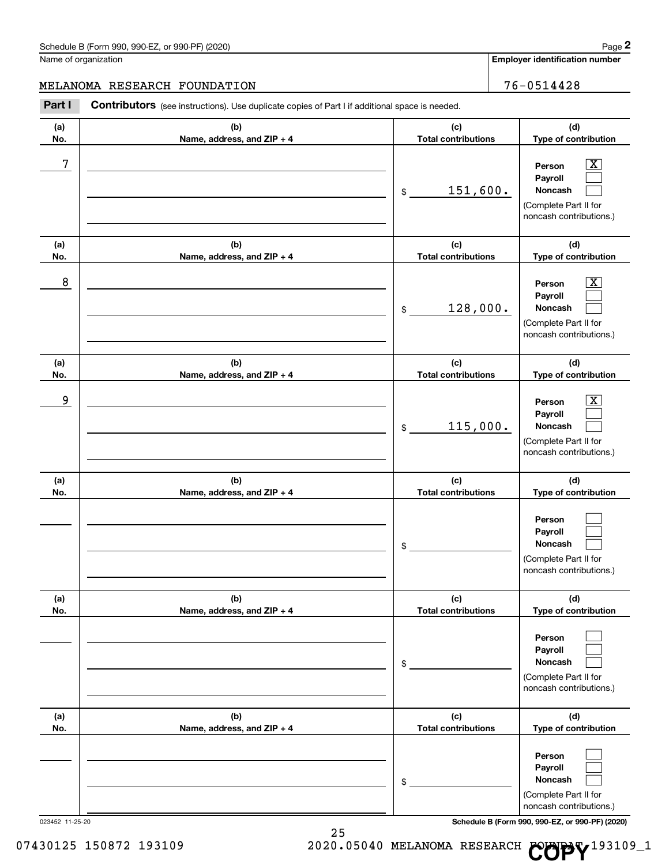**Employer identification number**

# MELANOMA RESEARCH FOUNDATION 76-0514428

**(a) No. (b) Name, address, and ZIP + 4 (c) Total contributions (d) Type of contribution Person Payroll Noncash (a) No. (b) Name, address, and ZIP + 4 (c) Total contributions (d) Type of contribution Person Payroll Noncash (a) No. (b) Name, address, and ZIP + 4 (c) Total contributions (d) Type of contribution Person Payroll Noncash (a) No. (b) Name, address, and ZIP + 4 (c) Total contributions (d) Type of contribution Person Payroll Noncash (a) No. (b) Name, address, and ZIP + 4 (c) Total contributions (d) Type of contribution Person Payroll Noncash (a) No. (b) Name, address, and ZIP + 4 (c) Total contributions (d) Type of contribution Person Payroll Noncash** Part I Contributors (see instructions). Use duplicate copies of Part I if additional space is needed. \$ (Complete Part II for noncash contributions.) \$ (Complete Part II for noncash contributions.) \$ (Complete Part II for noncash contributions.) \$ (Complete Part II for noncash contributions.) \$ (Complete Part II for noncash contributions.) \$ (Complete Part II for  $|X|$  $\begin{array}{c} \hline \end{array}$  $\begin{array}{c} \hline \end{array}$  $\boxed{\text{X}}$  $\begin{array}{c} \hline \end{array}$  $\begin{array}{c} \hline \end{array}$  $|X|$  $\begin{array}{c} \hline \end{array}$  $\begin{array}{c} \hline \end{array}$  $\begin{array}{c} \hline \end{array}$  $\begin{array}{c} \hline \end{array}$  $\begin{array}{c} \hline \end{array}$  $\begin{array}{c} \hline \end{array}$  $\begin{array}{c} \hline \end{array}$  $\begin{array}{c} \hline \end{array}$  $\begin{array}{c} \hline \end{array}$  $\begin{array}{c} \hline \end{array}$  $\begin{array}{c} \hline \end{array}$  $7$   $|$  Person  $\overline{\text{X}}$ 151,600.  $8$  Person  $\overline{\text{X}}$ 128,000. 9 X 115,000.

023452 11-25-20 **Schedule B (Form 990, 990-EZ, or 990-PF) (2020)**

noncash contributions.)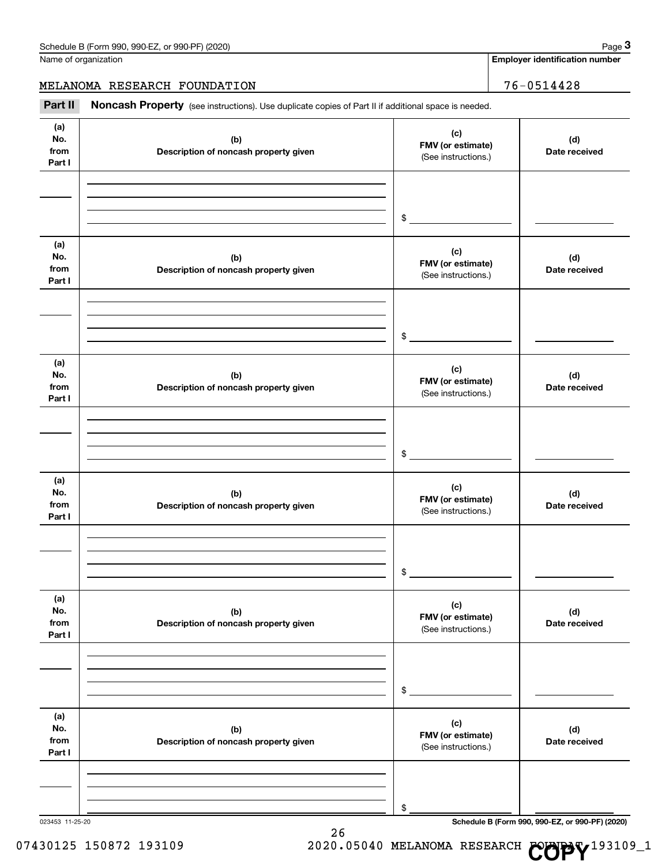**3**

**Employer identification number**

MELANOMA RESEARCH FOUNDATION 76-0514428

Part II Noncash Property (see instructions). Use duplicate copies of Part II if additional space is needed.

| (a)<br>No.<br>(b)<br>from<br>Description of noncash property given<br>Part I | (c)<br>FMV (or estimate)<br>(See instructions.) | (d)<br>Date received                            |
|------------------------------------------------------------------------------|-------------------------------------------------|-------------------------------------------------|
|                                                                              | $\frac{1}{2}$                                   |                                                 |
| (a)<br>No.<br>(b)<br>from<br>Description of noncash property given<br>Part I | (c)<br>FMV (or estimate)<br>(See instructions.) | (d)<br>Date received                            |
|                                                                              | $\frac{1}{2}$                                   |                                                 |
| (a)<br>No.<br>(b)<br>from<br>Description of noncash property given<br>Part I | (c)<br>FMV (or estimate)<br>(See instructions.) | (d)<br>Date received                            |
|                                                                              | $\mathfrak{S}$                                  |                                                 |
| (a)<br>No.<br>(b)<br>from<br>Description of noncash property given<br>Part I | (c)<br>FMV (or estimate)<br>(See instructions.) | (d)<br>Date received                            |
|                                                                              | \$                                              |                                                 |
| (a)<br>No.<br>(b)<br>from<br>Description of noncash property given<br>Part I | (c)<br>FMV (or estimate)<br>(See instructions.) | (d)<br>Date received                            |
|                                                                              | \$                                              |                                                 |
| (a)<br>No.<br>(b)<br>from<br>Description of noncash property given<br>Part I | (c)<br>FMV (or estimate)<br>(See instructions.) | (d)<br>Date received                            |
| 023453 11-25-20                                                              | \$                                              | Schedule B (Form 990, 990-EZ, or 990-PF) (2020) |



26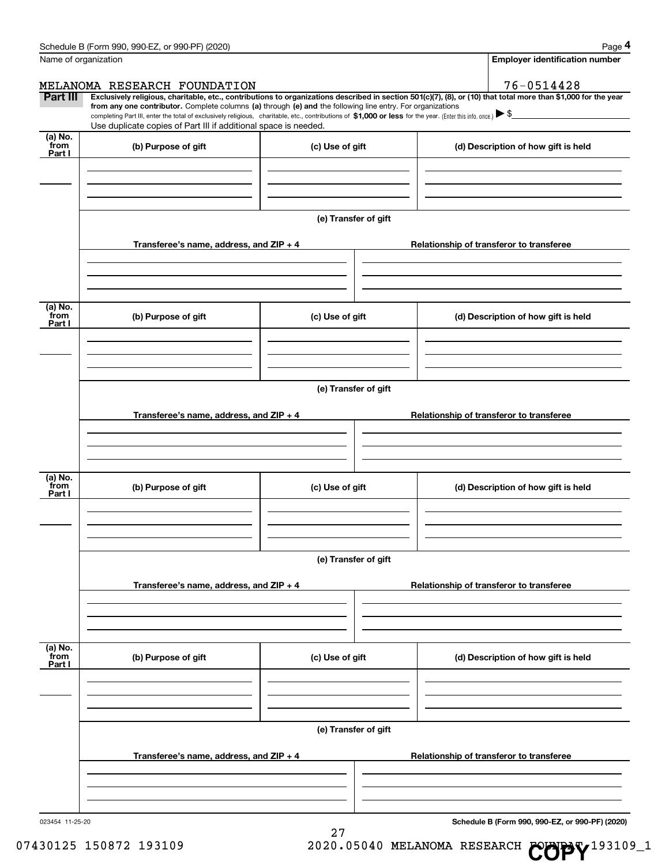|                             | $\frac{1}{2}$ and $\frac{1}{2}$ of $\frac{1}{2}$ or $\frac{1}{2}$ or $\frac{1}{2}$ or $\frac{1}{2}$ or $\frac{1}{2}$ $\frac{1}{2}$ $\frac{1}{2}$ $\frac{1}{2}$ $\frac{1}{2}$ $\frac{1}{2}$ $\frac{1}{2}$ $\frac{1}{2}$ $\frac{1}{2}$ $\frac{1}{2}$ $\frac{1}{2}$ $\frac{1}{2}$ $\frac{1}{2}$ $\frac{1}{2}$ $\$<br>Name of organization |                      | . uyu<br><b>Employer identification number</b>                                                                                                                                                                                                                                                                                                                    |
|-----------------------------|----------------------------------------------------------------------------------------------------------------------------------------------------------------------------------------------------------------------------------------------------------------------------------------------------------------------------------------|----------------------|-------------------------------------------------------------------------------------------------------------------------------------------------------------------------------------------------------------------------------------------------------------------------------------------------------------------------------------------------------------------|
| <b>Part III</b>             | MELANOMA RESEARCH FOUNDATION<br>from any one contributor. Complete columns (a) through (e) and the following line entry. For organizations                                                                                                                                                                                             |                      | 76-0514428<br>Exclusively religious, charitable, etc., contributions to organizations described in section 501(c)(7), (8), or (10) that total more than \$1,000 for the year<br>completing Part III, enter the total of exclusively religious, charitable, etc., contributions of \$1,000 or less for the year. (Enter this info. once.) $\blacktriangleright$ \$ |
| $(a)$ No.<br>from<br>Part I | Use duplicate copies of Part III if additional space is needed.<br>(b) Purpose of gift                                                                                                                                                                                                                                                 | (c) Use of gift      | (d) Description of how gift is held                                                                                                                                                                                                                                                                                                                               |
|                             | Transferee's name, address, and ZIP + 4                                                                                                                                                                                                                                                                                                | (e) Transfer of gift | Relationship of transferor to transferee                                                                                                                                                                                                                                                                                                                          |
| (a) No.<br>from<br>Part I   | (b) Purpose of gift                                                                                                                                                                                                                                                                                                                    | (c) Use of gift      | (d) Description of how gift is held                                                                                                                                                                                                                                                                                                                               |
|                             |                                                                                                                                                                                                                                                                                                                                        | (e) Transfer of gift |                                                                                                                                                                                                                                                                                                                                                                   |
|                             | Transferee's name, address, and ZIP + 4                                                                                                                                                                                                                                                                                                |                      | Relationship of transferor to transferee                                                                                                                                                                                                                                                                                                                          |
| (a) No.<br>from<br>Part I   | (b) Purpose of gift                                                                                                                                                                                                                                                                                                                    | (c) Use of gift      | (d) Description of how gift is held                                                                                                                                                                                                                                                                                                                               |
|                             |                                                                                                                                                                                                                                                                                                                                        | (e) Transfer of gift |                                                                                                                                                                                                                                                                                                                                                                   |
|                             | Transferee's name, address, and ZIP + 4                                                                                                                                                                                                                                                                                                |                      | Relationship of transferor to transferee                                                                                                                                                                                                                                                                                                                          |
| (a) No.<br>from<br>Part I   | (b) Purpose of gift                                                                                                                                                                                                                                                                                                                    | (c) Use of gift      | (d) Description of how gift is held                                                                                                                                                                                                                                                                                                                               |
|                             | Transferee's name, address, and ZIP + 4                                                                                                                                                                                                                                                                                                | (e) Transfer of gift | Relationship of transferor to transferee                                                                                                                                                                                                                                                                                                                          |
|                             |                                                                                                                                                                                                                                                                                                                                        |                      |                                                                                                                                                                                                                                                                                                                                                                   |

27

023454 11-25-20

**Schedule B (Form 990, 990-EZ, or 990-PF) (2020)**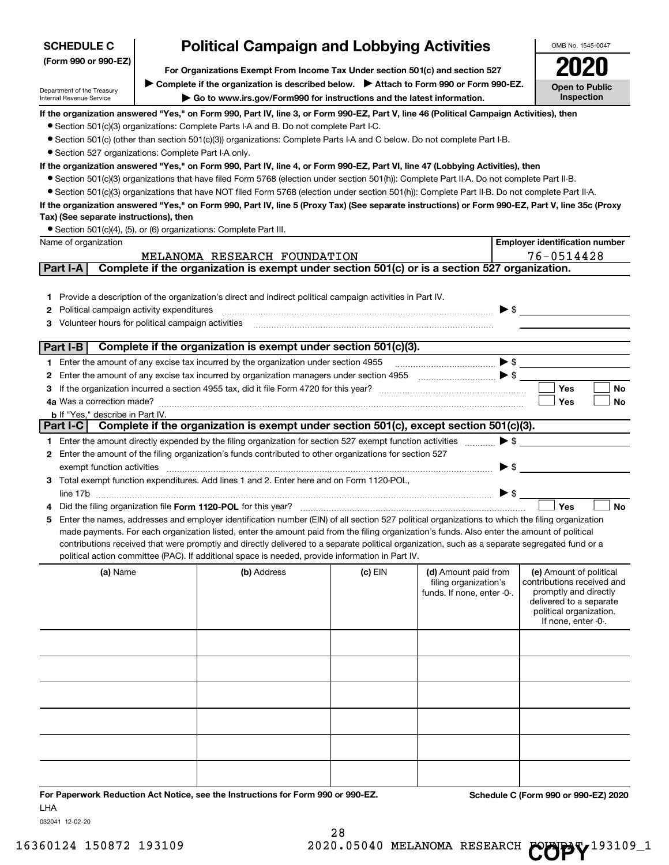| (Form 990 or 990-EZ)<br>For Organizations Exempt From Income Tax Under section 501(c) and section 527<br>Complete if the organization is described below. > Attach to Form 990 or Form 990-EZ.<br><b>Open to Public</b><br>Department of the Treasury<br>Inspection<br>Go to www.irs.gov/Form990 for instructions and the latest information.<br>Internal Revenue Service<br>If the organization answered "Yes," on Form 990, Part IV, line 3, or Form 990-EZ, Part V, line 46 (Political Campaign Activities), then<br>• Section 501(c)(3) organizations: Complete Parts I-A and B. Do not complete Part I-C.<br>• Section 501(c) (other than section 501(c)(3)) organizations: Complete Parts I-A and C below. Do not complete Part I-B.<br>• Section 527 organizations: Complete Part I-A only.<br>If the organization answered "Yes," on Form 990, Part IV, line 4, or Form 990-EZ, Part VI, line 47 (Lobbying Activities), then<br>• Section 501(c)(3) organizations that have filed Form 5768 (election under section 501(h)): Complete Part II-A. Do not complete Part II-B.<br>• Section 501(c)(3) organizations that have NOT filed Form 5768 (election under section 501(h)): Complete Part II-B. Do not complete Part II-A.<br>If the organization answered "Yes," on Form 990, Part IV, line 5 (Proxy Tax) (See separate instructions) or Form 990-EZ, Part V, line 35c (Proxy<br>Tax) (See separate instructions), then<br>• Section 501(c)(4), (5), or (6) organizations: Complete Part III.<br><b>Employer identification number</b><br>76-0514428<br>MELANOMA RESEARCH FOUNDATION<br>Complete if the organization is exempt under section 501(c) or is a section 527 organization.<br>Part I-A<br>1 Provide a description of the organization's direct and indirect political campaign activities in Part IV.<br>$\blacktriangleright$ \$<br>Political campaign activity expenditures<br>2<br>Volunteer hours for political campaign activities<br>З<br>Complete if the organization is exempt under section 501(c)(3).<br>Part I-B<br>$\bullet \mathsf{s} \_\_$<br>1 Enter the amount of any excise tax incurred by the organization under section 4955<br>Enter the amount of any excise tax incurred by organization managers under section 4955 [100] [100] S [200]<br>2<br>Yes<br>No<br>З<br>Yes<br>No<br><b>b</b> If "Yes," describe in Part IV.<br>Part I-C Complete if the organization is exempt under section 501(c), except section 501(c)(3).<br>$\blacktriangleright$ \$<br>1 Enter the amount directly expended by the filing organization for section 527 exempt function activities<br>Enter the amount of the filing organization's funds contributed to other organizations for section 527<br>2<br>$\blacktriangleright$ \$<br>exempt function activities<br>3 Total exempt function expenditures. Add lines 1 and 2. Enter here and on Form 1120-POL,<br>$\triangleright$ \$<br>Yes<br><b>No</b><br>Did the filing organization file Form 1120-POL for this year?<br>5 Enter the names, addresses and employer identification number (EIN) of all section 527 political organizations to which the filing organization<br>made payments. For each organization listed, enter the amount paid from the filing organization's funds. Also enter the amount of political<br>contributions received that were promptly and directly delivered to a separate political organization, such as a separate segregated fund or a<br>political action committee (PAC). If additional space is needed, provide information in Part IV.<br>(b) Address<br>(a) Name<br>$(c)$ EIN<br>(d) Amount paid from<br>(e) Amount of political<br>contributions received and<br>filing organization's<br>promptly and directly<br>funds. If none, enter -0-.<br>delivered to a separate<br>political organization.<br>If none, enter -0-. | <b>Political Campaign and Lobbying Activities</b><br><b>SCHEDULE C</b> |  |  |  |  | OMB No. 1545-0047 |  |  |  |  |  |  |
|-------------------------------------------------------------------------------------------------------------------------------------------------------------------------------------------------------------------------------------------------------------------------------------------------------------------------------------------------------------------------------------------------------------------------------------------------------------------------------------------------------------------------------------------------------------------------------------------------------------------------------------------------------------------------------------------------------------------------------------------------------------------------------------------------------------------------------------------------------------------------------------------------------------------------------------------------------------------------------------------------------------------------------------------------------------------------------------------------------------------------------------------------------------------------------------------------------------------------------------------------------------------------------------------------------------------------------------------------------------------------------------------------------------------------------------------------------------------------------------------------------------------------------------------------------------------------------------------------------------------------------------------------------------------------------------------------------------------------------------------------------------------------------------------------------------------------------------------------------------------------------------------------------------------------------------------------------------------------------------------------------------------------------------------------------------------------------------------------------------------------------------------------------------------------------------------------------------------------------------------------------------------------------------------------------------------------------------------------------------------------------------------------------------------------------------------------------------------------------------------------------------------------------------------------------------------------------------------------------------------------------------------------------------------------------------------------------------------------------------------------------------------------------------------------------------------------------------------------------------------------------------------------------------------------------------------------------------------------------------------------------------------------------------------------------------------------------------------------------------------------------------------------------------------------------------------------------------------------------------------------------------------------------------------------------------------------------------------------------------------------------------------------------------------------------------------------------------------------------------------------------------------------------------------------------------------------------------------------------------------------------------------------------------------------------------------------------------------------------------------------------------------------------------------------------------------------------------------------------|------------------------------------------------------------------------|--|--|--|--|-------------------|--|--|--|--|--|--|
|                                                                                                                                                                                                                                                                                                                                                                                                                                                                                                                                                                                                                                                                                                                                                                                                                                                                                                                                                                                                                                                                                                                                                                                                                                                                                                                                                                                                                                                                                                                                                                                                                                                                                                                                                                                                                                                                                                                                                                                                                                                                                                                                                                                                                                                                                                                                                                                                                                                                                                                                                                                                                                                                                                                                                                                                                                                                                                                                                                                                                                                                                                                                                                                                                                                                                                                                                                                                                                                                                                                                                                                                                                                                                                                                                                                                                                                       |                                                                        |  |  |  |  |                   |  |  |  |  |  |  |
|                                                                                                                                                                                                                                                                                                                                                                                                                                                                                                                                                                                                                                                                                                                                                                                                                                                                                                                                                                                                                                                                                                                                                                                                                                                                                                                                                                                                                                                                                                                                                                                                                                                                                                                                                                                                                                                                                                                                                                                                                                                                                                                                                                                                                                                                                                                                                                                                                                                                                                                                                                                                                                                                                                                                                                                                                                                                                                                                                                                                                                                                                                                                                                                                                                                                                                                                                                                                                                                                                                                                                                                                                                                                                                                                                                                                                                                       |                                                                        |  |  |  |  |                   |  |  |  |  |  |  |
|                                                                                                                                                                                                                                                                                                                                                                                                                                                                                                                                                                                                                                                                                                                                                                                                                                                                                                                                                                                                                                                                                                                                                                                                                                                                                                                                                                                                                                                                                                                                                                                                                                                                                                                                                                                                                                                                                                                                                                                                                                                                                                                                                                                                                                                                                                                                                                                                                                                                                                                                                                                                                                                                                                                                                                                                                                                                                                                                                                                                                                                                                                                                                                                                                                                                                                                                                                                                                                                                                                                                                                                                                                                                                                                                                                                                                                                       |                                                                        |  |  |  |  |                   |  |  |  |  |  |  |
|                                                                                                                                                                                                                                                                                                                                                                                                                                                                                                                                                                                                                                                                                                                                                                                                                                                                                                                                                                                                                                                                                                                                                                                                                                                                                                                                                                                                                                                                                                                                                                                                                                                                                                                                                                                                                                                                                                                                                                                                                                                                                                                                                                                                                                                                                                                                                                                                                                                                                                                                                                                                                                                                                                                                                                                                                                                                                                                                                                                                                                                                                                                                                                                                                                                                                                                                                                                                                                                                                                                                                                                                                                                                                                                                                                                                                                                       |                                                                        |  |  |  |  |                   |  |  |  |  |  |  |
|                                                                                                                                                                                                                                                                                                                                                                                                                                                                                                                                                                                                                                                                                                                                                                                                                                                                                                                                                                                                                                                                                                                                                                                                                                                                                                                                                                                                                                                                                                                                                                                                                                                                                                                                                                                                                                                                                                                                                                                                                                                                                                                                                                                                                                                                                                                                                                                                                                                                                                                                                                                                                                                                                                                                                                                                                                                                                                                                                                                                                                                                                                                                                                                                                                                                                                                                                                                                                                                                                                                                                                                                                                                                                                                                                                                                                                                       |                                                                        |  |  |  |  |                   |  |  |  |  |  |  |
|                                                                                                                                                                                                                                                                                                                                                                                                                                                                                                                                                                                                                                                                                                                                                                                                                                                                                                                                                                                                                                                                                                                                                                                                                                                                                                                                                                                                                                                                                                                                                                                                                                                                                                                                                                                                                                                                                                                                                                                                                                                                                                                                                                                                                                                                                                                                                                                                                                                                                                                                                                                                                                                                                                                                                                                                                                                                                                                                                                                                                                                                                                                                                                                                                                                                                                                                                                                                                                                                                                                                                                                                                                                                                                                                                                                                                                                       |                                                                        |  |  |  |  |                   |  |  |  |  |  |  |
|                                                                                                                                                                                                                                                                                                                                                                                                                                                                                                                                                                                                                                                                                                                                                                                                                                                                                                                                                                                                                                                                                                                                                                                                                                                                                                                                                                                                                                                                                                                                                                                                                                                                                                                                                                                                                                                                                                                                                                                                                                                                                                                                                                                                                                                                                                                                                                                                                                                                                                                                                                                                                                                                                                                                                                                                                                                                                                                                                                                                                                                                                                                                                                                                                                                                                                                                                                                                                                                                                                                                                                                                                                                                                                                                                                                                                                                       |                                                                        |  |  |  |  |                   |  |  |  |  |  |  |
|                                                                                                                                                                                                                                                                                                                                                                                                                                                                                                                                                                                                                                                                                                                                                                                                                                                                                                                                                                                                                                                                                                                                                                                                                                                                                                                                                                                                                                                                                                                                                                                                                                                                                                                                                                                                                                                                                                                                                                                                                                                                                                                                                                                                                                                                                                                                                                                                                                                                                                                                                                                                                                                                                                                                                                                                                                                                                                                                                                                                                                                                                                                                                                                                                                                                                                                                                                                                                                                                                                                                                                                                                                                                                                                                                                                                                                                       |                                                                        |  |  |  |  |                   |  |  |  |  |  |  |
|                                                                                                                                                                                                                                                                                                                                                                                                                                                                                                                                                                                                                                                                                                                                                                                                                                                                                                                                                                                                                                                                                                                                                                                                                                                                                                                                                                                                                                                                                                                                                                                                                                                                                                                                                                                                                                                                                                                                                                                                                                                                                                                                                                                                                                                                                                                                                                                                                                                                                                                                                                                                                                                                                                                                                                                                                                                                                                                                                                                                                                                                                                                                                                                                                                                                                                                                                                                                                                                                                                                                                                                                                                                                                                                                                                                                                                                       |                                                                        |  |  |  |  |                   |  |  |  |  |  |  |
|                                                                                                                                                                                                                                                                                                                                                                                                                                                                                                                                                                                                                                                                                                                                                                                                                                                                                                                                                                                                                                                                                                                                                                                                                                                                                                                                                                                                                                                                                                                                                                                                                                                                                                                                                                                                                                                                                                                                                                                                                                                                                                                                                                                                                                                                                                                                                                                                                                                                                                                                                                                                                                                                                                                                                                                                                                                                                                                                                                                                                                                                                                                                                                                                                                                                                                                                                                                                                                                                                                                                                                                                                                                                                                                                                                                                                                                       |                                                                        |  |  |  |  |                   |  |  |  |  |  |  |
|                                                                                                                                                                                                                                                                                                                                                                                                                                                                                                                                                                                                                                                                                                                                                                                                                                                                                                                                                                                                                                                                                                                                                                                                                                                                                                                                                                                                                                                                                                                                                                                                                                                                                                                                                                                                                                                                                                                                                                                                                                                                                                                                                                                                                                                                                                                                                                                                                                                                                                                                                                                                                                                                                                                                                                                                                                                                                                                                                                                                                                                                                                                                                                                                                                                                                                                                                                                                                                                                                                                                                                                                                                                                                                                                                                                                                                                       |                                                                        |  |  |  |  |                   |  |  |  |  |  |  |
|                                                                                                                                                                                                                                                                                                                                                                                                                                                                                                                                                                                                                                                                                                                                                                                                                                                                                                                                                                                                                                                                                                                                                                                                                                                                                                                                                                                                                                                                                                                                                                                                                                                                                                                                                                                                                                                                                                                                                                                                                                                                                                                                                                                                                                                                                                                                                                                                                                                                                                                                                                                                                                                                                                                                                                                                                                                                                                                                                                                                                                                                                                                                                                                                                                                                                                                                                                                                                                                                                                                                                                                                                                                                                                                                                                                                                                                       |                                                                        |  |  |  |  |                   |  |  |  |  |  |  |
|                                                                                                                                                                                                                                                                                                                                                                                                                                                                                                                                                                                                                                                                                                                                                                                                                                                                                                                                                                                                                                                                                                                                                                                                                                                                                                                                                                                                                                                                                                                                                                                                                                                                                                                                                                                                                                                                                                                                                                                                                                                                                                                                                                                                                                                                                                                                                                                                                                                                                                                                                                                                                                                                                                                                                                                                                                                                                                                                                                                                                                                                                                                                                                                                                                                                                                                                                                                                                                                                                                                                                                                                                                                                                                                                                                                                                                                       | Name of organization                                                   |  |  |  |  |                   |  |  |  |  |  |  |
|                                                                                                                                                                                                                                                                                                                                                                                                                                                                                                                                                                                                                                                                                                                                                                                                                                                                                                                                                                                                                                                                                                                                                                                                                                                                                                                                                                                                                                                                                                                                                                                                                                                                                                                                                                                                                                                                                                                                                                                                                                                                                                                                                                                                                                                                                                                                                                                                                                                                                                                                                                                                                                                                                                                                                                                                                                                                                                                                                                                                                                                                                                                                                                                                                                                                                                                                                                                                                                                                                                                                                                                                                                                                                                                                                                                                                                                       |                                                                        |  |  |  |  |                   |  |  |  |  |  |  |
|                                                                                                                                                                                                                                                                                                                                                                                                                                                                                                                                                                                                                                                                                                                                                                                                                                                                                                                                                                                                                                                                                                                                                                                                                                                                                                                                                                                                                                                                                                                                                                                                                                                                                                                                                                                                                                                                                                                                                                                                                                                                                                                                                                                                                                                                                                                                                                                                                                                                                                                                                                                                                                                                                                                                                                                                                                                                                                                                                                                                                                                                                                                                                                                                                                                                                                                                                                                                                                                                                                                                                                                                                                                                                                                                                                                                                                                       |                                                                        |  |  |  |  |                   |  |  |  |  |  |  |
|                                                                                                                                                                                                                                                                                                                                                                                                                                                                                                                                                                                                                                                                                                                                                                                                                                                                                                                                                                                                                                                                                                                                                                                                                                                                                                                                                                                                                                                                                                                                                                                                                                                                                                                                                                                                                                                                                                                                                                                                                                                                                                                                                                                                                                                                                                                                                                                                                                                                                                                                                                                                                                                                                                                                                                                                                                                                                                                                                                                                                                                                                                                                                                                                                                                                                                                                                                                                                                                                                                                                                                                                                                                                                                                                                                                                                                                       |                                                                        |  |  |  |  |                   |  |  |  |  |  |  |
|                                                                                                                                                                                                                                                                                                                                                                                                                                                                                                                                                                                                                                                                                                                                                                                                                                                                                                                                                                                                                                                                                                                                                                                                                                                                                                                                                                                                                                                                                                                                                                                                                                                                                                                                                                                                                                                                                                                                                                                                                                                                                                                                                                                                                                                                                                                                                                                                                                                                                                                                                                                                                                                                                                                                                                                                                                                                                                                                                                                                                                                                                                                                                                                                                                                                                                                                                                                                                                                                                                                                                                                                                                                                                                                                                                                                                                                       |                                                                        |  |  |  |  |                   |  |  |  |  |  |  |
|                                                                                                                                                                                                                                                                                                                                                                                                                                                                                                                                                                                                                                                                                                                                                                                                                                                                                                                                                                                                                                                                                                                                                                                                                                                                                                                                                                                                                                                                                                                                                                                                                                                                                                                                                                                                                                                                                                                                                                                                                                                                                                                                                                                                                                                                                                                                                                                                                                                                                                                                                                                                                                                                                                                                                                                                                                                                                                                                                                                                                                                                                                                                                                                                                                                                                                                                                                                                                                                                                                                                                                                                                                                                                                                                                                                                                                                       |                                                                        |  |  |  |  |                   |  |  |  |  |  |  |
|                                                                                                                                                                                                                                                                                                                                                                                                                                                                                                                                                                                                                                                                                                                                                                                                                                                                                                                                                                                                                                                                                                                                                                                                                                                                                                                                                                                                                                                                                                                                                                                                                                                                                                                                                                                                                                                                                                                                                                                                                                                                                                                                                                                                                                                                                                                                                                                                                                                                                                                                                                                                                                                                                                                                                                                                                                                                                                                                                                                                                                                                                                                                                                                                                                                                                                                                                                                                                                                                                                                                                                                                                                                                                                                                                                                                                                                       |                                                                        |  |  |  |  |                   |  |  |  |  |  |  |
|                                                                                                                                                                                                                                                                                                                                                                                                                                                                                                                                                                                                                                                                                                                                                                                                                                                                                                                                                                                                                                                                                                                                                                                                                                                                                                                                                                                                                                                                                                                                                                                                                                                                                                                                                                                                                                                                                                                                                                                                                                                                                                                                                                                                                                                                                                                                                                                                                                                                                                                                                                                                                                                                                                                                                                                                                                                                                                                                                                                                                                                                                                                                                                                                                                                                                                                                                                                                                                                                                                                                                                                                                                                                                                                                                                                                                                                       |                                                                        |  |  |  |  |                   |  |  |  |  |  |  |
|                                                                                                                                                                                                                                                                                                                                                                                                                                                                                                                                                                                                                                                                                                                                                                                                                                                                                                                                                                                                                                                                                                                                                                                                                                                                                                                                                                                                                                                                                                                                                                                                                                                                                                                                                                                                                                                                                                                                                                                                                                                                                                                                                                                                                                                                                                                                                                                                                                                                                                                                                                                                                                                                                                                                                                                                                                                                                                                                                                                                                                                                                                                                                                                                                                                                                                                                                                                                                                                                                                                                                                                                                                                                                                                                                                                                                                                       |                                                                        |  |  |  |  |                   |  |  |  |  |  |  |
|                                                                                                                                                                                                                                                                                                                                                                                                                                                                                                                                                                                                                                                                                                                                                                                                                                                                                                                                                                                                                                                                                                                                                                                                                                                                                                                                                                                                                                                                                                                                                                                                                                                                                                                                                                                                                                                                                                                                                                                                                                                                                                                                                                                                                                                                                                                                                                                                                                                                                                                                                                                                                                                                                                                                                                                                                                                                                                                                                                                                                                                                                                                                                                                                                                                                                                                                                                                                                                                                                                                                                                                                                                                                                                                                                                                                                                                       |                                                                        |  |  |  |  |                   |  |  |  |  |  |  |
|                                                                                                                                                                                                                                                                                                                                                                                                                                                                                                                                                                                                                                                                                                                                                                                                                                                                                                                                                                                                                                                                                                                                                                                                                                                                                                                                                                                                                                                                                                                                                                                                                                                                                                                                                                                                                                                                                                                                                                                                                                                                                                                                                                                                                                                                                                                                                                                                                                                                                                                                                                                                                                                                                                                                                                                                                                                                                                                                                                                                                                                                                                                                                                                                                                                                                                                                                                                                                                                                                                                                                                                                                                                                                                                                                                                                                                                       |                                                                        |  |  |  |  |                   |  |  |  |  |  |  |
|                                                                                                                                                                                                                                                                                                                                                                                                                                                                                                                                                                                                                                                                                                                                                                                                                                                                                                                                                                                                                                                                                                                                                                                                                                                                                                                                                                                                                                                                                                                                                                                                                                                                                                                                                                                                                                                                                                                                                                                                                                                                                                                                                                                                                                                                                                                                                                                                                                                                                                                                                                                                                                                                                                                                                                                                                                                                                                                                                                                                                                                                                                                                                                                                                                                                                                                                                                                                                                                                                                                                                                                                                                                                                                                                                                                                                                                       |                                                                        |  |  |  |  |                   |  |  |  |  |  |  |
|                                                                                                                                                                                                                                                                                                                                                                                                                                                                                                                                                                                                                                                                                                                                                                                                                                                                                                                                                                                                                                                                                                                                                                                                                                                                                                                                                                                                                                                                                                                                                                                                                                                                                                                                                                                                                                                                                                                                                                                                                                                                                                                                                                                                                                                                                                                                                                                                                                                                                                                                                                                                                                                                                                                                                                                                                                                                                                                                                                                                                                                                                                                                                                                                                                                                                                                                                                                                                                                                                                                                                                                                                                                                                                                                                                                                                                                       |                                                                        |  |  |  |  |                   |  |  |  |  |  |  |
|                                                                                                                                                                                                                                                                                                                                                                                                                                                                                                                                                                                                                                                                                                                                                                                                                                                                                                                                                                                                                                                                                                                                                                                                                                                                                                                                                                                                                                                                                                                                                                                                                                                                                                                                                                                                                                                                                                                                                                                                                                                                                                                                                                                                                                                                                                                                                                                                                                                                                                                                                                                                                                                                                                                                                                                                                                                                                                                                                                                                                                                                                                                                                                                                                                                                                                                                                                                                                                                                                                                                                                                                                                                                                                                                                                                                                                                       |                                                                        |  |  |  |  |                   |  |  |  |  |  |  |
|                                                                                                                                                                                                                                                                                                                                                                                                                                                                                                                                                                                                                                                                                                                                                                                                                                                                                                                                                                                                                                                                                                                                                                                                                                                                                                                                                                                                                                                                                                                                                                                                                                                                                                                                                                                                                                                                                                                                                                                                                                                                                                                                                                                                                                                                                                                                                                                                                                                                                                                                                                                                                                                                                                                                                                                                                                                                                                                                                                                                                                                                                                                                                                                                                                                                                                                                                                                                                                                                                                                                                                                                                                                                                                                                                                                                                                                       |                                                                        |  |  |  |  |                   |  |  |  |  |  |  |
|                                                                                                                                                                                                                                                                                                                                                                                                                                                                                                                                                                                                                                                                                                                                                                                                                                                                                                                                                                                                                                                                                                                                                                                                                                                                                                                                                                                                                                                                                                                                                                                                                                                                                                                                                                                                                                                                                                                                                                                                                                                                                                                                                                                                                                                                                                                                                                                                                                                                                                                                                                                                                                                                                                                                                                                                                                                                                                                                                                                                                                                                                                                                                                                                                                                                                                                                                                                                                                                                                                                                                                                                                                                                                                                                                                                                                                                       |                                                                        |  |  |  |  |                   |  |  |  |  |  |  |
|                                                                                                                                                                                                                                                                                                                                                                                                                                                                                                                                                                                                                                                                                                                                                                                                                                                                                                                                                                                                                                                                                                                                                                                                                                                                                                                                                                                                                                                                                                                                                                                                                                                                                                                                                                                                                                                                                                                                                                                                                                                                                                                                                                                                                                                                                                                                                                                                                                                                                                                                                                                                                                                                                                                                                                                                                                                                                                                                                                                                                                                                                                                                                                                                                                                                                                                                                                                                                                                                                                                                                                                                                                                                                                                                                                                                                                                       |                                                                        |  |  |  |  |                   |  |  |  |  |  |  |
|                                                                                                                                                                                                                                                                                                                                                                                                                                                                                                                                                                                                                                                                                                                                                                                                                                                                                                                                                                                                                                                                                                                                                                                                                                                                                                                                                                                                                                                                                                                                                                                                                                                                                                                                                                                                                                                                                                                                                                                                                                                                                                                                                                                                                                                                                                                                                                                                                                                                                                                                                                                                                                                                                                                                                                                                                                                                                                                                                                                                                                                                                                                                                                                                                                                                                                                                                                                                                                                                                                                                                                                                                                                                                                                                                                                                                                                       |                                                                        |  |  |  |  |                   |  |  |  |  |  |  |
|                                                                                                                                                                                                                                                                                                                                                                                                                                                                                                                                                                                                                                                                                                                                                                                                                                                                                                                                                                                                                                                                                                                                                                                                                                                                                                                                                                                                                                                                                                                                                                                                                                                                                                                                                                                                                                                                                                                                                                                                                                                                                                                                                                                                                                                                                                                                                                                                                                                                                                                                                                                                                                                                                                                                                                                                                                                                                                                                                                                                                                                                                                                                                                                                                                                                                                                                                                                                                                                                                                                                                                                                                                                                                                                                                                                                                                                       |                                                                        |  |  |  |  |                   |  |  |  |  |  |  |
|                                                                                                                                                                                                                                                                                                                                                                                                                                                                                                                                                                                                                                                                                                                                                                                                                                                                                                                                                                                                                                                                                                                                                                                                                                                                                                                                                                                                                                                                                                                                                                                                                                                                                                                                                                                                                                                                                                                                                                                                                                                                                                                                                                                                                                                                                                                                                                                                                                                                                                                                                                                                                                                                                                                                                                                                                                                                                                                                                                                                                                                                                                                                                                                                                                                                                                                                                                                                                                                                                                                                                                                                                                                                                                                                                                                                                                                       |                                                                        |  |  |  |  |                   |  |  |  |  |  |  |
|                                                                                                                                                                                                                                                                                                                                                                                                                                                                                                                                                                                                                                                                                                                                                                                                                                                                                                                                                                                                                                                                                                                                                                                                                                                                                                                                                                                                                                                                                                                                                                                                                                                                                                                                                                                                                                                                                                                                                                                                                                                                                                                                                                                                                                                                                                                                                                                                                                                                                                                                                                                                                                                                                                                                                                                                                                                                                                                                                                                                                                                                                                                                                                                                                                                                                                                                                                                                                                                                                                                                                                                                                                                                                                                                                                                                                                                       |                                                                        |  |  |  |  |                   |  |  |  |  |  |  |
|                                                                                                                                                                                                                                                                                                                                                                                                                                                                                                                                                                                                                                                                                                                                                                                                                                                                                                                                                                                                                                                                                                                                                                                                                                                                                                                                                                                                                                                                                                                                                                                                                                                                                                                                                                                                                                                                                                                                                                                                                                                                                                                                                                                                                                                                                                                                                                                                                                                                                                                                                                                                                                                                                                                                                                                                                                                                                                                                                                                                                                                                                                                                                                                                                                                                                                                                                                                                                                                                                                                                                                                                                                                                                                                                                                                                                                                       |                                                                        |  |  |  |  |                   |  |  |  |  |  |  |
|                                                                                                                                                                                                                                                                                                                                                                                                                                                                                                                                                                                                                                                                                                                                                                                                                                                                                                                                                                                                                                                                                                                                                                                                                                                                                                                                                                                                                                                                                                                                                                                                                                                                                                                                                                                                                                                                                                                                                                                                                                                                                                                                                                                                                                                                                                                                                                                                                                                                                                                                                                                                                                                                                                                                                                                                                                                                                                                                                                                                                                                                                                                                                                                                                                                                                                                                                                                                                                                                                                                                                                                                                                                                                                                                                                                                                                                       |                                                                        |  |  |  |  |                   |  |  |  |  |  |  |
|                                                                                                                                                                                                                                                                                                                                                                                                                                                                                                                                                                                                                                                                                                                                                                                                                                                                                                                                                                                                                                                                                                                                                                                                                                                                                                                                                                                                                                                                                                                                                                                                                                                                                                                                                                                                                                                                                                                                                                                                                                                                                                                                                                                                                                                                                                                                                                                                                                                                                                                                                                                                                                                                                                                                                                                                                                                                                                                                                                                                                                                                                                                                                                                                                                                                                                                                                                                                                                                                                                                                                                                                                                                                                                                                                                                                                                                       |                                                                        |  |  |  |  |                   |  |  |  |  |  |  |
|                                                                                                                                                                                                                                                                                                                                                                                                                                                                                                                                                                                                                                                                                                                                                                                                                                                                                                                                                                                                                                                                                                                                                                                                                                                                                                                                                                                                                                                                                                                                                                                                                                                                                                                                                                                                                                                                                                                                                                                                                                                                                                                                                                                                                                                                                                                                                                                                                                                                                                                                                                                                                                                                                                                                                                                                                                                                                                                                                                                                                                                                                                                                                                                                                                                                                                                                                                                                                                                                                                                                                                                                                                                                                                                                                                                                                                                       |                                                                        |  |  |  |  |                   |  |  |  |  |  |  |
|                                                                                                                                                                                                                                                                                                                                                                                                                                                                                                                                                                                                                                                                                                                                                                                                                                                                                                                                                                                                                                                                                                                                                                                                                                                                                                                                                                                                                                                                                                                                                                                                                                                                                                                                                                                                                                                                                                                                                                                                                                                                                                                                                                                                                                                                                                                                                                                                                                                                                                                                                                                                                                                                                                                                                                                                                                                                                                                                                                                                                                                                                                                                                                                                                                                                                                                                                                                                                                                                                                                                                                                                                                                                                                                                                                                                                                                       |                                                                        |  |  |  |  |                   |  |  |  |  |  |  |
|                                                                                                                                                                                                                                                                                                                                                                                                                                                                                                                                                                                                                                                                                                                                                                                                                                                                                                                                                                                                                                                                                                                                                                                                                                                                                                                                                                                                                                                                                                                                                                                                                                                                                                                                                                                                                                                                                                                                                                                                                                                                                                                                                                                                                                                                                                                                                                                                                                                                                                                                                                                                                                                                                                                                                                                                                                                                                                                                                                                                                                                                                                                                                                                                                                                                                                                                                                                                                                                                                                                                                                                                                                                                                                                                                                                                                                                       |                                                                        |  |  |  |  |                   |  |  |  |  |  |  |
|                                                                                                                                                                                                                                                                                                                                                                                                                                                                                                                                                                                                                                                                                                                                                                                                                                                                                                                                                                                                                                                                                                                                                                                                                                                                                                                                                                                                                                                                                                                                                                                                                                                                                                                                                                                                                                                                                                                                                                                                                                                                                                                                                                                                                                                                                                                                                                                                                                                                                                                                                                                                                                                                                                                                                                                                                                                                                                                                                                                                                                                                                                                                                                                                                                                                                                                                                                                                                                                                                                                                                                                                                                                                                                                                                                                                                                                       |                                                                        |  |  |  |  |                   |  |  |  |  |  |  |
|                                                                                                                                                                                                                                                                                                                                                                                                                                                                                                                                                                                                                                                                                                                                                                                                                                                                                                                                                                                                                                                                                                                                                                                                                                                                                                                                                                                                                                                                                                                                                                                                                                                                                                                                                                                                                                                                                                                                                                                                                                                                                                                                                                                                                                                                                                                                                                                                                                                                                                                                                                                                                                                                                                                                                                                                                                                                                                                                                                                                                                                                                                                                                                                                                                                                                                                                                                                                                                                                                                                                                                                                                                                                                                                                                                                                                                                       |                                                                        |  |  |  |  |                   |  |  |  |  |  |  |
|                                                                                                                                                                                                                                                                                                                                                                                                                                                                                                                                                                                                                                                                                                                                                                                                                                                                                                                                                                                                                                                                                                                                                                                                                                                                                                                                                                                                                                                                                                                                                                                                                                                                                                                                                                                                                                                                                                                                                                                                                                                                                                                                                                                                                                                                                                                                                                                                                                                                                                                                                                                                                                                                                                                                                                                                                                                                                                                                                                                                                                                                                                                                                                                                                                                                                                                                                                                                                                                                                                                                                                                                                                                                                                                                                                                                                                                       |                                                                        |  |  |  |  |                   |  |  |  |  |  |  |
|                                                                                                                                                                                                                                                                                                                                                                                                                                                                                                                                                                                                                                                                                                                                                                                                                                                                                                                                                                                                                                                                                                                                                                                                                                                                                                                                                                                                                                                                                                                                                                                                                                                                                                                                                                                                                                                                                                                                                                                                                                                                                                                                                                                                                                                                                                                                                                                                                                                                                                                                                                                                                                                                                                                                                                                                                                                                                                                                                                                                                                                                                                                                                                                                                                                                                                                                                                                                                                                                                                                                                                                                                                                                                                                                                                                                                                                       |                                                                        |  |  |  |  |                   |  |  |  |  |  |  |
|                                                                                                                                                                                                                                                                                                                                                                                                                                                                                                                                                                                                                                                                                                                                                                                                                                                                                                                                                                                                                                                                                                                                                                                                                                                                                                                                                                                                                                                                                                                                                                                                                                                                                                                                                                                                                                                                                                                                                                                                                                                                                                                                                                                                                                                                                                                                                                                                                                                                                                                                                                                                                                                                                                                                                                                                                                                                                                                                                                                                                                                                                                                                                                                                                                                                                                                                                                                                                                                                                                                                                                                                                                                                                                                                                                                                                                                       |                                                                        |  |  |  |  |                   |  |  |  |  |  |  |
|                                                                                                                                                                                                                                                                                                                                                                                                                                                                                                                                                                                                                                                                                                                                                                                                                                                                                                                                                                                                                                                                                                                                                                                                                                                                                                                                                                                                                                                                                                                                                                                                                                                                                                                                                                                                                                                                                                                                                                                                                                                                                                                                                                                                                                                                                                                                                                                                                                                                                                                                                                                                                                                                                                                                                                                                                                                                                                                                                                                                                                                                                                                                                                                                                                                                                                                                                                                                                                                                                                                                                                                                                                                                                                                                                                                                                                                       |                                                                        |  |  |  |  |                   |  |  |  |  |  |  |
|                                                                                                                                                                                                                                                                                                                                                                                                                                                                                                                                                                                                                                                                                                                                                                                                                                                                                                                                                                                                                                                                                                                                                                                                                                                                                                                                                                                                                                                                                                                                                                                                                                                                                                                                                                                                                                                                                                                                                                                                                                                                                                                                                                                                                                                                                                                                                                                                                                                                                                                                                                                                                                                                                                                                                                                                                                                                                                                                                                                                                                                                                                                                                                                                                                                                                                                                                                                                                                                                                                                                                                                                                                                                                                                                                                                                                                                       |                                                                        |  |  |  |  |                   |  |  |  |  |  |  |
|                                                                                                                                                                                                                                                                                                                                                                                                                                                                                                                                                                                                                                                                                                                                                                                                                                                                                                                                                                                                                                                                                                                                                                                                                                                                                                                                                                                                                                                                                                                                                                                                                                                                                                                                                                                                                                                                                                                                                                                                                                                                                                                                                                                                                                                                                                                                                                                                                                                                                                                                                                                                                                                                                                                                                                                                                                                                                                                                                                                                                                                                                                                                                                                                                                                                                                                                                                                                                                                                                                                                                                                                                                                                                                                                                                                                                                                       |                                                                        |  |  |  |  |                   |  |  |  |  |  |  |
|                                                                                                                                                                                                                                                                                                                                                                                                                                                                                                                                                                                                                                                                                                                                                                                                                                                                                                                                                                                                                                                                                                                                                                                                                                                                                                                                                                                                                                                                                                                                                                                                                                                                                                                                                                                                                                                                                                                                                                                                                                                                                                                                                                                                                                                                                                                                                                                                                                                                                                                                                                                                                                                                                                                                                                                                                                                                                                                                                                                                                                                                                                                                                                                                                                                                                                                                                                                                                                                                                                                                                                                                                                                                                                                                                                                                                                                       |                                                                        |  |  |  |  |                   |  |  |  |  |  |  |
|                                                                                                                                                                                                                                                                                                                                                                                                                                                                                                                                                                                                                                                                                                                                                                                                                                                                                                                                                                                                                                                                                                                                                                                                                                                                                                                                                                                                                                                                                                                                                                                                                                                                                                                                                                                                                                                                                                                                                                                                                                                                                                                                                                                                                                                                                                                                                                                                                                                                                                                                                                                                                                                                                                                                                                                                                                                                                                                                                                                                                                                                                                                                                                                                                                                                                                                                                                                                                                                                                                                                                                                                                                                                                                                                                                                                                                                       |                                                                        |  |  |  |  |                   |  |  |  |  |  |  |
|                                                                                                                                                                                                                                                                                                                                                                                                                                                                                                                                                                                                                                                                                                                                                                                                                                                                                                                                                                                                                                                                                                                                                                                                                                                                                                                                                                                                                                                                                                                                                                                                                                                                                                                                                                                                                                                                                                                                                                                                                                                                                                                                                                                                                                                                                                                                                                                                                                                                                                                                                                                                                                                                                                                                                                                                                                                                                                                                                                                                                                                                                                                                                                                                                                                                                                                                                                                                                                                                                                                                                                                                                                                                                                                                                                                                                                                       |                                                                        |  |  |  |  |                   |  |  |  |  |  |  |
| For Paperwork Reduction Act Notice, see the Instructions for Form 990 or 990-EZ.<br>Schedule C (Form 990 or 990-EZ) 2020                                                                                                                                                                                                                                                                                                                                                                                                                                                                                                                                                                                                                                                                                                                                                                                                                                                                                                                                                                                                                                                                                                                                                                                                                                                                                                                                                                                                                                                                                                                                                                                                                                                                                                                                                                                                                                                                                                                                                                                                                                                                                                                                                                                                                                                                                                                                                                                                                                                                                                                                                                                                                                                                                                                                                                                                                                                                                                                                                                                                                                                                                                                                                                                                                                                                                                                                                                                                                                                                                                                                                                                                                                                                                                                              |                                                                        |  |  |  |  |                   |  |  |  |  |  |  |

LHA

032041 12-02-20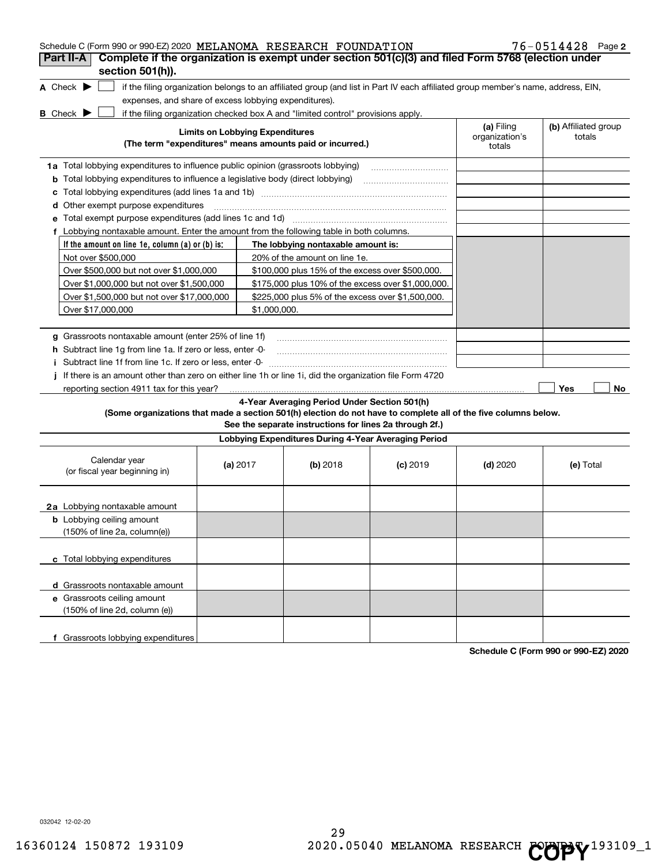| Schedule C (Form 990 or 990-EZ) 2020 MELANOMA RESEARCH FOUNDATION                                                                                                                          |                                        |                                                                                                         |            |                          | 76-0514428 Page 2    |
|--------------------------------------------------------------------------------------------------------------------------------------------------------------------------------------------|----------------------------------------|---------------------------------------------------------------------------------------------------------|------------|--------------------------|----------------------|
| Complete if the organization is exempt under section 501(c)(3) and filed Form 5768 (election under<br>Part II-A<br>section 501(h)).                                                        |                                        |                                                                                                         |            |                          |                      |
| A Check $\blacktriangleright$                                                                                                                                                              |                                        |                                                                                                         |            |                          |                      |
| if the filing organization belongs to an affiliated group (and list in Part IV each affiliated group member's name, address, EIN,<br>expenses, and share of excess lobbying expenditures). |                                        |                                                                                                         |            |                          |                      |
| if the filing organization checked box A and "limited control" provisions apply.<br><b>B</b> Check $\blacktriangleright$                                                                   |                                        |                                                                                                         |            |                          |                      |
|                                                                                                                                                                                            | <b>Limits on Lobbying Expenditures</b> |                                                                                                         |            | (a) Filing               | (b) Affiliated group |
|                                                                                                                                                                                            |                                        | (The term "expenditures" means amounts paid or incurred.)                                               |            | organization's<br>totals | totals               |
| 1a Total lobbying expenditures to influence public opinion (grassroots lobbying)                                                                                                           |                                        |                                                                                                         |            |                          |                      |
| <b>b</b> Total lobbying expenditures to influence a legislative body (direct lobbying)                                                                                                     |                                        |                                                                                                         |            |                          |                      |
| с                                                                                                                                                                                          |                                        |                                                                                                         |            |                          |                      |
| <b>d</b> Other exempt purpose expenditures                                                                                                                                                 |                                        |                                                                                                         |            |                          |                      |
| e Total exempt purpose expenditures (add lines 1c and 1d) [11] [12] Total exempt purpose of an analyzing meta-                                                                             |                                        |                                                                                                         |            |                          |                      |
| f Lobbying nontaxable amount. Enter the amount from the following table in both columns.                                                                                                   |                                        |                                                                                                         |            |                          |                      |
| If the amount on line 1e, column (a) or (b) is:                                                                                                                                            |                                        | The lobbying nontaxable amount is:                                                                      |            |                          |                      |
| Not over \$500,000                                                                                                                                                                         |                                        | 20% of the amount on line 1e.                                                                           |            |                          |                      |
| Over \$500,000 but not over \$1,000,000                                                                                                                                                    |                                        | \$100,000 plus 15% of the excess over \$500,000.                                                        |            |                          |                      |
| Over \$1,000,000 but not over \$1,500,000                                                                                                                                                  |                                        | \$175,000 plus 10% of the excess over \$1,000,000.                                                      |            |                          |                      |
| Over \$1,500,000 but not over \$17,000,000                                                                                                                                                 |                                        | \$225,000 plus 5% of the excess over \$1,500,000.                                                       |            |                          |                      |
| Over \$17,000,000                                                                                                                                                                          | \$1,000,000.                           |                                                                                                         |            |                          |                      |
|                                                                                                                                                                                            |                                        |                                                                                                         |            |                          |                      |
| g Grassroots nontaxable amount (enter 25% of line 1f)                                                                                                                                      |                                        |                                                                                                         |            |                          |                      |
| h Subtract line 1g from line 1a. If zero or less, enter -0-                                                                                                                                |                                        |                                                                                                         |            |                          |                      |
| i Subtract line 1f from line 1c. If zero or less, enter -0-                                                                                                                                |                                        |                                                                                                         |            |                          |                      |
| If there is an amount other than zero on either line 1h or line 1i, did the organization file Form 4720                                                                                    |                                        |                                                                                                         |            |                          |                      |
| reporting section 4911 tax for this year?                                                                                                                                                  |                                        |                                                                                                         |            |                          | Yes<br>No            |
| (Some organizations that made a section 501(h) election do not have to complete all of the five columns below.                                                                             |                                        | 4-Year Averaging Period Under Section 501(h)<br>See the separate instructions for lines 2a through 2f.) |            |                          |                      |
|                                                                                                                                                                                            |                                        | Lobbying Expenditures During 4-Year Averaging Period                                                    |            |                          |                      |
| Calendar year<br>(or fiscal year beginning in)                                                                                                                                             | (a) 2017                               | (b) 2018                                                                                                | $(c)$ 2019 | $(d)$ 2020               | (e) Total            |
| 2a Lobbying nontaxable amount                                                                                                                                                              |                                        |                                                                                                         |            |                          |                      |
| <b>b</b> Lobbying ceiling amount<br>$(150\% \text{ of line } 2a, \text{ column}(e))$                                                                                                       |                                        |                                                                                                         |            |                          |                      |
| c Total lobbying expenditures                                                                                                                                                              |                                        |                                                                                                         |            |                          |                      |
| d Grassroots nontaxable amount                                                                                                                                                             |                                        |                                                                                                         |            |                          |                      |
| e Grassroots ceiling amount                                                                                                                                                                |                                        |                                                                                                         |            |                          |                      |
| (150% of line 2d, column (e))                                                                                                                                                              |                                        |                                                                                                         |            |                          |                      |
| f Grassroots lobbying expenditures                                                                                                                                                         |                                        |                                                                                                         |            |                          |                      |

**Schedule C (Form 990 or 990-EZ) 2020**

032042 12-02-20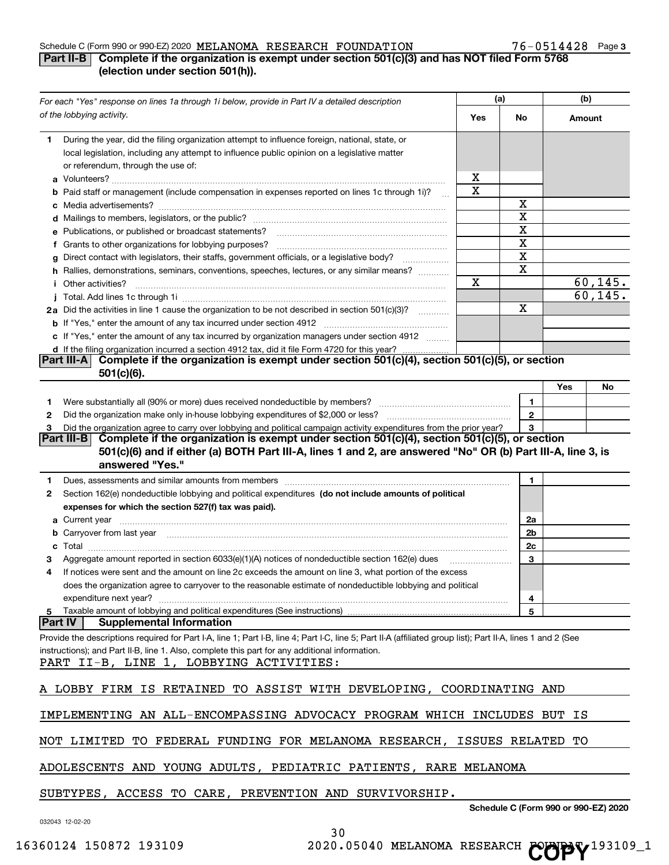# Schedule C (Form 990 or 990-EZ) 2020  $\,$ MELANOMA RESEARCH FOUNDATION  $\,$  76  $-$  0514428 Page

# 76-0514428 Page 3

# **Part II-B** Complete if the organization is exempt under section 501(c)(3) and has NOT filed Form 5768 **(election under section 501(h)).**

|                | For each "Yes" response on lines 1a through 1i below, provide in Part IV a detailed description                                                                                                                                                                                                                                              |             | (a)                                  | (b)    |          |
|----------------|----------------------------------------------------------------------------------------------------------------------------------------------------------------------------------------------------------------------------------------------------------------------------------------------------------------------------------------------|-------------|--------------------------------------|--------|----------|
|                | of the lobbying activity.                                                                                                                                                                                                                                                                                                                    | Yes         | No                                   | Amount |          |
| 1.             | During the year, did the filing organization attempt to influence foreign, national, state, or<br>local legislation, including any attempt to influence public opinion on a legislative matter<br>or referendum, through the use of:                                                                                                         |             |                                      |        |          |
|                |                                                                                                                                                                                                                                                                                                                                              | x           |                                      |        |          |
|                | <b>b</b> Paid staff or management (include compensation in expenses reported on lines 1c through 1i)?<br>$\mathbf{r}$                                                                                                                                                                                                                        | х           |                                      |        |          |
|                |                                                                                                                                                                                                                                                                                                                                              |             | х                                    |        |          |
|                |                                                                                                                                                                                                                                                                                                                                              |             | X                                    |        |          |
|                | <b>e</b> Publications, or published or broadcast statements?                                                                                                                                                                                                                                                                                 |             | X                                    |        |          |
|                | f Grants to other organizations for lobbying purposes?                                                                                                                                                                                                                                                                                       |             | X                                    |        |          |
|                | g Direct contact with legislators, their staffs, government officials, or a legislative body?                                                                                                                                                                                                                                                |             | X                                    |        |          |
|                | h Rallies, demonstrations, seminars, conventions, speeches, lectures, or any similar means?                                                                                                                                                                                                                                                  |             | X                                    |        |          |
|                | <i>i</i> Other activities?                                                                                                                                                                                                                                                                                                                   | $\mathbf X$ |                                      |        | 60, 145. |
|                |                                                                                                                                                                                                                                                                                                                                              |             |                                      |        | 60, 145. |
|                | 2a Did the activities in line 1 cause the organization to be not described in section 501(c)(3)?                                                                                                                                                                                                                                             |             | Χ                                    |        |          |
|                |                                                                                                                                                                                                                                                                                                                                              |             |                                      |        |          |
|                | c If "Yes," enter the amount of any tax incurred by organization managers under section 4912                                                                                                                                                                                                                                                 |             |                                      |        |          |
|                | d If the filing organization incurred a section 4912 tax, did it file Form 4720 for this year?                                                                                                                                                                                                                                               |             |                                      |        |          |
|                | Complete if the organization is exempt under section 501(c)(4), section 501(c)(5), or section<br> Part III-A <br>$501(c)(6)$ .                                                                                                                                                                                                               |             |                                      |        |          |
|                |                                                                                                                                                                                                                                                                                                                                              |             |                                      | Yes    | No       |
| 1.             |                                                                                                                                                                                                                                                                                                                                              |             | 1                                    |        |          |
| 2              |                                                                                                                                                                                                                                                                                                                                              |             | $\mathbf{2}$                         |        |          |
| з              | Did the organization agree to carry over lobbying and political campaign activity expenditures from the prior year?                                                                                                                                                                                                                          |             | 3                                    |        |          |
|                | Part III-B Complete if the organization is exempt under section 501(c)(4), section 501(c)(5), or section<br>501(c)(6) and if either (a) BOTH Part III-A, lines 1 and 2, are answered "No" OR (b) Part III-A, line 3, is<br>answered "Yes."                                                                                                   |             |                                      |        |          |
| 1.             | Dues, assessments and similar amounts from members [11] matter contract the state and similar amounts from members [11] matter and similar amounts from members [11] matter and similar amounts from members [11] matter and s                                                                                                               |             | 1                                    |        |          |
| 2              | Section 162(e) nondeductible lobbying and political expenditures (do not include amounts of political                                                                                                                                                                                                                                        |             |                                      |        |          |
|                | expenses for which the section 527(f) tax was paid).                                                                                                                                                                                                                                                                                         |             |                                      |        |          |
|                |                                                                                                                                                                                                                                                                                                                                              |             | 2a                                   |        |          |
|                | <b>b</b> Carryover from last year                                                                                                                                                                                                                                                                                                            |             | 2b                                   |        |          |
| с              |                                                                                                                                                                                                                                                                                                                                              |             | 2c                                   |        |          |
| з              | Aggregate amount reported in section 6033(e)(1)(A) notices of nondeductible section 162(e) dues                                                                                                                                                                                                                                              |             | 3                                    |        |          |
| 4              | If notices were sent and the amount on line 2c exceeds the amount on line 3, what portion of the excess                                                                                                                                                                                                                                      |             |                                      |        |          |
|                | does the organization agree to carryover to the reasonable estimate of nondeductible lobbying and political                                                                                                                                                                                                                                  |             |                                      |        |          |
|                | expenditure next year?                                                                                                                                                                                                                                                                                                                       |             | 4                                    |        |          |
| 5              |                                                                                                                                                                                                                                                                                                                                              |             | 5                                    |        |          |
| <b>Part IV</b> | <b>Supplemental Information</b><br>Provide the descriptions required for Part I-A, line 1; Part I-B, line 4; Part I-C, line 5; Part II-A (affiliated group list); Part II-A, lines 1 and 2 (See<br>instructions); and Part II-B, line 1. Also, complete this part for any additional information.<br>PART II-B, LINE 1, LOBBYING ACTIVITIES: |             |                                      |        |          |
|                | A LOBBY FIRM IS RETAINED TO ASSIST WITH DEVELOPING, COORDINATING AND                                                                                                                                                                                                                                                                         |             |                                      |        |          |
|                | IMPLEMENTING AN ALL-ENCOMPASSING ADVOCACY PROGRAM WHICH INCLUDES BUT IS                                                                                                                                                                                                                                                                      |             |                                      |        |          |
|                | NOT LIMITED TO FEDERAL FUNDING FOR MELANOMA RESEARCH, ISSUES RELATED TO                                                                                                                                                                                                                                                                      |             |                                      |        |          |
|                | ADOLESCENTS AND YOUNG ADULTS, PEDIATRIC PATIENTS, RARE MELANOMA                                                                                                                                                                                                                                                                              |             |                                      |        |          |
|                | SUBTYPES, ACCESS TO CARE, PREVENTION AND SURVIVORSHIP.                                                                                                                                                                                                                                                                                       |             | Schedule C (Form 990 or 990-EZ) 2020 |        |          |

032043 12-02-20

30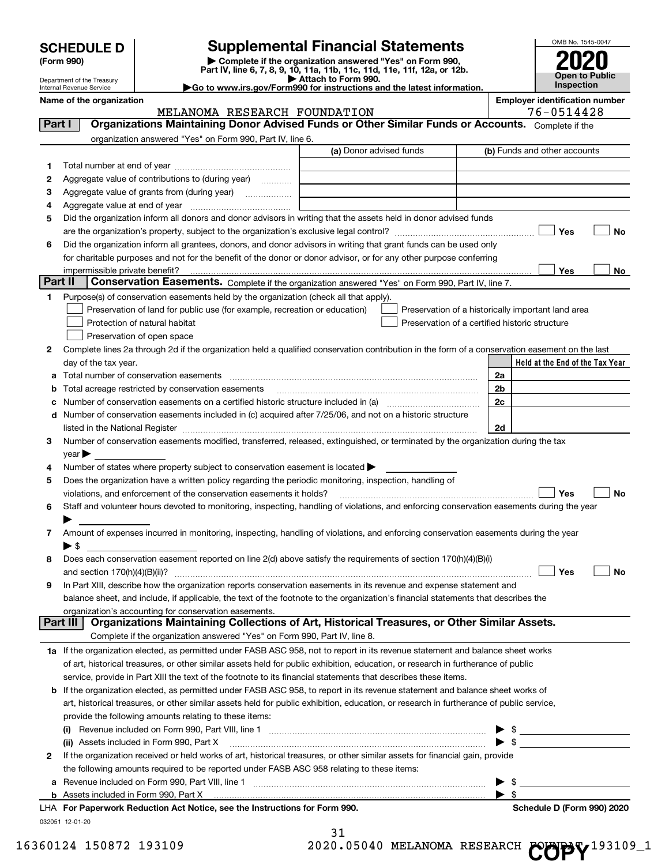| <b>SCHEDULE D</b> |  |
|-------------------|--|
|-------------------|--|

| (Form 990) |  |  |
|------------|--|--|
|------------|--|--|

**(Form 990) | Complete if the organization answered "Yes" on Form 990, Part IV, line 6, 7, 8, 9, 10, 11a, 11b, 11c, 11d, 11e, 11f, 12a, or 12b. | Attach to Form 990. |Go to www.irs.gov/Form990 for instructions and the latest information. SCHEDULE D Supplemental Financial Statements**<br> **Form 990**<br>
Part IV, line 6, 7, 8, 9, 10, 11a, 11b, 11c, 11d, 11e, 11f, 12a, or 12b.



Department of the Treasury Internal Revenue Service

|         | Name of the organization                                                                                                                                                                                                      | <b>Employer identification number</b><br>76-0514428 |                                                    |                              |                                 |           |
|---------|-------------------------------------------------------------------------------------------------------------------------------------------------------------------------------------------------------------------------------|-----------------------------------------------------|----------------------------------------------------|------------------------------|---------------------------------|-----------|
|         | MELANOMA RESEARCH FOUNDATION<br>Organizations Maintaining Donor Advised Funds or Other Similar Funds or Accounts. Complete if the                                                                                             |                                                     |                                                    |                              |                                 |           |
| Part I  |                                                                                                                                                                                                                               |                                                     |                                                    |                              |                                 |           |
|         | organization answered "Yes" on Form 990, Part IV, line 6.                                                                                                                                                                     | (a) Donor advised funds                             |                                                    | (b) Funds and other accounts |                                 |           |
|         |                                                                                                                                                                                                                               |                                                     |                                                    |                              |                                 |           |
| 1       |                                                                                                                                                                                                                               |                                                     |                                                    |                              |                                 |           |
| 2       | Aggregate value of contributions to (during year)                                                                                                                                                                             |                                                     |                                                    |                              |                                 |           |
| 3       | Aggregate value of grants from (during year)                                                                                                                                                                                  |                                                     |                                                    |                              |                                 |           |
| 4       |                                                                                                                                                                                                                               |                                                     |                                                    |                              |                                 |           |
| 5       | Did the organization inform all donors and donor advisors in writing that the assets held in donor advised funds                                                                                                              |                                                     |                                                    |                              |                                 |           |
|         |                                                                                                                                                                                                                               |                                                     |                                                    |                              | Yes                             | No        |
| 6       | Did the organization inform all grantees, donors, and donor advisors in writing that grant funds can be used only                                                                                                             |                                                     |                                                    |                              |                                 |           |
|         | for charitable purposes and not for the benefit of the donor or donor advisor, or for any other purpose conferring                                                                                                            |                                                     |                                                    |                              |                                 |           |
| Part II | impermissible private benefit?<br><b>Conservation Easements.</b> Complete if the organization answered "Yes" on Form 990, Part IV, line 7.                                                                                    |                                                     |                                                    |                              | Yes                             | No        |
| 1       | Purpose(s) of conservation easements held by the organization (check all that apply).                                                                                                                                         |                                                     |                                                    |                              |                                 |           |
|         | Preservation of land for public use (for example, recreation or education)                                                                                                                                                    |                                                     | Preservation of a historically important land area |                              |                                 |           |
|         | Protection of natural habitat                                                                                                                                                                                                 |                                                     | Preservation of a certified historic structure     |                              |                                 |           |
|         | Preservation of open space                                                                                                                                                                                                    |                                                     |                                                    |                              |                                 |           |
| 2       | Complete lines 2a through 2d if the organization held a qualified conservation contribution in the form of a conservation easement on the last                                                                                |                                                     |                                                    |                              |                                 |           |
|         | day of the tax year.                                                                                                                                                                                                          |                                                     |                                                    |                              | Held at the End of the Tax Year |           |
| а       |                                                                                                                                                                                                                               |                                                     |                                                    | 2a                           |                                 |           |
| b       | Total acreage restricted by conservation easements                                                                                                                                                                            |                                                     |                                                    | 2 <sub>b</sub>               |                                 |           |
| с       |                                                                                                                                                                                                                               |                                                     |                                                    | 2c                           |                                 |           |
| d       | Number of conservation easements included in (c) acquired after 7/25/06, and not on a historic structure                                                                                                                      |                                                     |                                                    |                              |                                 |           |
|         | listed in the National Register [11, 1200] [12] The National Register [11, 1200] [12] The National Register [11, 1200] [12] The National Register [11, 1200] [12] The National Register [11, 1200] [12] The National Register |                                                     |                                                    | 2d                           |                                 |           |
| 3       | Number of conservation easements modified, transferred, released, extinguished, or terminated by the organization during the tax                                                                                              |                                                     |                                                    |                              |                                 |           |
|         | $\mathsf{year}$                                                                                                                                                                                                               |                                                     |                                                    |                              |                                 |           |
| 4       | Number of states where property subject to conservation easement is located >                                                                                                                                                 |                                                     |                                                    |                              |                                 |           |
| 5       | Does the organization have a written policy regarding the periodic monitoring, inspection, handling of                                                                                                                        |                                                     |                                                    |                              |                                 |           |
|         | violations, and enforcement of the conservation easements it holds?                                                                                                                                                           |                                                     |                                                    |                              | Yes                             | <b>No</b> |
| 6       | Staff and volunteer hours devoted to monitoring, inspecting, handling of violations, and enforcing conservation easements during the year                                                                                     |                                                     |                                                    |                              |                                 |           |
|         |                                                                                                                                                                                                                               |                                                     |                                                    |                              |                                 |           |
| 7       | Amount of expenses incurred in monitoring, inspecting, handling of violations, and enforcing conservation easements during the year                                                                                           |                                                     |                                                    |                              |                                 |           |
|         | $\blacktriangleright$ \$                                                                                                                                                                                                      |                                                     |                                                    |                              |                                 |           |
| 8       | Does each conservation easement reported on line 2(d) above satisfy the requirements of section 170(h)(4)(B)(i)                                                                                                               |                                                     |                                                    |                              |                                 |           |
|         |                                                                                                                                                                                                                               |                                                     |                                                    |                              | Yes                             | No        |
|         | In Part XIII, describe how the organization reports conservation easements in its revenue and expense statement and                                                                                                           |                                                     |                                                    |                              |                                 |           |
|         | balance sheet, and include, if applicable, the text of the footnote to the organization's financial statements that describes the                                                                                             |                                                     |                                                    |                              |                                 |           |
|         | organization's accounting for conservation easements.                                                                                                                                                                         |                                                     |                                                    |                              |                                 |           |
|         | Organizations Maintaining Collections of Art, Historical Treasures, or Other Similar Assets.<br>Part III                                                                                                                      |                                                     |                                                    |                              |                                 |           |
|         | Complete if the organization answered "Yes" on Form 990, Part IV, line 8.                                                                                                                                                     |                                                     |                                                    |                              |                                 |           |
|         | 1a If the organization elected, as permitted under FASB ASC 958, not to report in its revenue statement and balance sheet works                                                                                               |                                                     |                                                    |                              |                                 |           |
|         | of art, historical treasures, or other similar assets held for public exhibition, education, or research in furtherance of public                                                                                             |                                                     |                                                    |                              |                                 |           |
|         | service, provide in Part XIII the text of the footnote to its financial statements that describes these items.                                                                                                                |                                                     |                                                    |                              |                                 |           |
| b       | If the organization elected, as permitted under FASB ASC 958, to report in its revenue statement and balance sheet works of                                                                                                   |                                                     |                                                    |                              |                                 |           |
|         | art, historical treasures, or other similar assets held for public exhibition, education, or research in furtherance of public service,                                                                                       |                                                     |                                                    |                              |                                 |           |
|         | provide the following amounts relating to these items:                                                                                                                                                                        |                                                     |                                                    |                              |                                 |           |
|         |                                                                                                                                                                                                                               |                                                     |                                                    | \$                           |                                 |           |
|         | (ii) Assets included in Form 990, Part X                                                                                                                                                                                      |                                                     |                                                    | $\blacktriangleright$ \$     |                                 |           |
| 2       | If the organization received or held works of art, historical treasures, or other similar assets for financial gain, provide                                                                                                  |                                                     |                                                    |                              |                                 |           |
|         | the following amounts required to be reported under FASB ASC 958 relating to these items:                                                                                                                                     |                                                     |                                                    |                              |                                 |           |
| a       |                                                                                                                                                                                                                               |                                                     |                                                    | - \$                         |                                 |           |
|         | <b>b</b> Assets included in Form 990, Part X                                                                                                                                                                                  |                                                     |                                                    | $\blacktriangleright$ s      |                                 |           |
|         | LHA For Paperwork Reduction Act Notice, see the Instructions for Form 990.                                                                                                                                                    |                                                     |                                                    |                              | Schedule D (Form 990) 2020      |           |
|         | 032051 12-01-20                                                                                                                                                                                                               | າ 1                                                 |                                                    |                              |                                 |           |

| ⊥ د |  |  |  |                  |  |
|-----|--|--|--|------------------|--|
|     |  |  |  | אר זהוא הוהראה ה |  |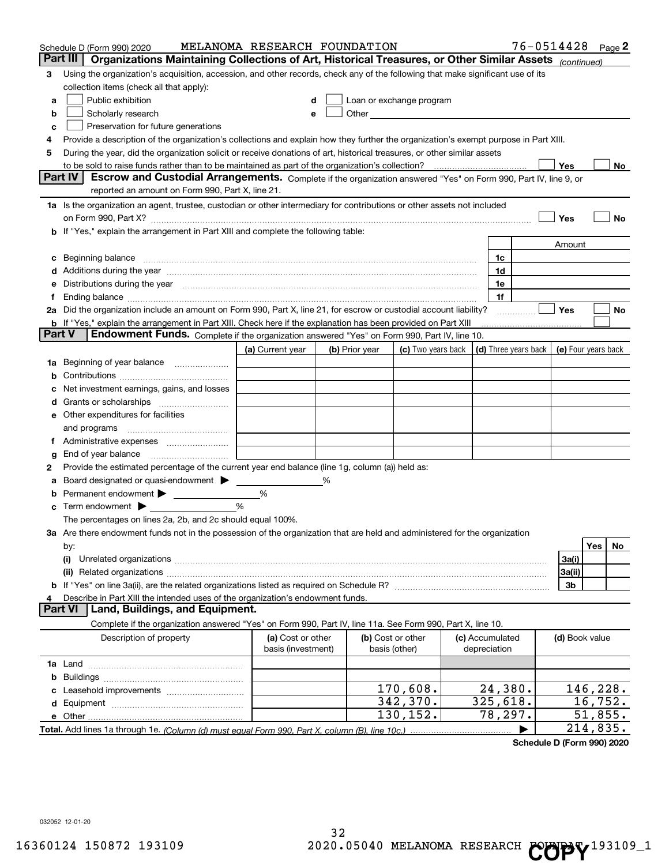|        | Schedule D (Form 990) 2020                                                                                                                                                                                                     | MELANOMA RESEARCH FOUNDATION            |   |                |                                    |                                 | 76-0514428 Page 2    |                     |          |    |
|--------|--------------------------------------------------------------------------------------------------------------------------------------------------------------------------------------------------------------------------------|-----------------------------------------|---|----------------|------------------------------------|---------------------------------|----------------------|---------------------|----------|----|
|        | Part III<br>Organizations Maintaining Collections of Art, Historical Treasures, or Other Similar Assets (continued)                                                                                                            |                                         |   |                |                                    |                                 |                      |                     |          |    |
| 3      | Using the organization's acquisition, accession, and other records, check any of the following that make significant use of its                                                                                                |                                         |   |                |                                    |                                 |                      |                     |          |    |
|        | collection items (check all that apply):                                                                                                                                                                                       |                                         |   |                |                                    |                                 |                      |                     |          |    |
| a      | Public exhibition                                                                                                                                                                                                              | d                                       |   |                | Loan or exchange program           |                                 |                      |                     |          |    |
| b      | Scholarly research                                                                                                                                                                                                             | е                                       |   |                |                                    |                                 |                      |                     |          |    |
| c      | Preservation for future generations                                                                                                                                                                                            |                                         |   |                |                                    |                                 |                      |                     |          |    |
| 4      | Provide a description of the organization's collections and explain how they further the organization's exempt purpose in Part XIII.                                                                                           |                                         |   |                |                                    |                                 |                      |                     |          |    |
| 5      | During the year, did the organization solicit or receive donations of art, historical treasures, or other similar assets                                                                                                       |                                         |   |                |                                    |                                 |                      |                     |          |    |
|        | to be sold to raise funds rather than to be maintained as part of the organization's collection?                                                                                                                               |                                         |   |                |                                    |                                 |                      | Yes                 |          | No |
|        | <b>Part IV</b><br>Escrow and Custodial Arrangements. Complete if the organization answered "Yes" on Form 990, Part IV, line 9, or                                                                                              |                                         |   |                |                                    |                                 |                      |                     |          |    |
|        | reported an amount on Form 990, Part X, line 21.                                                                                                                                                                               |                                         |   |                |                                    |                                 |                      |                     |          |    |
|        | 1a Is the organization an agent, trustee, custodian or other intermediary for contributions or other assets not included                                                                                                       |                                         |   |                |                                    |                                 |                      |                     |          |    |
|        | on Form 990, Part X? [11] matter contracts and contracts and contracts are contracted as a function of the set of the set of the set of the set of the set of the set of the set of the set of the set of the set of the set o |                                         |   |                |                                    |                                 |                      | Yes                 |          | No |
|        | If "Yes," explain the arrangement in Part XIII and complete the following table:                                                                                                                                               |                                         |   |                |                                    |                                 |                      |                     |          |    |
|        |                                                                                                                                                                                                                                |                                         |   |                |                                    |                                 |                      | Amount              |          |    |
| c      | Beginning balance                                                                                                                                                                                                              |                                         |   |                |                                    | 1c                              |                      |                     |          |    |
|        | Additions during the year manufactured and an annual contract of the year manufactured and a set of the year manufactured and a set of the year manufactured and a set of the year manufactured and set of the year manufactur |                                         |   |                |                                    | 1d                              |                      |                     |          |    |
| е      | Distributions during the year measurement contains and all the state of the state of the state of the state of                                                                                                                 |                                         |   |                |                                    | 1e                              |                      |                     |          |    |
|        | Ending balance material content contracts and all the content of the content of the content of the content of the content of the content of the content of the content of the content of the content of the content of the con |                                         |   |                |                                    | 1f                              |                      | Yes                 |          |    |
|        | 2a Did the organization include an amount on Form 990, Part X, line 21, for escrow or custodial account liability?                                                                                                             |                                         |   |                |                                    |                                 |                      |                     |          | No |
| Part V | <b>b</b> If "Yes," explain the arrangement in Part XIII. Check here if the explanation has been provided on Part XIII<br>Endowment Funds. Complete if the organization answered "Yes" on Form 990, Part IV, line 10.           |                                         |   |                |                                    |                                 |                      |                     |          |    |
|        |                                                                                                                                                                                                                                | (a) Current year                        |   | (b) Prior year | (c) Two years back                 |                                 | (d) Three years back | (e) Four years back |          |    |
| 1a     | Beginning of year balance                                                                                                                                                                                                      |                                         |   |                |                                    |                                 |                      |                     |          |    |
| b      |                                                                                                                                                                                                                                |                                         |   |                |                                    |                                 |                      |                     |          |    |
|        | Net investment earnings, gains, and losses                                                                                                                                                                                     |                                         |   |                |                                    |                                 |                      |                     |          |    |
| a      |                                                                                                                                                                                                                                |                                         |   |                |                                    |                                 |                      |                     |          |    |
| е      | Other expenditures for facilities                                                                                                                                                                                              |                                         |   |                |                                    |                                 |                      |                     |          |    |
|        | and programs                                                                                                                                                                                                                   |                                         |   |                |                                    |                                 |                      |                     |          |    |
| 1.     |                                                                                                                                                                                                                                |                                         |   |                |                                    |                                 |                      |                     |          |    |
| g      | End of year balance                                                                                                                                                                                                            |                                         |   |                |                                    |                                 |                      |                     |          |    |
| 2      | Provide the estimated percentage of the current year end balance (line 1g, column (a)) held as:                                                                                                                                |                                         |   |                |                                    |                                 |                      |                     |          |    |
|        | Board designated or quasi-endowment > ____                                                                                                                                                                                     |                                         | % |                |                                    |                                 |                      |                     |          |    |
| b      |                                                                                                                                                                                                                                | %                                       |   |                |                                    |                                 |                      |                     |          |    |
| c      | Term endowment $\blacktriangleright$                                                                                                                                                                                           | %                                       |   |                |                                    |                                 |                      |                     |          |    |
|        | The percentages on lines 2a, 2b, and 2c should equal 100%.                                                                                                                                                                     |                                         |   |                |                                    |                                 |                      |                     |          |    |
|        | 3a Are there endowment funds not in the possession of the organization that are held and administered for the organization                                                                                                     |                                         |   |                |                                    |                                 |                      |                     |          |    |
|        | by:                                                                                                                                                                                                                            |                                         |   |                |                                    |                                 |                      |                     | Yes      | No |
|        | (i)                                                                                                                                                                                                                            |                                         |   |                |                                    |                                 |                      | 3a(i)               |          |    |
|        |                                                                                                                                                                                                                                |                                         |   |                |                                    |                                 |                      | 3a(ii)              |          |    |
| b      |                                                                                                                                                                                                                                |                                         |   |                |                                    |                                 |                      | 3b                  |          |    |
|        | Describe in Part XIII the intended uses of the organization's endowment funds.                                                                                                                                                 |                                         |   |                |                                    |                                 |                      |                     |          |    |
|        | Land, Buildings, and Equipment.<br>Part VI                                                                                                                                                                                     |                                         |   |                |                                    |                                 |                      |                     |          |    |
|        | Complete if the organization answered "Yes" on Form 990, Part IV, line 11a. See Form 990, Part X, line 10.                                                                                                                     |                                         |   |                |                                    |                                 |                      |                     |          |    |
|        | Description of property                                                                                                                                                                                                        | (a) Cost or other<br>basis (investment) |   |                | (b) Cost or other<br>basis (other) | (c) Accumulated<br>depreciation |                      | (d) Book value      |          |    |
|        |                                                                                                                                                                                                                                |                                         |   |                |                                    |                                 |                      |                     |          |    |
| b      |                                                                                                                                                                                                                                |                                         |   |                |                                    |                                 |                      |                     |          |    |
|        |                                                                                                                                                                                                                                |                                         |   |                | 170,608.                           | 24,380.                         |                      |                     | 146,228. |    |
| d      |                                                                                                                                                                                                                                |                                         |   |                | 342,370.                           | 325,618.                        |                      |                     | 16,752.  |    |
|        | e Other                                                                                                                                                                                                                        |                                         |   |                | 130,152.                           | 78,297.                         |                      |                     | 51,855.  |    |
|        | Total. Add lines 1a through 1e. (Column (d) must equal Form 990. Part X. column (B). line 10c.)                                                                                                                                |                                         |   |                |                                    |                                 |                      |                     | 214,835. |    |

**Schedule D (Form 990) 2020**

032052 12-01-20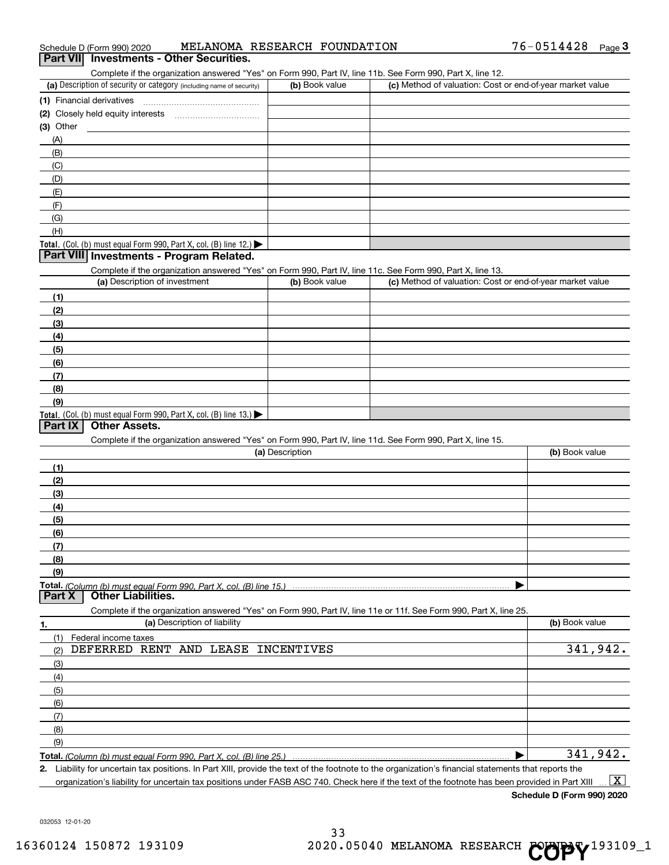| Schedule D (Form 990) 2020                                                                                                                        | MELANOMA RESEARCH FOUNDATION |                                                           | 76-0514428<br>Page $3$ |
|---------------------------------------------------------------------------------------------------------------------------------------------------|------------------------------|-----------------------------------------------------------|------------------------|
| Part VII Investments - Other Securities.                                                                                                          |                              |                                                           |                        |
| Complete if the organization answered "Yes" on Form 990, Part IV, line 11b. See Form 990, Part X, line 12.                                        |                              |                                                           |                        |
| (a) Description of security or category (including name of security)                                                                              | (b) Book value               | (c) Method of valuation: Cost or end-of-year market value |                        |
| (1) Financial derivatives                                                                                                                         |                              |                                                           |                        |
|                                                                                                                                                   |                              |                                                           |                        |
| $(3)$ Other                                                                                                                                       |                              |                                                           |                        |
| (A)                                                                                                                                               |                              |                                                           |                        |
| (B)                                                                                                                                               |                              |                                                           |                        |
| (C)                                                                                                                                               |                              |                                                           |                        |
| (D)                                                                                                                                               |                              |                                                           |                        |
| (E)                                                                                                                                               |                              |                                                           |                        |
| (F)                                                                                                                                               |                              |                                                           |                        |
| (G)                                                                                                                                               |                              |                                                           |                        |
| (H)                                                                                                                                               |                              |                                                           |                        |
| Total. (Col. (b) must equal Form 990, Part X, col. (B) line 12.)                                                                                  |                              |                                                           |                        |
| Part VIII Investments - Program Related.                                                                                                          |                              |                                                           |                        |
| Complete if the organization answered "Yes" on Form 990, Part IV, line 11c. See Form 990, Part X, line 13.                                        |                              |                                                           |                        |
| (a) Description of investment                                                                                                                     | (b) Book value               | (c) Method of valuation: Cost or end-of-year market value |                        |
| (1)                                                                                                                                               |                              |                                                           |                        |
| (2)                                                                                                                                               |                              |                                                           |                        |
| (3)                                                                                                                                               |                              |                                                           |                        |
| (4)                                                                                                                                               |                              |                                                           |                        |
| (5)                                                                                                                                               |                              |                                                           |                        |
|                                                                                                                                                   |                              |                                                           |                        |
| (6)                                                                                                                                               |                              |                                                           |                        |
| (7)                                                                                                                                               |                              |                                                           |                        |
| (8)                                                                                                                                               |                              |                                                           |                        |
| (9)                                                                                                                                               |                              |                                                           |                        |
| Total. (Col. (b) must equal Form 990, Part X, col. (B) line 13.)<br>Part IX<br><b>Other Assets.</b>                                               |                              |                                                           |                        |
| Complete if the organization answered "Yes" on Form 990, Part IV, line 11d. See Form 990, Part X, line 15.                                        |                              |                                                           |                        |
|                                                                                                                                                   | (a) Description              |                                                           | (b) Book value         |
| (1)                                                                                                                                               |                              |                                                           |                        |
|                                                                                                                                                   |                              |                                                           |                        |
| (2)                                                                                                                                               |                              |                                                           |                        |
| (3)                                                                                                                                               |                              |                                                           |                        |
| (4)                                                                                                                                               |                              |                                                           |                        |
| (5)                                                                                                                                               |                              |                                                           |                        |
| (6)                                                                                                                                               |                              |                                                           |                        |
| (7)                                                                                                                                               |                              |                                                           |                        |
| (8)                                                                                                                                               |                              |                                                           |                        |
| (9)                                                                                                                                               |                              |                                                           |                        |
| Part X<br><b>Other Liabilities.</b>                                                                                                               |                              |                                                           |                        |
|                                                                                                                                                   |                              |                                                           |                        |
| Complete if the organization answered "Yes" on Form 990, Part IV, line 11e or 11f. See Form 990, Part X, line 25.<br>(a) Description of liability |                              |                                                           | (b) Book value         |
| 1.                                                                                                                                                |                              |                                                           |                        |
| (1)<br>Federal income taxes                                                                                                                       |                              |                                                           |                        |
| DEFERRED RENT AND LEASE INCENTIVES<br>(2)                                                                                                         |                              |                                                           | 341,942.               |
| (3)                                                                                                                                               |                              |                                                           |                        |
| (4)                                                                                                                                               |                              |                                                           |                        |
| (5)                                                                                                                                               |                              |                                                           |                        |
| (6)                                                                                                                                               |                              |                                                           |                        |
| (7)                                                                                                                                               |                              |                                                           |                        |
| (8)                                                                                                                                               |                              |                                                           |                        |
| (9)                                                                                                                                               |                              |                                                           |                        |
| Total. (Column (b) must equal Form 990, Part X, col. (B) line 25.)                                                                                |                              |                                                           | 341,942.               |

**Total.**  *(Column (b) must equal Form 990, Part X, col. (B) line 25.)* |

**2.** Liability for uncertain tax positions. In Part XIII, provide the text of the footnote to the organization's financial statements that reports the organization's liability for uncertain tax positions under FASB ASC 740. Check here if the text of the footnote has been provided in Part XIII  $\boxed{\text{X}}$ 

**Schedule D (Form 990) 2020**

032053 12-01-20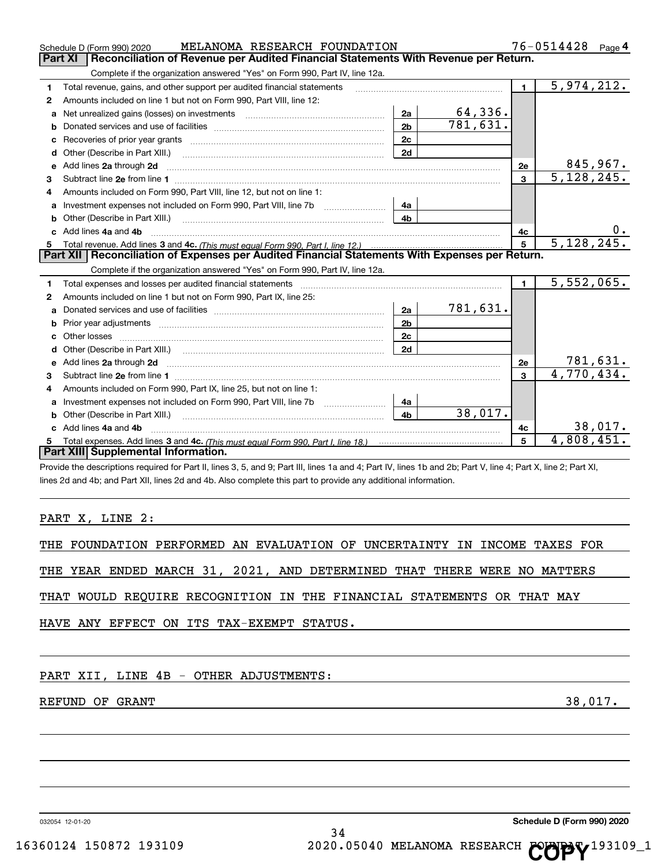|    | MELANOMA RESEARCH FOUNDATION<br>Schedule D (Form 990) 2020                                                                                                                                                                          |                | 76-0514428 Page 4 |                |              |
|----|-------------------------------------------------------------------------------------------------------------------------------------------------------------------------------------------------------------------------------------|----------------|-------------------|----------------|--------------|
|    | Reconciliation of Revenue per Audited Financial Statements With Revenue per Return.<br><b>Part XI</b>                                                                                                                               |                |                   |                |              |
|    | Complete if the organization answered "Yes" on Form 990, Part IV, line 12a.                                                                                                                                                         |                |                   |                |              |
| 1  | Total revenue, gains, and other support per audited financial statements                                                                                                                                                            |                |                   | $\blacksquare$ | 5,974,212.   |
| 2  | Amounts included on line 1 but not on Form 990, Part VIII, line 12:                                                                                                                                                                 |                |                   |                |              |
| a  | Net unrealized gains (losses) on investments [11] matter contracts and the unrealized gains (losses) on investments                                                                                                                 | 2a             | 64,336.           |                |              |
| b  |                                                                                                                                                                                                                                     | 2 <sub>b</sub> | 781,631.          |                |              |
| c  | Recoveries of prior year grants [11,111] Recoveries of prior year grants [11,111] Recoveries of prior year grants                                                                                                                   | 2c             |                   |                |              |
| d  | Other (Describe in Part XIII.) <b>Construction Construction</b> Chern Construction Chern Chern Chern Chern Chern Chern                                                                                                              | 2d             |                   |                |              |
| е  | Add lines 2a through 2d                                                                                                                                                                                                             |                |                   | <b>2e</b>      | 845,967.     |
| 3  |                                                                                                                                                                                                                                     |                |                   | 3              | 5,128,245.   |
| 4  | Amounts included on Form 990, Part VIII, line 12, but not on line 1:                                                                                                                                                                |                |                   |                |              |
| a  |                                                                                                                                                                                                                                     | 4a             |                   |                |              |
| b  | Other (Describe in Part XIII.) <b>2006</b> 2007 2010 2010 2010 2010 2011 2012 2013 2014 2014 2015 2016 2017 2018 2019 2016 2017 2018 2019 2016 2017 2018 2019 2016 2017 2018 2019 2018 2019 2019 2016 2017 2018 2019 2018 2019 2019 | 4b             |                   |                |              |
|    | c Add lines 4a and 4b                                                                                                                                                                                                               |                |                   | 4с             | $0 \cdot$    |
| 5  |                                                                                                                                                                                                                                     |                |                   | 5              | 5, 128, 245. |
|    | Part XII   Reconciliation of Expenses per Audited Financial Statements With Expenses per Return.                                                                                                                                    |                |                   |                |              |
|    | Complete if the organization answered "Yes" on Form 990, Part IV, line 12a.                                                                                                                                                         |                |                   |                |              |
| 1  |                                                                                                                                                                                                                                     |                |                   | $\blacksquare$ | 5,552,065.   |
| 2  | Amounts included on line 1 but not on Form 990, Part IX, line 25:                                                                                                                                                                   |                |                   |                |              |
| a  |                                                                                                                                                                                                                                     | 2a             | 781,631.          |                |              |
| b  |                                                                                                                                                                                                                                     | 2 <sub>b</sub> |                   |                |              |
| c. |                                                                                                                                                                                                                                     | 2c             |                   |                |              |
| d  |                                                                                                                                                                                                                                     | 2d             |                   |                |              |
|    |                                                                                                                                                                                                                                     |                |                   | 2e             | 781,631.     |
| 3  |                                                                                                                                                                                                                                     |                |                   | 3              | 4,770,434.   |
| 4  | Amounts included on Form 990, Part IX, line 25, but not on line 1:                                                                                                                                                                  |                |                   |                |              |
| a  |                                                                                                                                                                                                                                     | 4a             |                   |                |              |
| b  | Other (Describe in Part XIII.)                                                                                                                                                                                                      | 4 <sub>b</sub> | 38,017.           |                |              |
|    | c Add lines 4a and 4b                                                                                                                                                                                                               |                |                   | 4с             | 38,017.      |
| 5  |                                                                                                                                                                                                                                     |                |                   | 5              | 4,808,451.   |
|    | Part XIII Supplemental Information.                                                                                                                                                                                                 |                |                   |                |              |
|    | Provide the descriptions required for Part II lines 3, 5, and 9: Part III lines 1a and 4: Part IV lines 1b and 2b: Part V, line 4: Part X, line 2: Part XI                                                                          |                |                   |                |              |

Provide the descriptions required for Part II, lines 3, 5, and 9; Part III, lines 1a and 4; Part IV, lines 1b and 2b; Part V, line 4; Part X, line 2; Part XI, lines 2d and 4b; and Part XII, lines 2d and 4b. Also complete this part to provide any additional information.

PART X, LINE 2:

THE FOUNDATION PERFORMED AN EVALUATION OF UNCERTAINTY IN INCOME TAXES FOR

THE YEAR ENDED MARCH 31, 2021, AND DETERMINED THAT THERE WERE NO MATTERS

THAT WOULD REQUIRE RECOGNITION IN THE FINANCIAL STATEMENTS OR THAT MAY

HAVE ANY EFFECT ON ITS TAX-EXEMPT STATUS.

# PART XII, LINE 4B - OTHER ADJUSTMENTS:

# REFUND OF GRANT 38,017.

032054 12-01-20

**Schedule D (Form 990) 2020**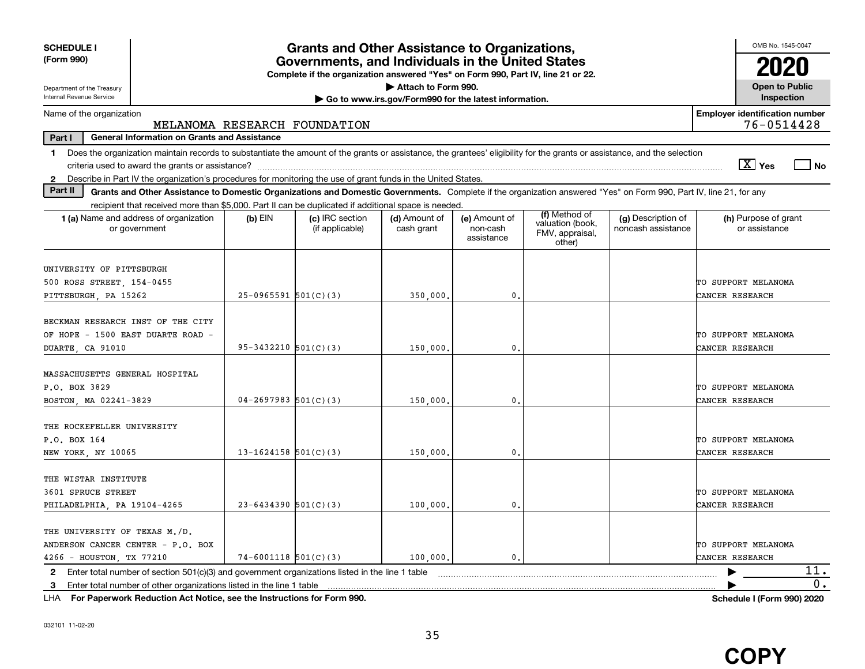| <b>SCHEDULE I</b><br>(Form 990)                                                                                                                                                |                          | <b>Grants and Other Assistance to Organizations,</b><br>Governments, and Individuals in the United States<br>Complete if the organization answered "Yes" on Form 990, Part IV, line 21 or 22. |                                                       |                                         |                                                                |                                          | OMB No. 1545-0047                      |  |  |
|--------------------------------------------------------------------------------------------------------------------------------------------------------------------------------|--------------------------|-----------------------------------------------------------------------------------------------------------------------------------------------------------------------------------------------|-------------------------------------------------------|-----------------------------------------|----------------------------------------------------------------|------------------------------------------|----------------------------------------|--|--|
| Department of the Treasury<br>Internal Revenue Service                                                                                                                         |                          |                                                                                                                                                                                               | Attach to Form 990.                                   |                                         |                                                                |                                          | <b>Open to Public</b><br>Inspection    |  |  |
| Name of the organization                                                                                                                                                       |                          |                                                                                                                                                                                               | Go to www.irs.gov/Form990 for the latest information. |                                         |                                                                |                                          | <b>Employer identification number</b>  |  |  |
| 76-0514428<br>MELANOMA RESEARCH FOUNDATION                                                                                                                                     |                          |                                                                                                                                                                                               |                                                       |                                         |                                                                |                                          |                                        |  |  |
| Part I<br><b>General Information on Grants and Assistance</b>                                                                                                                  |                          |                                                                                                                                                                                               |                                                       |                                         |                                                                |                                          |                                        |  |  |
| Does the organization maintain records to substantiate the amount of the grants or assistance, the grantees' eligibility for the grants or assistance, and the selection<br>1. |                          |                                                                                                                                                                                               |                                                       |                                         |                                                                |                                          |                                        |  |  |
|                                                                                                                                                                                |                          |                                                                                                                                                                                               |                                                       |                                         |                                                                |                                          | $\sqrt{X}$ Yes<br>l No                 |  |  |
| 2 Describe in Part IV the organization's procedures for monitoring the use of grant funds in the United States.<br>Part II                                                     |                          |                                                                                                                                                                                               |                                                       |                                         |                                                                |                                          |                                        |  |  |
| Grants and Other Assistance to Domestic Organizations and Domestic Governments. Complete if the organization answered "Yes" on Form 990, Part IV, line 21, for any             |                          |                                                                                                                                                                                               |                                                       |                                         |                                                                |                                          |                                        |  |  |
| recipient that received more than \$5,000. Part II can be duplicated if additional space is needed.<br>1 (a) Name and address of organization<br>or government                 | $(b)$ EIN                | (c) IRC section<br>(if applicable)                                                                                                                                                            | (d) Amount of<br>cash grant                           | (e) Amount of<br>non-cash<br>assistance | (f) Method of<br>valuation (book,<br>FMV, appraisal,<br>other) | (g) Description of<br>noncash assistance | (h) Purpose of grant<br>or assistance  |  |  |
| UNIVERSITY OF PITTSBURGH<br>500 ROSS STREET, 154-0455<br>PITTSBURGH, PA 15262                                                                                                  | $25-0965591$ 501(C)(3)   |                                                                                                                                                                                               | 350,000,                                              | 0.                                      |                                                                |                                          | TO SUPPORT MELANOMA<br>CANCER RESEARCH |  |  |
| BECKMAN RESEARCH INST OF THE CITY<br>OF HOPE - 1500 EAST DUARTE ROAD -<br>DUARTE, CA 91010                                                                                     | $95-3432210$ $501(C)(3)$ |                                                                                                                                                                                               | 150,000                                               | 0.                                      |                                                                |                                          | TO SUPPORT MELANOMA<br>CANCER RESEARCH |  |  |
| MASSACHUSETTS GENERAL HOSPITAL<br>P.O. BOX 3829<br>BOSTON, MA 02241-3829                                                                                                       | $04 - 2697983$ 501(C)(3) |                                                                                                                                                                                               | 150,000                                               | 0.                                      |                                                                |                                          | TO SUPPORT MELANOMA<br>CANCER RESEARCH |  |  |
| THE ROCKEFELLER UNIVERSITY<br>P.O. BOX 164<br>NEW YORK, NY 10065                                                                                                               | $13 - 1624158$ 501(C)(3) |                                                                                                                                                                                               | 150,000                                               | 0.                                      |                                                                |                                          | TO SUPPORT MELANOMA<br>CANCER RESEARCH |  |  |
| THE WISTAR INSTITUTE<br>3601 SPRUCE STREET<br>PHILADELPHIA, PA 19104-4265                                                                                                      | $23 - 6434390$ 501(C)(3) |                                                                                                                                                                                               | 100,000,                                              | 0.                                      |                                                                |                                          | TO SUPPORT MELANOMA<br>CANCER RESEARCH |  |  |
| THE UNIVERSITY OF TEXAS M./D.<br>ANDERSON CANCER CENTER - P.O. BOX<br>4266 - HOUSTON, TX 77210                                                                                 | $74-6001118$ 501(C)(3)   |                                                                                                                                                                                               | 100,000.                                              | $\mathbf{0}$ .                          |                                                                |                                          | TO SUPPORT MELANOMA<br>CANCER RESEARCH |  |  |
| Enter total number of section $501(c)(3)$ and government organizations listed in the line 1 table<br>2                                                                         |                          |                                                                                                                                                                                               |                                                       |                                         |                                                                |                                          | 11.                                    |  |  |
| Enter total number of other organizations listed in the line 1 table<br>3                                                                                                      |                          |                                                                                                                                                                                               |                                                       |                                         |                                                                |                                          | 0.                                     |  |  |

**For Paperwork Reduction Act Notice, see the Instructions for Form 990. Schedule I (Form 990) 2020** LHA

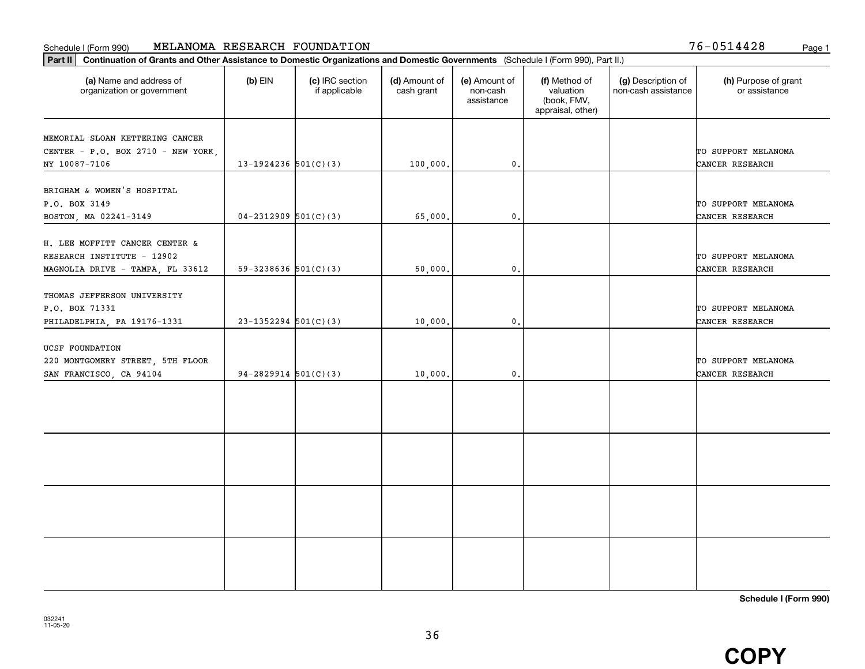# Schedule I (Form 990) Page 1 MELANOMA RESEARCH FOUNDATION

Part II | Continuation of Grants and Other Assistance to Domestic Organizations and Domestic Governments (Schedule I (Form 990), Part II.)

| (a) Name and address of<br>organization or government                                            | $(b)$ EIN                | (c) IRC section<br>if applicable | (d) Amount of<br>cash grant | (e) Amount of<br>non-cash<br>assistance | (f) Method of<br>valuation<br>(book, FMV,<br>appraisal, other) | (g) Description of<br>non-cash assistance | (h) Purpose of grant<br>or assistance  |
|--------------------------------------------------------------------------------------------------|--------------------------|----------------------------------|-----------------------------|-----------------------------------------|----------------------------------------------------------------|-------------------------------------------|----------------------------------------|
| MEMORIAL SLOAN KETTERING CANCER<br>CENTER - P.O. BOX 2710 - NEW YORK,                            |                          |                                  |                             |                                         |                                                                |                                           | TO SUPPORT MELANOMA                    |
| NY 10087-7106                                                                                    | 13-1924236 $501(C)(3)$   |                                  | 100,000.                    | $\mathbf{0}$ .                          |                                                                |                                           | CANCER RESEARCH                        |
| BRIGHAM & WOMEN'S HOSPITAL<br>P.O. BOX 3149<br>BOSTON, MA 02241-3149                             | $04-2312909$ 501(C)(3)   |                                  | 65,000.                     | $\mathbf{0}$ .                          |                                                                |                                           | TO SUPPORT MELANOMA<br>CANCER RESEARCH |
| H. LEE MOFFITT CANCER CENTER &<br>RESEARCH INSTITUTE - 12902<br>MAGNOLIA DRIVE - TAMPA, FL 33612 | $59-3238636$ $501(C)(3)$ |                                  | 50,000.                     | 0.                                      |                                                                |                                           | TO SUPPORT MELANOMA<br>CANCER RESEARCH |
| THOMAS JEFFERSON UNIVERSITY<br>P.O. BOX 71331<br>PHILADELPHIA, PA 19176-1331                     | $23 - 1352294$ 501(C)(3) |                                  | 10,000                      | 0.                                      |                                                                |                                           | TO SUPPORT MELANOMA<br>CANCER RESEARCH |
| UCSF FOUNDATION<br>220 MONTGOMERY STREET, 5TH FLOOR<br>SAN FRANCISCO, CA 94104                   | 94-2829914 $501(C)(3)$   |                                  | 10,000.                     | 0.                                      |                                                                |                                           | TO SUPPORT MELANOMA<br>CANCER RESEARCH |
|                                                                                                  |                          |                                  |                             |                                         |                                                                |                                           |                                        |
|                                                                                                  |                          |                                  |                             |                                         |                                                                |                                           |                                        |
|                                                                                                  |                          |                                  |                             |                                         |                                                                |                                           |                                        |
|                                                                                                  |                          |                                  |                             |                                         |                                                                |                                           |                                        |

Т

36

**Schedule I (Form 990)**



76-0514428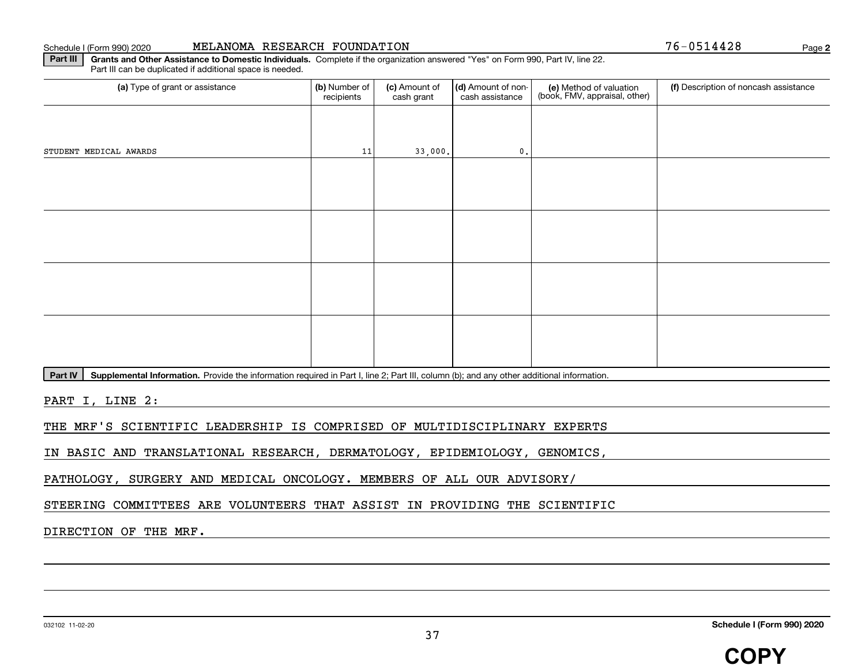Schedule I (Form 990) 2020

| MELANOMA RESEARCH FOUNDATION |  |  |  |
|------------------------------|--|--|--|
|------------------------------|--|--|--|

76-0514428

**2**

Part III | Grants and Other Assistance to Domestic Individuals. Complete if the organization answered "Yes" on Form 990, Part IV, line 22. Part III can be duplicated if additional space is needed.

| (a) Type of grant or assistance | (b) Number of<br>recipients | (c) Amount of<br>cash grant | (d) Amount of non-<br>cash assistance | (e) Method of valuation<br>(book, FMV, appraisal, other) | (f) Description of noncash assistance |
|---------------------------------|-----------------------------|-----------------------------|---------------------------------------|----------------------------------------------------------|---------------------------------------|
|                                 |                             |                             |                                       |                                                          |                                       |
| STUDENT MEDICAL AWARDS          | 11                          | 33,000.                     | $\mathbf{0}$ .                        |                                                          |                                       |
|                                 |                             |                             |                                       |                                                          |                                       |
|                                 |                             |                             |                                       |                                                          |                                       |
|                                 |                             |                             |                                       |                                                          |                                       |
|                                 |                             |                             |                                       |                                                          |                                       |
|                                 |                             |                             |                                       |                                                          |                                       |
|                                 |                             |                             |                                       |                                                          |                                       |
|                                 |                             |                             |                                       |                                                          |                                       |
|                                 |                             |                             |                                       |                                                          |                                       |

Part IV | Supplemental Information. Provide the information required in Part I, line 2; Part III, column (b); and any other additional information.

PART I, LINE 2:

THE MRF'S SCIENTIFIC LEADERSHIP IS COMPRISED OF MULTIDISCIPLINARY EXPERTS

IN BASIC AND TRANSLATIONAL RESEARCH, DERMATOLOGY, EPIDEMIOLOGY, GENOMICS,

PATHOLOGY, SURGERY AND MEDICAL ONCOLOGY. MEMBERS OF ALL OUR ADVISORY/

STEERING COMMITTEES ARE VOLUNTEERS THAT ASSIST IN PROVIDING THE SCIENTIFIC

DIRECTION OF THE MRF.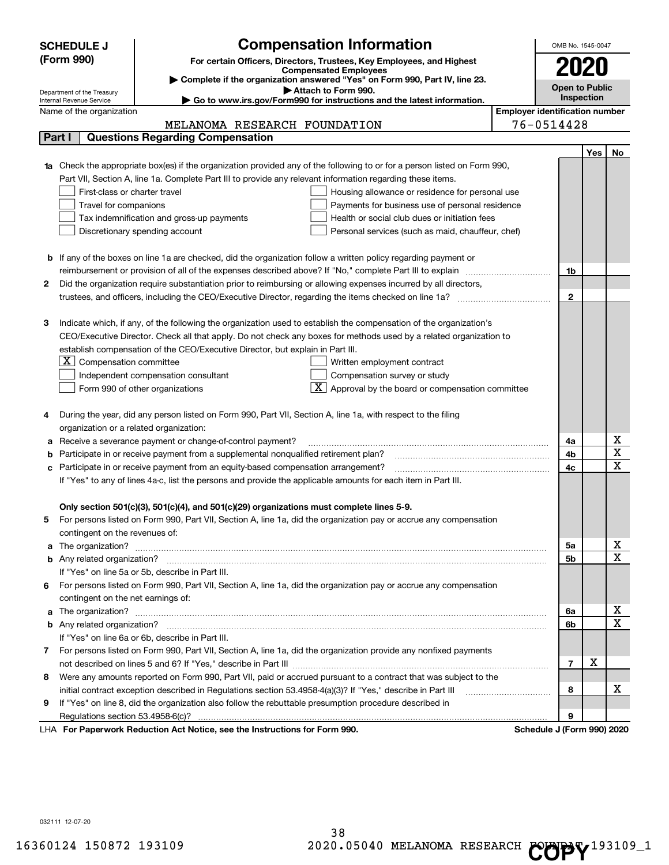| <b>SCHEDULE J</b>                                      | <b>Compensation Information</b>                                                                                             |                                       | OMB No. 1545-0047          |     |                         |
|--------------------------------------------------------|-----------------------------------------------------------------------------------------------------------------------------|---------------------------------------|----------------------------|-----|-------------------------|
| (Form 990)                                             |                                                                                                                             |                                       |                            |     |                         |
|                                                        | For certain Officers, Directors, Trustees, Key Employees, and Highest<br><b>Compensated Employees</b>                       |                                       |                            |     |                         |
|                                                        | Complete if the organization answered "Yes" on Form 990, Part IV, line 23.                                                  |                                       | Open to Public             |     |                         |
| Department of the Treasury<br>Internal Revenue Service | Attach to Form 990.<br>Go to www.irs.gov/Form990 for instructions and the latest information.                               |                                       | Inspection                 |     |                         |
| Name of the organization                               |                                                                                                                             | <b>Employer identification number</b> |                            |     |                         |
|                                                        | MELANOMA RESEARCH FOUNDATION                                                                                                |                                       | 76-0514428                 |     |                         |
| Part I                                                 | <b>Questions Regarding Compensation</b>                                                                                     |                                       |                            |     |                         |
|                                                        |                                                                                                                             |                                       |                            | Yes | No.                     |
|                                                        | 1a Check the appropriate box(es) if the organization provided any of the following to or for a person listed on Form 990,   |                                       |                            |     |                         |
|                                                        | Part VII, Section A, line 1a. Complete Part III to provide any relevant information regarding these items.                  |                                       |                            |     |                         |
| First-class or charter travel                          | Housing allowance or residence for personal use                                                                             |                                       |                            |     |                         |
| Travel for companions                                  | Payments for business use of personal residence                                                                             |                                       |                            |     |                         |
|                                                        | Health or social club dues or initiation fees<br>Tax indemnification and gross-up payments                                  |                                       |                            |     |                         |
|                                                        | Discretionary spending account<br>Personal services (such as maid, chauffeur, chef)                                         |                                       |                            |     |                         |
|                                                        |                                                                                                                             |                                       |                            |     |                         |
|                                                        | <b>b</b> If any of the boxes on line 1a are checked, did the organization follow a written policy regarding payment or      |                                       |                            |     |                         |
|                                                        | reimbursement or provision of all of the expenses described above? If "No," complete Part III to explain                    |                                       | 1b                         |     |                         |
| 2                                                      | Did the organization require substantiation prior to reimbursing or allowing expenses incurred by all directors,            |                                       |                            |     |                         |
|                                                        |                                                                                                                             |                                       | $\mathbf{2}$               |     |                         |
|                                                        |                                                                                                                             |                                       |                            |     |                         |
| з                                                      | Indicate which, if any, of the following the organization used to establish the compensation of the organization's          |                                       |                            |     |                         |
|                                                        | CEO/Executive Director. Check all that apply. Do not check any boxes for methods used by a related organization to          |                                       |                            |     |                         |
|                                                        | establish compensation of the CEO/Executive Director, but explain in Part III.                                              |                                       |                            |     |                         |
| Compensation committee<br>ΣI                           | Written employment contract                                                                                                 |                                       |                            |     |                         |
|                                                        | Compensation survey or study<br>Independent compensation consultant                                                         |                                       |                            |     |                         |
|                                                        | Approval by the board or compensation committee<br>Form 990 of other organizations                                          |                                       |                            |     |                         |
|                                                        |                                                                                                                             |                                       |                            |     |                         |
|                                                        | During the year, did any person listed on Form 990, Part VII, Section A, line 1a, with respect to the filing                |                                       |                            |     |                         |
| organization or a related organization:                |                                                                                                                             |                                       |                            |     |                         |
|                                                        | Receive a severance payment or change-of-control payment?                                                                   |                                       | 4a                         |     | Χ                       |
|                                                        | Participate in or receive payment from a supplemental nonqualified retirement plan?                                         |                                       | 4b                         |     | $\overline{\textbf{x}}$ |
|                                                        | c Participate in or receive payment from an equity-based compensation arrangement?                                          |                                       | 4c                         |     | $\overline{\mathbf{x}}$ |
|                                                        | If "Yes" to any of lines 4a-c, list the persons and provide the applicable amounts for each item in Part III.               |                                       |                            |     |                         |
|                                                        |                                                                                                                             |                                       |                            |     |                         |
|                                                        | Only section 501(c)(3), 501(c)(4), and 501(c)(29) organizations must complete lines 5-9.                                    |                                       |                            |     |                         |
| 5                                                      | For persons listed on Form 990, Part VII, Section A, line 1a, did the organization pay or accrue any compensation           |                                       |                            |     |                         |
| contingent on the revenues of:                         |                                                                                                                             |                                       |                            |     |                         |
|                                                        | a The organization? <b>Manual Community Community</b> Community Community Community Community Community Community Community |                                       | 5а                         |     | x                       |
|                                                        |                                                                                                                             |                                       | 5b                         |     | $\overline{\mathbf{x}}$ |
|                                                        | If "Yes" on line 5a or 5b, describe in Part III.                                                                            |                                       |                            |     |                         |
|                                                        | 6 For persons listed on Form 990, Part VII, Section A, line 1a, did the organization pay or accrue any compensation         |                                       |                            |     |                         |
| contingent on the net earnings of:                     |                                                                                                                             |                                       |                            |     |                         |
|                                                        |                                                                                                                             |                                       | 6a                         |     | х                       |
|                                                        |                                                                                                                             |                                       | 6b                         |     | $\mathbf X$             |
|                                                        | If "Yes" on line 6a or 6b, describe in Part III.                                                                            |                                       |                            |     |                         |
|                                                        | 7 For persons listed on Form 990, Part VII, Section A, line 1a, did the organization provide any nonfixed payments          |                                       |                            |     |                         |
|                                                        |                                                                                                                             |                                       | $\overline{7}$             | х   |                         |
| 8                                                      | Were any amounts reported on Form 990, Part VII, paid or accrued pursuant to a contract that was subject to the             |                                       |                            |     |                         |
|                                                        | initial contract exception described in Regulations section 53.4958-4(a)(3)? If "Yes," describe in Part III                 |                                       | 8                          |     | х                       |
| 9                                                      | If "Yes" on line 8, did the organization also follow the rebuttable presumption procedure described in                      |                                       |                            |     |                         |
|                                                        |                                                                                                                             |                                       | 9                          |     |                         |
|                                                        | LHA For Paperwork Reduction Act Notice, see the Instructions for Form 990.                                                  |                                       | Schedule J (Form 990) 2020 |     |                         |

032111 12-07-20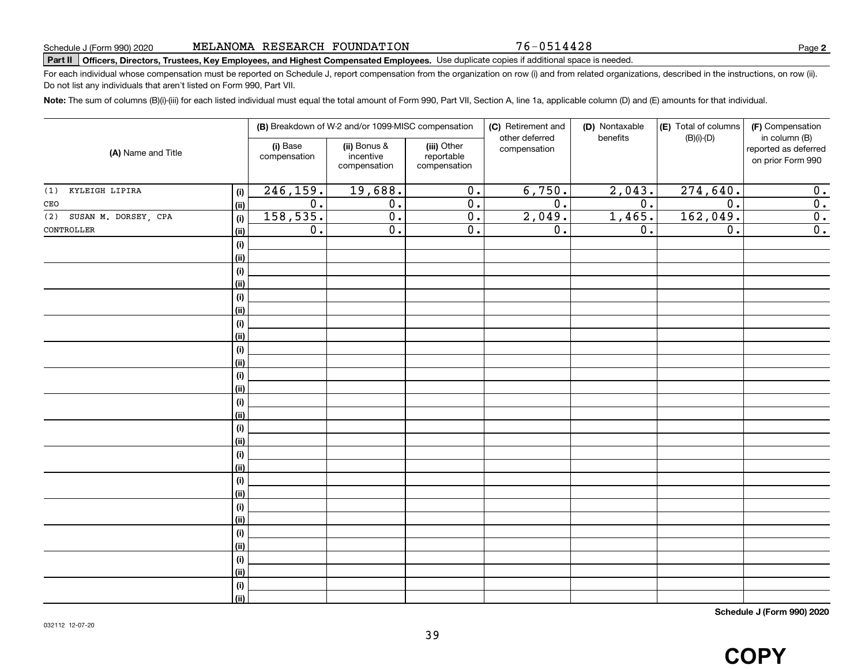76-0514428

**2**

## Part II | Officers, Directors, Trustees, Key Employees, and Highest Compensated Employees. Use duplicate copies if additional space is needed.

For each individual whose compensation must be reported on Schedule J, report compensation from the organization on row (i) and from related organizations, described in the instructions, on row (ii). Do not list any individuals that aren't listed on Form 990, Part VII.

Note: The sum of columns (B)(i)-(iii) for each listed individual must equal the total amount of Form 990, Part VII, Section A, line 1a, applicable column (D) and (E) amounts for that individual.

| (A) Name and Title          |                       |                          | (B) Breakdown of W-2 and/or 1099-MISC compensation |                                           | (C) Retirement and<br>other deferred | (D) Nontaxable<br>benefits | (E) Total of columns<br>$(B)(i)-(D)$ | (F) Compensation<br>in column (B)         |
|-----------------------------|-----------------------|--------------------------|----------------------------------------------------|-------------------------------------------|--------------------------------------|----------------------------|--------------------------------------|-------------------------------------------|
|                             |                       | (i) Base<br>compensation | (ii) Bonus &<br>incentive<br>compensation          | (iii) Other<br>reportable<br>compensation | compensation                         |                            |                                      | reported as deferred<br>on prior Form 990 |
| KYLEIGH LIPIRA<br>(1)       | (i)                   | 246, 159.                | 19,688.                                            | $\overline{0}$ .                          | 6,750.                               | 2,043.                     | 274,640.                             | 0.                                        |
| $\mathtt{CEO}$              | (ii)                  | $\overline{0}$ .         | $\overline{0}$ .                                   | $\overline{0}$ .                          | $\overline{0}$ .                     | $\overline{0}$ .           | $\overline{0}$ .                     | $\overline{0}$ .                          |
| SUSAN M. DORSEY, CPA<br>(2) | (i)                   | 158,535.                 | $\overline{0}$ .                                   | $\overline{0}$ .                          | 2,049.                               | 1,465.                     | 162,049.                             | $\overline{0}$ .                          |
| CONTROLLER                  | <u>(ii)</u>           | $\overline{0}$ .         | $\overline{0}$ .                                   | $\overline{0}$ .                          | $\overline{0}$ .                     | $\overline{0}$ .           | $\overline{0}$ .                     | $\overline{0}$ .                          |
|                             | (i)                   |                          |                                                    |                                           |                                      |                            |                                      |                                           |
|                             | <u>(ii)</u>           |                          |                                                    |                                           |                                      |                            |                                      |                                           |
|                             | (i)                   |                          |                                                    |                                           |                                      |                            |                                      |                                           |
|                             | <u>(ii)</u>           |                          |                                                    |                                           |                                      |                            |                                      |                                           |
|                             | (i)                   |                          |                                                    |                                           |                                      |                            |                                      |                                           |
|                             | <u>(ii)</u>           |                          |                                                    |                                           |                                      |                            |                                      |                                           |
|                             | (i)                   |                          |                                                    |                                           |                                      |                            |                                      |                                           |
|                             | <u>(ii)</u>           |                          |                                                    |                                           |                                      |                            |                                      |                                           |
|                             | $(\sf{i})$            |                          |                                                    |                                           |                                      |                            |                                      |                                           |
|                             | (ii)<br>(i)           |                          |                                                    |                                           |                                      |                            |                                      |                                           |
|                             | (ii)                  |                          |                                                    |                                           |                                      |                            |                                      |                                           |
|                             | (i)                   |                          |                                                    |                                           |                                      |                            |                                      |                                           |
|                             | (ii)                  |                          |                                                    |                                           |                                      |                            |                                      |                                           |
|                             | (i)                   |                          |                                                    |                                           |                                      |                            |                                      |                                           |
|                             | (ii)                  |                          |                                                    |                                           |                                      |                            |                                      |                                           |
|                             | (i)                   |                          |                                                    |                                           |                                      |                            |                                      |                                           |
|                             | (ii)                  |                          |                                                    |                                           |                                      |                            |                                      |                                           |
|                             | (i)                   |                          |                                                    |                                           |                                      |                            |                                      |                                           |
|                             | <u>(ii)</u>           |                          |                                                    |                                           |                                      |                            |                                      |                                           |
|                             | (i)                   |                          |                                                    |                                           |                                      |                            |                                      |                                           |
|                             | (ii)                  |                          |                                                    |                                           |                                      |                            |                                      |                                           |
|                             | (i)                   |                          |                                                    |                                           |                                      |                            |                                      |                                           |
|                             | (ii)                  |                          |                                                    |                                           |                                      |                            |                                      |                                           |
|                             | (i)                   |                          |                                                    |                                           |                                      |                            |                                      |                                           |
|                             | <u>(ii)</u>           |                          |                                                    |                                           |                                      |                            |                                      |                                           |
|                             | (i)<br>$\overline{}}$ |                          |                                                    |                                           |                                      |                            |                                      |                                           |
|                             |                       |                          |                                                    |                                           |                                      |                            |                                      |                                           |

**Schedule J (Form 990) 2020**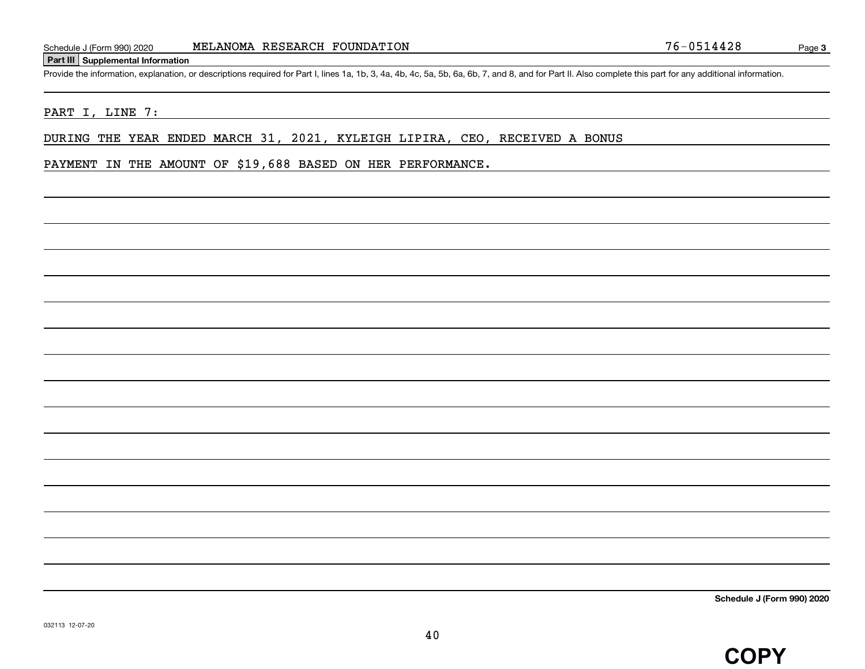## **Part III Supplemental Information**

Provide the information, explanation, or descriptions required for Part I, lines 1a, 1b, 3, 4a, 4b, 4c, 5a, 5b, 6a, 6b, 7, and 8, and for Part II. Also complete this part for any additional information.

# PART I, LINE 7:

DURING THE YEAR ENDED MARCH 31, 2021, KYLEIGH LIPIRA, CEO, RECEIVED A BONUS

PAYMENT IN THE AMOUNT OF \$19,688 BASED ON HER PERFORMANCE.

**Schedule J (Form 990) 2020**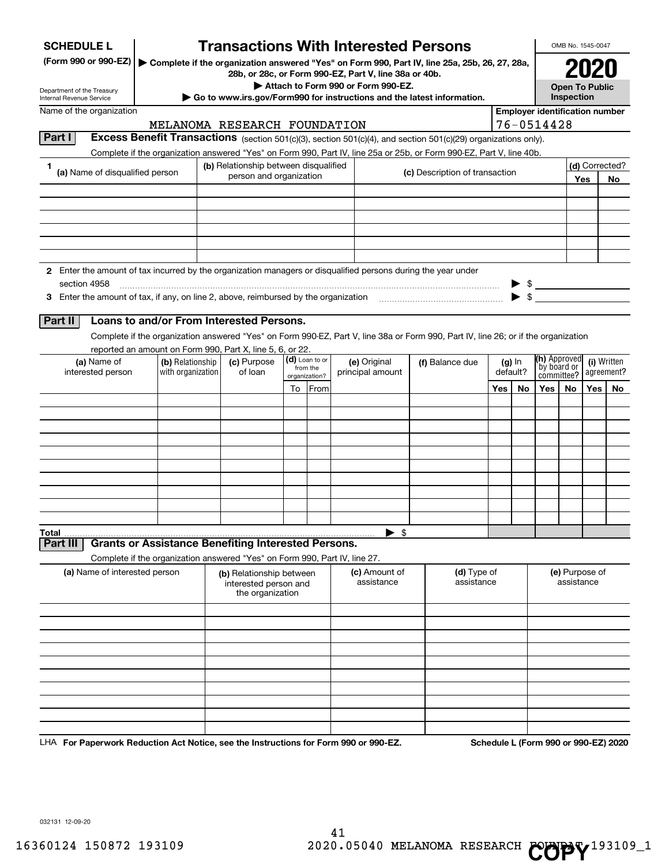| <b>SCHEDULE L</b>                                                                                             |                                                                                                                                                                                                                                        |                                                                                                                                 | <b>Transactions With Interested Persons</b> |  |                             |  |                                  |                           |                                       |                 |        |                                    | OMB No. 1545-0047             |                           |                                      |
|---------------------------------------------------------------------------------------------------------------|----------------------------------------------------------------------------------------------------------------------------------------------------------------------------------------------------------------------------------------|---------------------------------------------------------------------------------------------------------------------------------|---------------------------------------------|--|-----------------------------|--|----------------------------------|---------------------------|---------------------------------------|-----------------|--------|------------------------------------|-------------------------------|---------------------------|--------------------------------------|
| (Form 990 or 990-EZ)                                                                                          |                                                                                                                                                                                                                                        | Complete if the organization answered "Yes" on Form 990, Part IV, line 25a, 25b, 26, 27, 28a,                                   |                                             |  |                             |  |                                  |                           |                                       |                 |        |                                    |                               |                           |                                      |
|                                                                                                               |                                                                                                                                                                                                                                        | 28b, or 28c, or Form 990-EZ, Part V, line 38a or 40b.<br>Attach to Form 990 or Form 990-EZ.                                     |                                             |  |                             |  |                                  |                           |                                       |                 |        | <b>Open To Public</b>              |                               |                           |                                      |
| Department of the Treasury<br>Internal Revenue Service                                                        |                                                                                                                                                                                                                                        | Go to www.irs.gov/Form990 for instructions and the latest information.                                                          |                                             |  |                             |  |                                  |                           |                                       |                 |        |                                    | Inspection                    |                           |                                      |
|                                                                                                               | Name of the organization                                                                                                                                                                                                               |                                                                                                                                 |                                             |  |                             |  |                                  |                           | <b>Employer identification number</b> |                 |        |                                    |                               |                           |                                      |
|                                                                                                               |                                                                                                                                                                                                                                        |                                                                                                                                 | MELANOMA RESEARCH FOUNDATION                |  |                             |  |                                  |                           |                                       |                 |        | 76-0514428                         |                               |                           |                                      |
| Part I                                                                                                        | Excess Benefit Transactions (section 501(c)(3), section 501(c)(4), and section 501(c)(29) organizations only).<br>Complete if the organization answered "Yes" on Form 990, Part IV, line 25a or 25b, or Form 990-EZ, Part V, line 40b. |                                                                                                                                 |                                             |  |                             |  |                                  |                           |                                       |                 |        |                                    |                               |                           |                                      |
| 1                                                                                                             |                                                                                                                                                                                                                                        |                                                                                                                                 | (b) Relationship between disqualified       |  |                             |  |                                  |                           |                                       |                 |        |                                    |                               |                           | (d) Corrected?                       |
| (a) Name of disqualified person                                                                               |                                                                                                                                                                                                                                        |                                                                                                                                 | person and organization                     |  |                             |  | (c) Description of transaction   |                           |                                       |                 |        |                                    |                               | Yes                       | No                                   |
|                                                                                                               |                                                                                                                                                                                                                                        |                                                                                                                                 |                                             |  |                             |  |                                  |                           |                                       |                 |        |                                    |                               |                           |                                      |
|                                                                                                               |                                                                                                                                                                                                                                        |                                                                                                                                 |                                             |  |                             |  |                                  |                           |                                       |                 |        |                                    |                               |                           |                                      |
|                                                                                                               |                                                                                                                                                                                                                                        |                                                                                                                                 |                                             |  |                             |  |                                  |                           |                                       |                 |        |                                    |                               |                           |                                      |
|                                                                                                               |                                                                                                                                                                                                                                        |                                                                                                                                 |                                             |  |                             |  |                                  |                           |                                       |                 |        |                                    |                               |                           |                                      |
|                                                                                                               |                                                                                                                                                                                                                                        |                                                                                                                                 |                                             |  |                             |  |                                  |                           |                                       |                 |        |                                    |                               |                           |                                      |
| 2 Enter the amount of tax incurred by the organization managers or disqualified persons during the year under |                                                                                                                                                                                                                                        |                                                                                                                                 |                                             |  |                             |  |                                  |                           |                                       |                 |        |                                    |                               |                           |                                      |
| section 4958                                                                                                  |                                                                                                                                                                                                                                        |                                                                                                                                 |                                             |  |                             |  |                                  |                           |                                       |                 |        | $\mathbb{S}$                       |                               |                           |                                      |
|                                                                                                               |                                                                                                                                                                                                                                        |                                                                                                                                 |                                             |  |                             |  |                                  |                           |                                       |                 |        |                                    |                               |                           |                                      |
| Part II                                                                                                       | Loans to and/or From Interested Persons.                                                                                                                                                                                               |                                                                                                                                 |                                             |  |                             |  |                                  |                           |                                       |                 |        |                                    |                               |                           |                                      |
|                                                                                                               | Complete if the organization answered "Yes" on Form 990-EZ, Part V, line 38a or Form 990, Part IV, line 26; or if the organization                                                                                                     |                                                                                                                                 |                                             |  |                             |  |                                  |                           |                                       |                 |        |                                    |                               |                           |                                      |
|                                                                                                               | reported an amount on Form 990, Part X, line 5, 6, or 22.                                                                                                                                                                              |                                                                                                                                 |                                             |  |                             |  |                                  |                           |                                       |                 |        |                                    |                               |                           |                                      |
| (a) Name of<br>interested person                                                                              | (b) Relationship<br>with organization                                                                                                                                                                                                  |                                                                                                                                 | (c) Purpose<br>of loan                      |  | (d) Loan to or<br>from the  |  | (e) Original<br>principal amount | (f) Balance due           |                                       |                 | (g) In | <b>(h)</b> Approved<br>by board or |                               | (i) Written<br>agreement? |                                      |
|                                                                                                               |                                                                                                                                                                                                                                        |                                                                                                                                 |                                             |  | organization?               |  |                                  |                           |                                       | default?<br>Yes |        |                                    | committee?<br>Yes<br>No<br>No |                           |                                      |
|                                                                                                               |                                                                                                                                                                                                                                        |                                                                                                                                 |                                             |  | To From                     |  |                                  |                           |                                       |                 | No     | Yes                                |                               |                           |                                      |
|                                                                                                               |                                                                                                                                                                                                                                        |                                                                                                                                 |                                             |  |                             |  |                                  |                           |                                       |                 |        |                                    |                               |                           |                                      |
|                                                                                                               |                                                                                                                                                                                                                                        |                                                                                                                                 |                                             |  |                             |  |                                  |                           |                                       |                 |        |                                    |                               |                           |                                      |
|                                                                                                               |                                                                                                                                                                                                                                        |                                                                                                                                 |                                             |  |                             |  |                                  |                           |                                       |                 |        |                                    |                               |                           |                                      |
|                                                                                                               |                                                                                                                                                                                                                                        |                                                                                                                                 |                                             |  |                             |  |                                  |                           |                                       |                 |        |                                    |                               |                           |                                      |
|                                                                                                               |                                                                                                                                                                                                                                        |                                                                                                                                 |                                             |  |                             |  |                                  |                           |                                       |                 |        |                                    |                               |                           |                                      |
|                                                                                                               |                                                                                                                                                                                                                                        |                                                                                                                                 |                                             |  |                             |  |                                  |                           |                                       |                 |        |                                    |                               |                           |                                      |
|                                                                                                               |                                                                                                                                                                                                                                        |                                                                                                                                 |                                             |  |                             |  |                                  |                           |                                       |                 |        |                                    |                               |                           |                                      |
|                                                                                                               |                                                                                                                                                                                                                                        |                                                                                                                                 |                                             |  |                             |  |                                  |                           |                                       |                 |        |                                    |                               |                           |                                      |
| Total<br>Part III                                                                                             | <b>Grants or Assistance Benefiting Interested Persons.</b>                                                                                                                                                                             |                                                                                                                                 |                                             |  |                             |  | $\blacktriangleright$ \$         |                           |                                       |                 |        |                                    |                               |                           |                                      |
|                                                                                                               |                                                                                                                                                                                                                                        |                                                                                                                                 |                                             |  |                             |  |                                  |                           |                                       |                 |        |                                    |                               |                           |                                      |
| (a) Name of interested person                                                                                 |                                                                                                                                                                                                                                        | Complete if the organization answered "Yes" on Form 990, Part IV, line 27.<br>(b) Relationship between<br>interested person and |                                             |  | (c) Amount of<br>assistance |  |                                  | (d) Type of<br>assistance |                                       |                 |        |                                    | (e) Purpose of<br>assistance  |                           |                                      |
|                                                                                                               |                                                                                                                                                                                                                                        |                                                                                                                                 | the organization                            |  |                             |  |                                  |                           |                                       |                 |        |                                    |                               |                           |                                      |
|                                                                                                               |                                                                                                                                                                                                                                        |                                                                                                                                 |                                             |  |                             |  |                                  |                           |                                       |                 |        |                                    |                               |                           |                                      |
|                                                                                                               |                                                                                                                                                                                                                                        |                                                                                                                                 |                                             |  |                             |  |                                  |                           |                                       |                 |        |                                    |                               |                           |                                      |
|                                                                                                               |                                                                                                                                                                                                                                        |                                                                                                                                 |                                             |  |                             |  |                                  |                           |                                       |                 |        |                                    |                               |                           |                                      |
|                                                                                                               |                                                                                                                                                                                                                                        |                                                                                                                                 |                                             |  |                             |  |                                  |                           |                                       |                 |        |                                    |                               |                           |                                      |
|                                                                                                               |                                                                                                                                                                                                                                        |                                                                                                                                 |                                             |  |                             |  |                                  |                           |                                       |                 |        |                                    |                               |                           |                                      |
|                                                                                                               |                                                                                                                                                                                                                                        |                                                                                                                                 |                                             |  |                             |  |                                  |                           |                                       |                 |        |                                    |                               |                           |                                      |
|                                                                                                               |                                                                                                                                                                                                                                        |                                                                                                                                 |                                             |  |                             |  |                                  |                           |                                       |                 |        |                                    |                               |                           |                                      |
|                                                                                                               |                                                                                                                                                                                                                                        |                                                                                                                                 |                                             |  |                             |  |                                  |                           |                                       |                 |        |                                    |                               |                           |                                      |
| For Denormark Poduction Act Notice, ass the Instructions for Form 000 or 000 FZ                               |                                                                                                                                                                                                                                        |                                                                                                                                 |                                             |  |                             |  |                                  |                           |                                       |                 |        |                                    |                               |                           | Schodule L (Form 000 or 000 F7) 2020 |

LHA For Paperwork Reduction Act Notice, see the Instructions for Form 990 or 990-EZ. Schedule L (Form 990 or 990-EZ) 2020

032131 12-09-20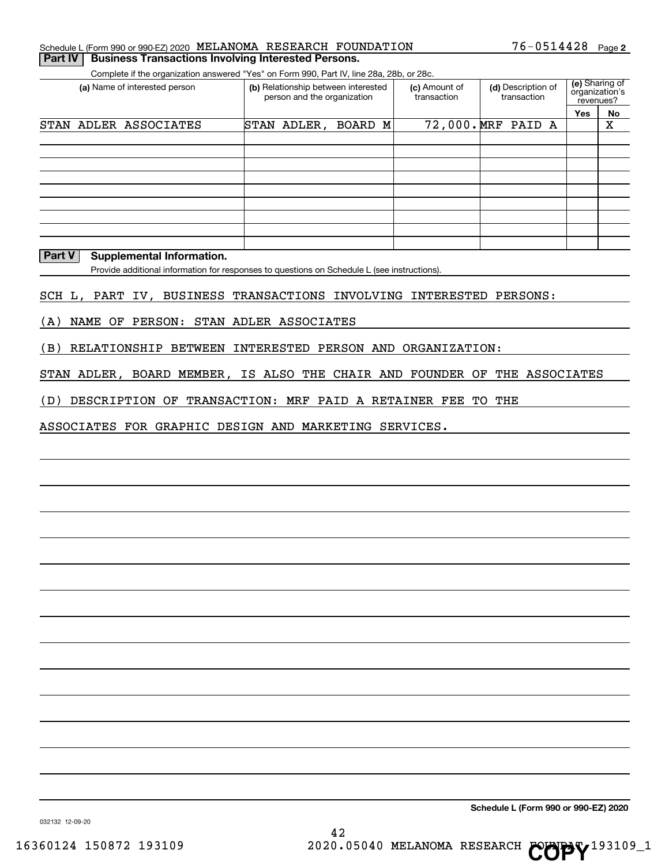|  | Schedule L (Form 990 or 990-EZ) 2020 MELANOMA RESEARCH FOUNDATION |  |  |  | $76 - 0514428$ Page 2 |  |  |
|--|-------------------------------------------------------------------|--|--|--|-----------------------|--|--|
|--|-------------------------------------------------------------------|--|--|--|-----------------------|--|--|

**Part IV | Business Transactions Involving Interested Persons.** 

Complete if the organization answered "Yes" on Form 990, Part IV, line 28a, 28b, or 28c.

| (a) Name of interested person | (b) Relationship between interested<br>person and the organization | (c) Amount of<br>transaction | (d) Description of<br>transaction | (e) Sharing of<br>organization's<br>revenues? |    |
|-------------------------------|--------------------------------------------------------------------|------------------------------|-----------------------------------|-----------------------------------------------|----|
|                               |                                                                    |                              |                                   | Yes                                           | No |
| STAN ADLER ASSOCIATES         | STAN ADLER,<br>BOARD M                                             |                              | 72,000. MRF PAID A                |                                               | Χ  |
|                               |                                                                    |                              |                                   |                                               |    |
|                               |                                                                    |                              |                                   |                                               |    |
|                               |                                                                    |                              |                                   |                                               |    |
|                               |                                                                    |                              |                                   |                                               |    |
|                               |                                                                    |                              |                                   |                                               |    |
|                               |                                                                    |                              |                                   |                                               |    |
|                               |                                                                    |                              |                                   |                                               |    |
|                               |                                                                    |                              |                                   |                                               |    |
|                               |                                                                    |                              |                                   |                                               |    |

# **Part V** Supplemental Information.

Provide additional information for responses to questions on Schedule L (see instructions).

SCH L, PART IV, BUSINESS TRANSACTIONS INVOLVING INTERESTED PERSONS:

(A) NAME OF PERSON: STAN ADLER ASSOCIATES

(B) RELATIONSHIP BETWEEN INTERESTED PERSON AND ORGANIZATION:

STAN ADLER, BOARD MEMBER, IS ALSO THE CHAIR AND FOUNDER OF THE ASSOCIATES

(D) DESCRIPTION OF TRANSACTION: MRF PAID A RETAINER FEE TO THE

ASSOCIATES FOR GRAPHIC DESIGN AND MARKETING SERVICES.

**Schedule L (Form 990 or 990-EZ) 2020**

032132 12-09-20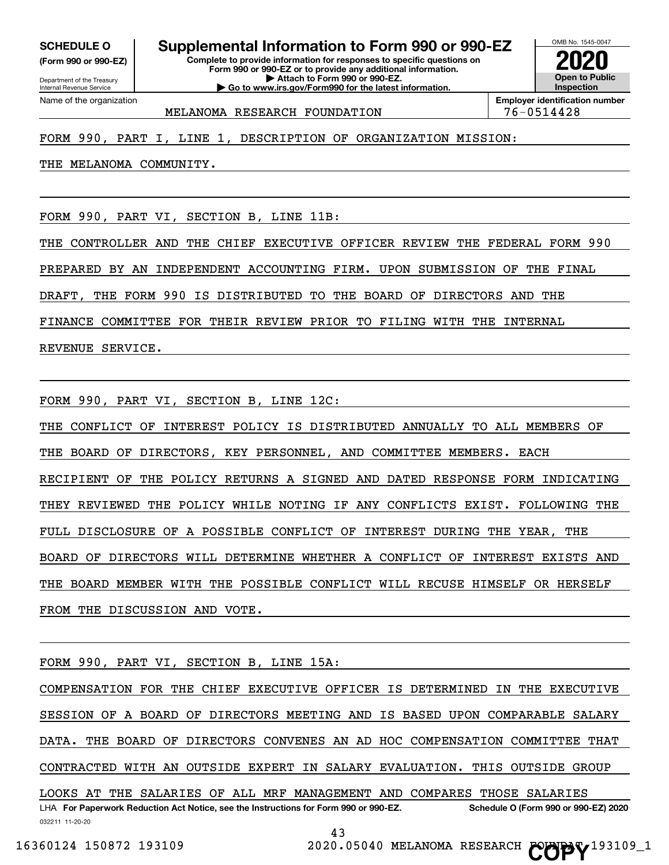**(Form 990 or 990-EZ)**

Department of the Treasury Internal Revenue Service Name of the organization

# **SCHEDULE O Supplemental Information to Form 990 or 990-EZ 2020**

**Complete to provide information for responses to specific questions on Form 990 or 990-EZ or to provide any additional information. | Attach to Form 990 or 990-EZ. | Go to www.irs.gov/Form990 for the latest information.**



MELANOMA RESEARCH FOUNDATION | 76-0514428

# FORM 990, PART I, LINE 1, DESCRIPTION OF ORGANIZATION MISSION:

THE MELANOMA COMMUNITY.

FORM 990, PART VI, SECTION B, LINE 11B:

THE CONTROLLER AND THE CHIEF EXECUTIVE OFFICER REVIEW THE FEDERAL FORM 990

PREPARED BY AN INDEPENDENT ACCOUNTING FIRM. UPON SUBMISSION OF THE FINAL

DRAFT, THE FORM 990 IS DISTRIBUTED TO THE BOARD OF DIRECTORS AND THE

FINANCE COMMITTEE FOR THEIR REVIEW PRIOR TO FILING WITH THE INTERNAL

REVENUE SERVICE.

FORM 990, PART VI, SECTION B, LINE 12C:

THE CONFLICT OF INTEREST POLICY IS DISTRIBUTED ANNUALLY TO ALL MEMBERS OF THE BOARD OF DIRECTORS, KEY PERSONNEL, AND COMMITTEE MEMBERS. EACH RECIPIENT OF THE POLICY RETURNS A SIGNED AND DATED RESPONSE FORM INDICATING THEY REVIEWED THE POLICY WHILE NOTING IF ANY CONFLICTS EXIST. FOLLOWING THE FULL DISCLOSURE OF A POSSIBLE CONFLICT OF INTEREST DURING THE YEAR, THE BOARD OF DIRECTORS WILL DETERMINE WHETHER A CONFLICT OF INTEREST EXISTS AND THE BOARD MEMBER WITH THE POSSIBLE CONFLICT WILL RECUSE HIMSELF OR HERSELF FROM THE DISCUSSION AND VOTE.

FORM 990, PART VI, SECTION B, LINE 15A:

032211 11-20-20 LHA For Paperwork Reduction Act Notice, see the Instructions for Form 990 or 990-EZ. Schedule O (Form 990 or 990-EZ) 2020 COMPENSATION FOR THE CHIEF EXECUTIVE OFFICER IS DETERMINED IN THE EXECUTIVE SESSION OF A BOARD OF DIRECTORS MEETING AND IS BASED UPON COMPARABLE SALARY DATA. THE BOARD OF DIRECTORS CONVENES AN AD HOC COMPENSATION COMMITTEE THAT CONTRACTED WITH AN OUTSIDE EXPERT IN SALARY EVALUATION. THIS OUTSIDE GROUP LOOKS AT THE SALARIES OF ALL MRF MANAGEMENT AND COMPARES THOSE SALARIES

43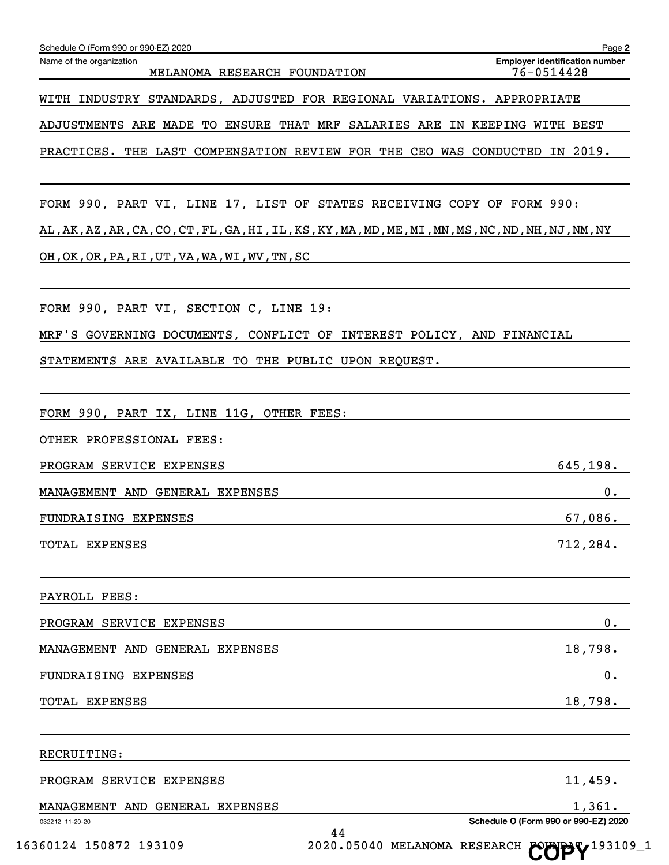| Name of the organization<br>MELANOMA RESEARCH FOUNDATION                                                                                     | <b>Employer identification number</b><br>76-0514428 |
|----------------------------------------------------------------------------------------------------------------------------------------------|-----------------------------------------------------|
| WITH INDUSTRY STANDARDS, ADJUSTED FOR REGIONAL VARIATIONS. APPROPRIATE                                                                       |                                                     |
| ADJUSTMENTS ARE MADE TO ENSURE THAT MRF SALARIES ARE IN KEEPING WITH BEST                                                                    |                                                     |
| PRACTICES. THE LAST COMPENSATION REVIEW FOR THE CEO WAS CONDUCTED IN 2019.                                                                   |                                                     |
| FORM 990, PART VI, LINE 17, LIST OF STATES RECEIVING COPY OF FORM 990:                                                                       |                                                     |
| AL , AK , AZ , AR , CA , CO , CT , FL , GA , HI , IL , KS , KY , MA , MD , ME , MI , MN , MS , NC , ND , NH , NJ , NM , NY                   |                                                     |
| OH, OK, OR, PA, RI, UT, VA, WA, WI, WV, TN, SC                                                                                               |                                                     |
| FORM 990, PART VI, SECTION C, LINE 19:                                                                                                       |                                                     |
| MRF'S GOVERNING DOCUMENTS, CONFLICT OF INTEREST POLICY, AND FINANCIAL                                                                        |                                                     |
| STATEMENTS ARE AVAILABLE TO THE PUBLIC UPON REQUEST.                                                                                         |                                                     |
| FORM 990, PART IX, LINE 11G, OTHER FEES:                                                                                                     |                                                     |
| OTHER PROFESSIONAL FEES:                                                                                                                     |                                                     |
| PROGRAM SERVICE EXPENSES                                                                                                                     | 645, 198.                                           |
| MANAGEMENT AND GENERAL EXPENSES                                                                                                              | 0.                                                  |
| FUNDRAISING EXPENSES                                                                                                                         | 67,086.                                             |
| TOTAL EXPENSES                                                                                                                               | 712, 284.                                           |
| PAYROLL FEES:                                                                                                                                |                                                     |
| PROGRAM SERVICE EXPENSES                                                                                                                     | 0.                                                  |
| MANAGEMENT AND GENERAL EXPENSES                                                                                                              | 18,798.                                             |
| FUNDRAISING EXPENSES<br><u> 1989 - Johann John Stein, markin fan it ferstjer fan de ferstjer fan it ferstjer fan de ferstjer fan it fers</u> | 0.                                                  |
| TOTAL EXPENSES<br>the contract of the contract of the contract of the contract of the contract of the contract of the contract of            | 18,798.                                             |
| RECRUITING:                                                                                                                                  |                                                     |
| 11,459.<br>PROGRAM SERVICE EXPENSES                                                                                                          |                                                     |
| MANAGEMENT AND GENERAL EXPENSES                                                                                                              | 1,361.                                              |